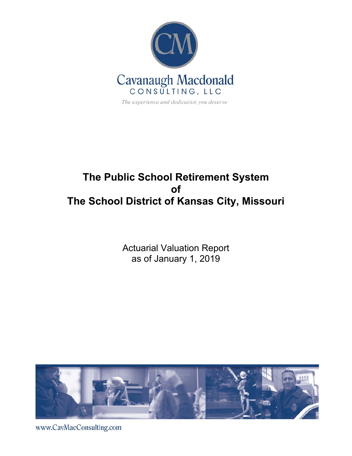

# **The Public School Retirement System of The School District of Kansas City, Missouri**

Actuarial Valuation Report as of January 1, 2019



www.CavMacConsulting.com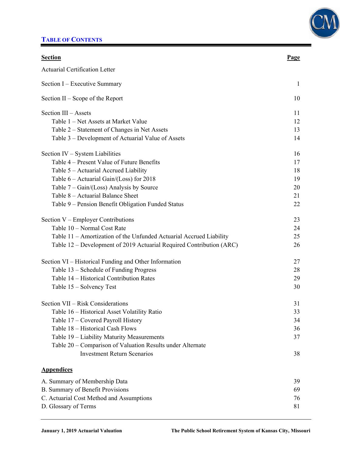## **TABLE OF CONTENTS**



| <b>Section</b>                                                       | <u>Page</u>  |
|----------------------------------------------------------------------|--------------|
| <b>Actuarial Certification Letter</b>                                |              |
| Section I – Executive Summary                                        | $\mathbf{1}$ |
| Section $II -$ Scope of the Report                                   | 10           |
| Section III - Assets                                                 | 11           |
| Table 1 – Net Assets at Market Value                                 | 12           |
| Table 2 – Statement of Changes in Net Assets                         | 13           |
| Table 3 – Development of Actuarial Value of Assets                   | 14           |
| Section IV – System Liabilities                                      | 16           |
| Table 4 – Present Value of Future Benefits                           | 17           |
| Table 5 – Actuarial Accrued Liability                                | 18           |
| Table $6 -$ Actuarial Gain/(Loss) for 2018                           | 19           |
| Table $7 - Gain/(Loss)$ Analysis by Source                           | 20           |
| Table 8 – Actuarial Balance Sheet                                    | 21           |
| Table 9 – Pension Benefit Obligation Funded Status                   | 22           |
| Section V – Employer Contributions                                   | 23           |
| Table 10 - Normal Cost Rate                                          | 24           |
| Table 11 – Amortization of the Unfunded Actuarial Accrued Liability  | 25           |
| Table 12 – Development of 2019 Actuarial Required Contribution (ARC) | 26           |
| Section VI – Historical Funding and Other Information                | 27           |
| Table 13 - Schedule of Funding Progress                              | 28           |
| Table 14 - Historical Contribution Rates                             | 29           |
| Table 15 – Solvency Test                                             | 30           |
| Section VII - Risk Considerations                                    | 31           |
| Table 16 – Historical Asset Volatility Ratio                         | 33           |
| Table 17 - Covered Payroll History                                   | 34           |
| Table 18 - Historical Cash Flows                                     | 36           |
| Table 19 - Liability Maturity Measurements                           | 37           |
| Table 20 – Comparison of Valuation Results under Alternate           |              |
| <b>Investment Return Scenarios</b>                                   | 38           |
| <b>Appendices</b>                                                    |              |
| A. Summary of Membership Data                                        | 39           |
| B. Summary of Benefit Provisions                                     | 69           |
| C. Actuarial Cost Method and Assumptions                             | 76           |
| D. Glossary of Terms                                                 | 81           |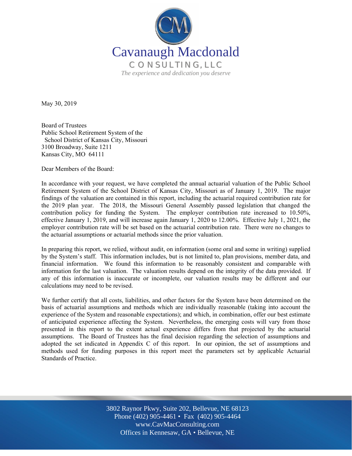

May 30, 2019

Board of Trustees Public School Retirement System of the School District of Kansas City, Missouri 3100 Broadway, Suite 1211 Kansas City, MO 64111

Dear Members of the Board:

In accordance with your request, we have completed the annual actuarial valuation of the Public School Retirement System of the School District of Kansas City, Missouri as of January 1, 2019. The major findings of the valuation are contained in this report, including the actuarial required contribution rate for the 2019 plan year. The 2018, the Missouri General Assembly passed legislation that changed the contribution policy for funding the System. The employer contribution rate increased to 10.50%, effective January 1, 2019, and will increase again January 1, 2020 to 12.00%. Effective July 1, 2021, the employer contribution rate will be set based on the actuarial contribution rate. There were no changes to the actuarial assumptions or actuarial methods since the prior valuation.

In preparing this report, we relied, without audit, on information (some oral and some in writing) supplied by the System's staff. This information includes, but is not limited to, plan provisions, member data, and financial information. We found this information to be reasonably consistent and comparable with information for the last valuation. The valuation results depend on the integrity of the data provided. If any of this information is inaccurate or incomplete, our valuation results may be different and our calculations may need to be revised.

We further certify that all costs, liabilities, and other factors for the System have been determined on the basis of actuarial assumptions and methods which are individually reasonable (taking into account the experience of the System and reasonable expectations); and which, in combination, offer our best estimate of anticipated experience affecting the System. Nevertheless, the emerging costs will vary from those presented in this report to the extent actual experience differs from that projected by the actuarial assumptions. The Board of Trustees has the final decision regarding the selection of assumptions and adopted the set indicated in Appendix C of this report. In our opinion, the set of assumptions and methods used for funding purposes in this report meet the parameters set by applicable Actuarial Standards of Practice.

> Off Offices in Kennesaw, GA • Bellevue, NE 3802 Raynor Pkwy, Suite 202, Bellevue, NE 68123 Phone (402) 905-4461 • Fax (402) 905-4464 www.CavMacConsulting.com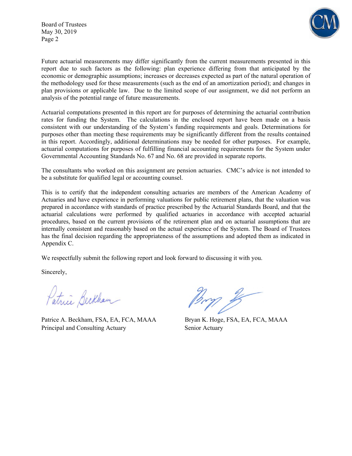Board of Trustees May 30, 2019 Page 2



Future actuarial measurements may differ significantly from the current measurements presented in this report due to such factors as the following: plan experience differing from that anticipated by the economic or demographic assumptions; increases or decreases expected as part of the natural operation of the methodology used for these measurements (such as the end of an amortization period); and changes in plan provisions or applicable law. Due to the limited scope of our assignment, we did not perform an analysis of the potential range of future measurements.

Actuarial computations presented in this report are for purposes of determining the actuarial contribution rates for funding the System. The calculations in the enclosed report have been made on a basis consistent with our understanding of the System's funding requirements and goals. Determinations for purposes other than meeting these requirements may be significantly different from the results contained in this report. Accordingly, additional determinations may be needed for other purposes. For example, actuarial computations for purposes of fulfilling financial accounting requirements for the System under Governmental Accounting Standards No. 67 and No. 68 are provided in separate reports.

The consultants who worked on this assignment are pension actuaries. CMC's advice is not intended to be a substitute for qualified legal or accounting counsel.

This is to certify that the independent consulting actuaries are members of the American Academy of Actuaries and have experience in performing valuations for public retirement plans, that the valuation was prepared in accordance with standards of practice prescribed by the Actuarial Standards Board, and that the actuarial calculations were performed by qualified actuaries in accordance with accepted actuarial procedures, based on the current provisions of the retirement plan and on actuarial assumptions that are internally consistent and reasonably based on the actual experience of the System. The Board of Trustees has the final decision regarding the appropriateness of the assumptions and adopted them as indicated in Appendix C.

We respectfully submit the following report and look forward to discussing it with you.

Sincerely,

Patrice Beckham

Patrice A. Beckham, FSA, EA, FCA, MAAA Bryan K. Hoge, FSA, EA, FCA, MAAA Principal and Consulting Actuary Senior Actuary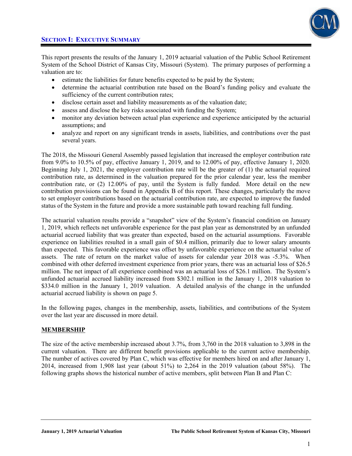

This report presents the results of the January 1, 2019 actuarial valuation of the Public School Retirement System of the School District of Kansas City, Missouri (System). The primary purposes of performing a valuation are to:

- estimate the liabilities for future benefits expected to be paid by the System;
- determine the actuarial contribution rate based on the Board's funding policy and evaluate the sufficiency of the current contribution rates;
- disclose certain asset and liability measurements as of the valuation date;
- assess and disclose the key risks associated with funding the System;
- monitor any deviation between actual plan experience and experience anticipated by the actuarial assumptions; and
- analyze and report on any significant trends in assets, liabilities, and contributions over the past several years.

The 2018, the Missouri General Assembly passed legislation that increased the employer contribution rate from 9.0% to 10.5% of pay, effective January 1, 2019, and to 12.00% of pay, effective January 1, 2020. Beginning July 1, 2021, the employer contribution rate will be the greater of (1) the actuarial required contribution rate, as determined in the valuation prepared for the prior calendar year, less the member contribution rate, or (2) 12.00% of pay, until the System is fully funded. More detail on the new contribution provisions can be found in Appendix B of this report. These changes, particularly the move to set employer contributions based on the actuarial contribution rate, are expected to improve the funded status of the System in the future and provide a more sustainable path toward reaching full funding.

The actuarial valuation results provide a "snapshot" view of the System's financial condition on January 1, 2019, which reflects net unfavorable experience for the past plan year as demonstrated by an unfunded actuarial accrued liability that was greater than expected, based on the actuarial assumptions. Favorable experience on liabilities resulted in a small gain of \$0.4 million, primarily due to lower salary amounts than expected. This favorable experience was offset by unfavorable experience on the actuarial value of assets. The rate of return on the market value of assets for calendar year 2018 was -5.3%. When combined with other deferred investment experience from prior years, there was an actuarial loss of \$26.5 million. The net impact of all experience combined was an actuarial loss of \$26.1 million. The System's unfunded actuarial accrued liability increased from \$302.1 million in the January 1, 2018 valuation to \$334.0 million in the January 1, 2019 valuation. A detailed analysis of the change in the unfunded actuarial accrued liability is shown on page 5.

In the following pages, changes in the membership, assets, liabilities, and contributions of the System over the last year are discussed in more detail.

### **MEMBERSHIP**

The size of the active membership increased about 3.7%, from 3,760 in the 2018 valuation to 3,898 in the current valuation. There are different benefit provisions applicable to the current active membership. The number of actives covered by Plan C, which was effective for members hired on and after January 1. 2014, increased from 1,908 last year (about 51%) to 2,264 in the 2019 valuation (about 58%). The following graphs shows the historical number of active members, split between Plan B and Plan C: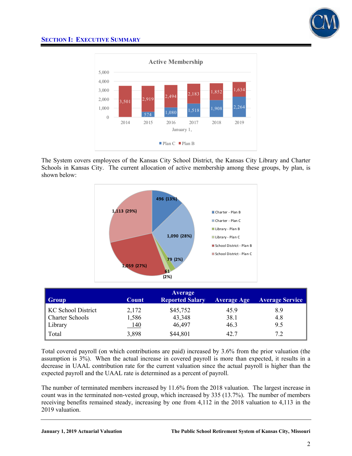



The System covers employees of the Kansas City School District, the Kansas City Library and Charter Schools in Kansas City. The current allocation of active membership among these groups, by plan, is shown below:



| Group                     | Count | <b>Average</b><br><b>Reported Salary</b> | <b>Average Age</b> | <b>Average Service</b> |
|---------------------------|-------|------------------------------------------|--------------------|------------------------|
| <b>KC School District</b> | 2,172 | \$45,752                                 | 45.9               | 8.9                    |
| <b>Charter Schools</b>    | 1,586 | 43,348                                   | 38.1               | 4.8                    |
| Library                   | 140   | 46,497                                   | 46.3               | 9.5                    |
| Total                     | 3,898 | \$44,801                                 | 42.7               | 7.2                    |

Total covered payroll (on which contributions are paid) increased by 3.6% from the prior valuation (the assumption is 3%). When the actual increase in covered payroll is more than expected, it results in a decrease in UAAL contribution rate for the current valuation since the actual payroll is higher than the expected payroll and the UAAL rate is determined as a percent of payroll.

The number of terminated members increased by 11.6% from the 2018 valuation. The largest increase in count was in the terminated non-vested group, which increased by 335 (13.7%). The number of members receiving benefits remained steady, increasing by one from 4,112 in the 2018 valuation to 4,113 in the 2019 valuation.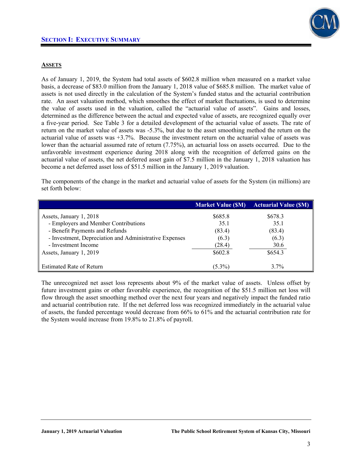### **ASSETS**

As of January 1, 2019, the System had total assets of \$602.8 million when measured on a market value basis, a decrease of \$83.0 million from the January 1, 2018 value of \$685.8 million. The market value of assets is not used directly in the calculation of the System's funded status and the actuarial contribution rate. An asset valuation method, which smoothes the effect of market fluctuations, is used to determine the value of assets used in the valuation, called the "actuarial value of assets". Gains and losses, determined as the difference between the actual and expected value of assets, are recognized equally over a five-year period. See Table 3 for a detailed development of the actuarial value of assets. The rate of return on the market value of assets was -5.3%, but due to the asset smoothing method the return on the actuarial value of assets was +3.7%. Because the investment return on the actuarial value of assets was lower than the actuarial assumed rate of return (7.75%), an actuarial loss on assets occurred. Due to the unfavorable investment experience during 2018 along with the recognition of deferred gains on the actuarial value of assets, the net deferred asset gain of \$7.5 million in the January 1, 2018 valuation has become a net deferred asset loss of \$51.5 million in the January 1, 2019 valuation.

The components of the change in the market and actuarial value of assets for the System (in millions) are set forth below:

|                                                        | <b>Market Value (SM)</b> | <b>Actuarial Value (SM)</b> |
|--------------------------------------------------------|--------------------------|-----------------------------|
| Assets, January 1, 2018                                | \$685.8                  | \$678.3                     |
| - Employers and Member Contributions                   | 35.1                     | 35.1                        |
| - Benefit Payments and Refunds                         | (83.4)                   | (83.4)                      |
| - Investment, Depreciation and Administrative Expenses | (6.3)                    | (6.3)                       |
| - Investment Income                                    | (28.4)                   | 30.6                        |
| Assets, January 1, 2019                                | \$602.8                  | \$654.3                     |
|                                                        |                          |                             |
| <b>Estimated Rate of Return</b>                        | $(5.3\%)$                | $3.7\%$                     |

The unrecognized net asset loss represents about 9% of the market value of assets. Unless offset by future investment gains or other favorable experience, the recognition of the \$51.5 million net loss will flow through the asset smoothing method over the next four years and negatively impact the funded ratio and actuarial contribution rate. If the net deferred loss was recognized immediately in the actuarial value of assets, the funded percentage would decrease from 66% to 61% and the actuarial contribution rate for the System would increase from 19.8% to 21.8% of payroll.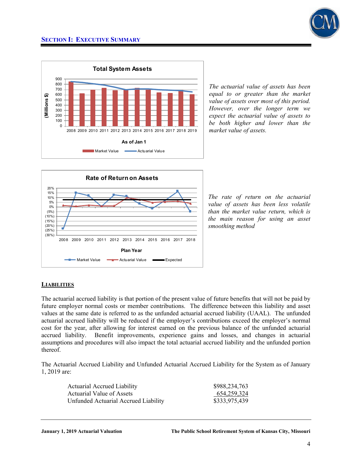



*The actuarial value of assets has been equal to or greater than the market value of assets over most of this period. However, over the longer term we expect the actuarial value of assets to be both higher and lower than the market value of assets.* 



*The rate of return on the actuarial value of assets has been less volatile than the market value return, which is the main reason for using an asset smoothing method*

### **LIABILITIES**

The actuarial accrued liability is that portion of the present value of future benefits that will not be paid by future employer normal costs or member contributions. The difference between this liability and asset values at the same date is referred to as the unfunded actuarial accrued liability (UAAL). The unfunded actuarial accrued liability will be reduced if the employer's contributions exceed the employer's normal cost for the year, after allowing for interest earned on the previous balance of the unfunded actuarial accrued liability. Benefit improvements, experience gains and losses, and changes in actuarial assumptions and procedures will also impact the total actuarial accrued liability and the unfunded portion thereof.

The Actuarial Accrued Liability and Unfunded Actuarial Accrued Liability for the System as of January 1, 2019 are:

| <b>Actuarial Accrued Liability</b>   | \$988,234,763 |
|--------------------------------------|---------------|
| Actuarial Value of Assets            | 654,259,324   |
| Unfunded Actuarial Accrued Liability | \$333,975,439 |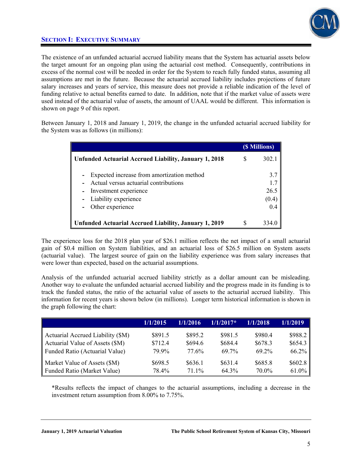

The existence of an unfunded actuarial accrued liability means that the System has actuarial assets below the target amount for an ongoing plan using the actuarial cost method. Consequently, contributions in excess of the normal cost will be needed in order for the System to reach fully funded status, assuming all assumptions are met in the future. Because the actuarial accrued liability includes projections of future salary increases and years of service, this measure does not provide a reliable indication of the level of funding relative to actual benefits earned to date. In addition, note that if the market value of assets were used instead of the actuarial value of assets, the amount of UAAL would be different. This information is shown on page 9 of this report.

Between January 1, 2018 and January 1, 2019, the change in the unfunded actuarial accrued liability for the System was as follows (in millions):

|                                                                                                                                                          |   | (\$ Millions)                      |
|----------------------------------------------------------------------------------------------------------------------------------------------------------|---|------------------------------------|
| <b>Unfunded Actuarial Accrued Liability, January 1, 2018</b>                                                                                             |   | 302.1                              |
| Expected increase from amortization method<br>Actual versus actuarial contributions<br>Investment experience<br>Liability experience<br>Other experience |   | 3.7<br>1.7<br>26.5<br>(0.4)<br>0.4 |
| <b>Unfunded Actuarial Accrued Liability, January 1, 2019</b>                                                                                             | S |                                    |

The experience loss for the 2018 plan year of \$26.1 million reflects the net impact of a small actuarial gain of \$0.4 million on System liabilities, and an actuarial loss of \$26.5 million on System assets (actuarial value). The largest source of gain on the liability experience was from salary increases that were lower than expected, based on the actuarial assumptions.

Analysis of the unfunded actuarial accrued liability strictly as a dollar amount can be misleading. Another way to evaluate the unfunded actuarial accrued liability and the progress made in its funding is to track the funded status, the ratio of the actuarial value of assets to the actuarial accrued liability. This information for recent years is shown below (in millions). Longer term historical information is shown in the graph following the chart:

|                                   | 1/1/2015 | 1/1/2016          | $1/1/2017*$ | 1/1/2018 | 1/1/2019 |
|-----------------------------------|----------|-------------------|-------------|----------|----------|
| Actuarial Accrued Liability (\$M) | \$891.5  | \$895.2           | \$981.5     | \$980.4  | \$988.2  |
| Actuarial Value of Assets (\$M)   | \$712.4  | \$694.6           | \$684.4     | \$678.3  | \$654.3  |
| Funded Ratio (Actuarial Value)    | 79.9%    | 77.6 <sup>%</sup> | 69.7%       | 69.2%    | 66.2%    |
| Market Value of Assets (\$M)      | \$698.5  | \$636.1           | \$631.4     | \$685.8  | \$602.8  |
| Funded Ratio (Market Value)       | 78.4%    | 71 1%             | 64.3%       | 70.0%    | 61.0%    |

\*Results reflects the impact of changes to the actuarial assumptions, including a decrease in the investment return assumption from 8.00% to 7.75%.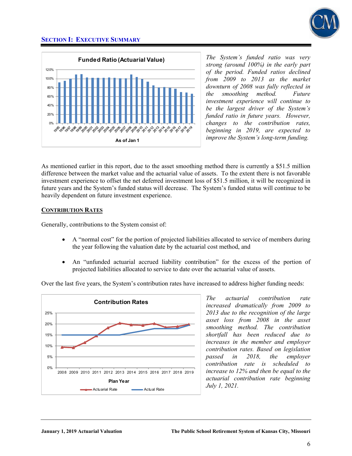



*The System's funded ratio was very strong (around 100%) in the early part of the period. Funded ratios declined from 2009 to 2013 as the market downturn of 2008 was fully reflected in the smoothing method. Future investment experience will continue to be the largest driver of the System's funded ratio in future years. However, changes to the contribution rates, beginning in 2019, are expected to improve the System's long-term funding.* 

As mentioned earlier in this report, due to the asset smoothing method there is currently a \$51.5 million difference between the market value and the actuarial value of assets. To the extent there is not favorable investment experience to offset the net deferred investment loss of \$51.5 million, it will be recognized in future years and the System's funded status will decrease. The System's funded status will continue to be heavily dependent on future investment experience.

### **CONTRIBUTION RATES**

Generally, contributions to the System consist of:

- A "normal cost" for the portion of projected liabilities allocated to service of members during the year following the valuation date by the actuarial cost method, and
- An "unfunded actuarial accrued liability contribution" for the excess of the portion of projected liabilities allocated to service to date over the actuarial value of assets.

Over the last five years, the System's contribution rates have increased to address higher funding needs:



*The actuarial contribution rate increased dramatically from 2009 to 2013 due to the recognition of the large asset loss from 2008 in the asset smoothing method. The contribution shortfall has been reduced due to increases in the member and employer contribution rates. Based on legislation passed in 2018, the employer contribution rate is scheduled to increase to 12% and then be equal to the actuarial contribution rate beginning July 1, 2021.*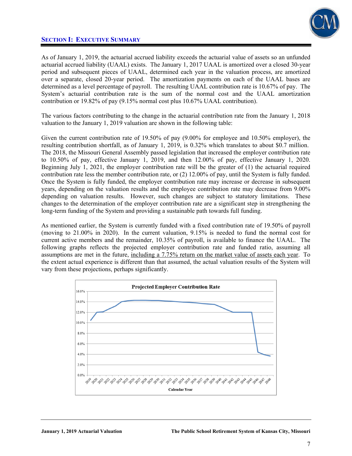

As of January 1, 2019, the actuarial accrued liability exceeds the actuarial value of assets so an unfunded actuarial accrued liability (UAAL) exists. The January 1, 2017 UAAL is amortized over a closed 30-year period and subsequent pieces of UAAL, determined each year in the valuation process, are amortized over a separate, closed 20-year period. The amortization payments on each of the UAAL bases are determined as a level percentage of payroll. The resulting UAAL contribution rate is 10.67% of pay. The System's actuarial contribution rate is the sum of the normal cost and the UAAL amortization contribution or 19.82% of pay (9.15% normal cost plus 10.67% UAAL contribution).

The various factors contributing to the change in the actuarial contribution rate from the January 1, 2018 valuation to the January 1, 2019 valuation are shown in the following table:

Given the current contribution rate of 19.50% of pay (9.00% for employee and 10.50% employer), the resulting contribution shortfall, as of January 1, 2019, is 0.32% which translates to about \$0.7 million. The 2018, the Missouri General Assembly passed legislation that increased the employer contribution rate to 10.50% of pay, effective January 1, 2019, and then 12.00% of pay, effective January 1, 2020. Beginning July 1, 2021, the employer contribution rate will be the greater of (1) the actuarial required contribution rate less the member contribution rate, or (2) 12.00% of pay, until the System is fully funded. Once the System is fully funded, the employer contribution rate may increase or decrease in subsequent years, depending on the valuation results and the employee contribution rate may decrease from 9.00% depending on valuation results. However, such changes are subject to statutory limitations. These changes to the determination of the employer contribution rate are a significant step in strengthening the long-term funding of the System and providing a sustainable path towards full funding.

As mentioned earlier, the System is currently funded with a fixed contribution rate of 19.50% of payroll (moving to 21.00% in 2020). In the current valuation, 9.15% is needed to fund the normal cost for current active members and the remainder, 10.35% of payroll, is available to finance the UAAL. The following graphs reflects the projected employer contribution rate and funded ratio, assuming all assumptions are met in the future, including a 7.75% return on the market value of assets each year. To the extent actual experience is different than that assumed, the actual valuation results of the System will vary from these projections, perhaps significantly.

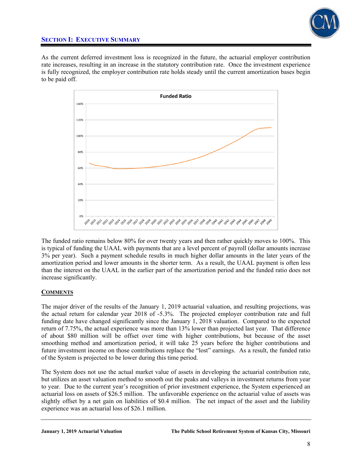

As the current deferred investment loss is recognized in the future, the actuarial employer contribution rate increases, resulting in an increase in the statutory contribution rate. Once the investment experience is fully recognized, the employer contribution rate holds steady until the current amortization bases begin to be paid off.



The funded ratio remains below 80% for over twenty years and then rather quickly moves to 100%. This is typical of funding the UAAL with payments that are a level percent of payroll (dollar amounts increase 3% per year). Such a payment schedule results in much higher dollar amounts in the later years of the amortization period and lower amounts in the shorter term. As a result, the UAAL payment is often less than the interest on the UAAL in the earlier part of the amortization period and the funded ratio does not increase significantly.

### **COMMENTS**

The major driver of the results of the January 1, 2019 actuarial valuation, and resulting projections, was the actual return for calendar year 2018 of -5.3%. The projected employer contribution rate and full funding date have changed significantly since the January 1, 2018 valuation. Compared to the expected return of 7.75%, the actual experience was more than 13% lower than projected last year. That difference of about \$80 million will be offset over time with higher contributions, but because of the asset smoothing method and amortization period, it will take 25 years before the higher contributions and future investment income on those contributions replace the "lost" earnings. As a result, the funded ratio of the System is projected to be lower during this time period.

The System does not use the actual market value of assets in developing the actuarial contribution rate, but utilizes an asset valuation method to smooth out the peaks and valleys in investment returns from year to year. Due to the current year's recognition of prior investment experience, the System experienced an actuarial loss on assets of \$26.5 million. The unfavorable experience on the actuarial value of assets was slightly offset by a net gain on liabilities of \$0.4 million. The net impact of the asset and the liability experience was an actuarial loss of \$26.1 million.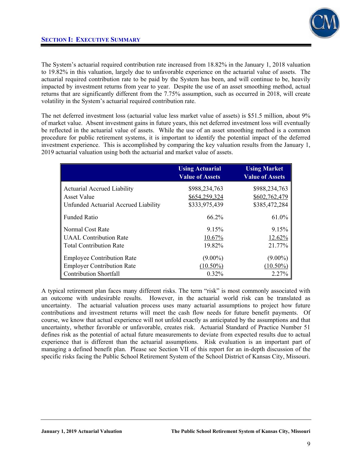

The System's actuarial required contribution rate increased from 18.82% in the January 1, 2018 valuation to 19.82% in this valuation, largely due to unfavorable experience on the actuarial value of assets. The actuarial required contribution rate to be paid by the System has been, and will continue to be, heavily impacted by investment returns from year to year. Despite the use of an asset smoothing method, actual returns that are significantly different from the 7.75% assumption, such as occurred in 2018, will create volatility in the System's actuarial required contribution rate.

The net deferred investment loss (actuarial value less market value of assets) is \$51.5 million, about 9% of market value. Absent investment gains in future years, this net deferred investment loss will eventually be reflected in the actuarial value of assets. While the use of an asset smoothing method is a common procedure for public retirement systems, it is important to identify the potential impact of the deferred investment experience. This is accomplished by comparing the key valuation results from the January 1, 2019 actuarial valuation using both the actuarial and market value of assets.

|                                      | <b>Using Actuarial</b><br><b>Value of Assets</b> | <b>Using Market</b><br><b>Value of Assets</b> |
|--------------------------------------|--------------------------------------------------|-----------------------------------------------|
| <b>Actuarial Accrued Liability</b>   | \$988,234,763                                    | \$988,234,763                                 |
| <b>Asset Value</b>                   | \$654,259,324                                    | \$602,762,479                                 |
| Unfunded Actuarial Accrued Liability | \$333,975,439                                    | \$385,472,284                                 |
| <b>Funded Ratio</b>                  | 66.2%                                            | 61.0%                                         |
| Normal Cost Rate                     | 9.15%                                            | 9.15%                                         |
| <b>UAAL</b> Contribution Rate        | 10.67%                                           | 12.62%                                        |
| <b>Total Contribution Rate</b>       | 19.82%                                           | 21.77%                                        |
| <b>Employee Contribution Rate</b>    | $(9.00\%)$                                       | $(9.00\%)$                                    |
| <b>Employer Contribution Rate</b>    | $(10.50\%)$                                      | $(10.50\%)$                                   |
| <b>Contribution Shortfall</b>        | 0.32%                                            | 2.27%                                         |

A typical retirement plan faces many different risks. The term "risk" is most commonly associated with an outcome with undesirable results. However, in the actuarial world risk can be translated as uncertainty. The actuarial valuation process uses many actuarial assumptions to project how future contributions and investment returns will meet the cash flow needs for future benefit payments. Of course, we know that actual experience will not unfold exactly as anticipated by the assumptions and that uncertainty, whether favorable or unfavorable, creates risk. Actuarial Standard of Practice Number 51 defines risk as the potential of actual future measurements to deviate from expected results due to actual experience that is different than the actuarial assumptions. Risk evaluation is an important part of managing a defined benefit plan. Please see Section VII of this report for an in-depth discussion of the specific risks facing the Public School Retirement System of the School District of Kansas City, Missouri.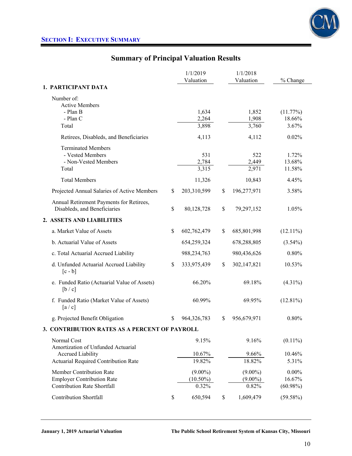

# **Summary of Principal Valuation Results**

|                                                                                                     |               | 1/1/2019                           | 1/1/2018                          |                                   |
|-----------------------------------------------------------------------------------------------------|---------------|------------------------------------|-----------------------------------|-----------------------------------|
| 1. PARTICIPANT DATA                                                                                 |               | Valuation                          | Valuation                         | % Change                          |
|                                                                                                     |               |                                    |                                   |                                   |
| Number of:<br><b>Active Members</b><br>- Plan B<br>- Plan C<br>Total                                |               | 1,634<br>2,264<br>3,898            | 1,852<br>1,908<br>3,760           | (11.77%)<br>18.66%<br>3.67%       |
| Retirees, Disableds, and Beneficiaries                                                              |               | 4,113                              | 4,112                             | 0.02%                             |
| <b>Terminated Members</b><br>- Vested Members<br>- Non-Vested Members<br>Total                      |               | 531<br>2,784<br>$\frac{1}{3,315}$  | 522<br>2,449<br>2,971             | 1.72%<br>13.68%<br>11.58%         |
| <b>Total Members</b>                                                                                |               | 11,326                             | 10,843                            | 4.45%                             |
| Projected Annual Salaries of Active Members                                                         | \$            | 203,310,599                        | \$<br>196,277,971                 | 3.58%                             |
| Annual Retirement Payments for Retirees,<br>Disableds, and Beneficiaries                            | \$            | 80,128,728                         | \$<br>79,297,152                  | 1.05%                             |
| 2. ASSETS AND LIABILITIES                                                                           |               |                                    |                                   |                                   |
| a. Market Value of Assets                                                                           | \$            | 602,762,479                        | \$<br>685,801,998                 | $(12.11\%)$                       |
| b. Actuarial Value of Assets                                                                        |               | 654,259,324                        | 678,288,805                       | $(3.54\%)$                        |
| c. Total Actuarial Accrued Liability                                                                |               | 988,234,763                        | 980,436,626                       | 0.80%                             |
| d. Unfunded Actuarial Accrued Liability<br>$[c - b]$                                                | \$            | 333,975,439                        | \$<br>302,147,821                 | 10.53%                            |
| e. Funded Ratio (Actuarial Value of Assets)<br>[b/c]                                                |               | 66.20%                             | 69.18%                            | $(4.31\%)$                        |
| f. Funded Ratio (Market Value of Assets)<br>[a/c]                                                   |               | 60.99%                             | 69.95%                            | $(12.81\%)$                       |
| g. Projected Benefit Obligation                                                                     | <sup>\$</sup> | 964,326,783                        | \$<br>956,679,971                 | 0.80%                             |
| 3. CONTRIBUTION RATES AS A PERCENT OF PAYROLL                                                       |               |                                    |                                   |                                   |
| Normal Cost<br>Amortization of Unfunded Actuarial                                                   |               | 9.15%                              | 9.16%                             | $(0.11\%)$                        |
| <b>Accrued Liability</b><br>Actuarial Required Contribution Rate                                    |               | 10.67%<br>19.82%                   | 9.66%<br>18.82%                   | 10.46%<br>5.31%                   |
| Member Contribution Rate<br><b>Employer Contribution Rate</b><br><b>Contribution Rate Shortfall</b> |               | $(9.00\%)$<br>$(10.50\%)$<br>0.32% | $(9.00\%)$<br>$(9.00\%)$<br>0.82% | $0.00\%$<br>16.67%<br>$(60.98\%)$ |
| <b>Contribution Shortfall</b>                                                                       | \$            | 650,594                            | \$<br>1,609,479                   | $(59.58\%)$                       |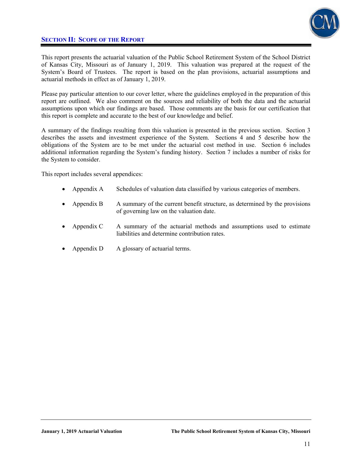## **SECTION II: SCOPE OF THE REPORT**



This report presents the actuarial valuation of the Public School Retirement System of the School District of Kansas City, Missouri as of January 1, 2019. This valuation was prepared at the request of the System's Board of Trustees. The report is based on the plan provisions, actuarial assumptions and actuarial methods in effect as of January 1, 2019.

Please pay particular attention to our cover letter, where the guidelines employed in the preparation of this report are outlined. We also comment on the sources and reliability of both the data and the actuarial assumptions upon which our findings are based. Those comments are the basis for our certification that this report is complete and accurate to the best of our knowledge and belief.

A summary of the findings resulting from this valuation is presented in the previous section. Section 3 describes the assets and investment experience of the System. Sections 4 and 5 describe how the obligations of the System are to be met under the actuarial cost method in use. Section 6 includes additional information regarding the System's funding history. Section 7 includes a number of risks for the System to consider.

This report includes several appendices:

- Appendix A Schedules of valuation data classified by various categories of members.
- Appendix B A summary of the current benefit structure, as determined by the provisions of governing law on the valuation date.
- Appendix C A summary of the actuarial methods and assumptions used to estimate liabilities and determine contribution rates.
- Appendix D A glossary of actuarial terms.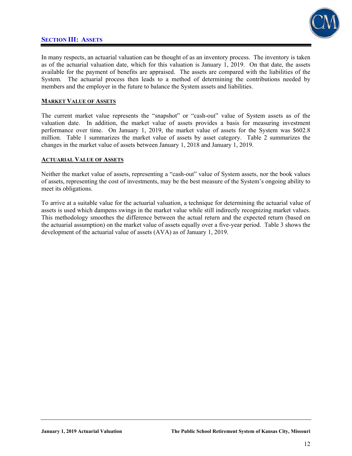### **SECTION III: ASSETS**



In many respects, an actuarial valuation can be thought of as an inventory process. The inventory is taken as of the actuarial valuation date, which for this valuation is January 1, 2019. On that date, the assets available for the payment of benefits are appraised. The assets are compared with the liabilities of the System. The actuarial process then leads to a method of determining the contributions needed by members and the employer in the future to balance the System assets and liabilities.

### **MARKET VALUE OF ASSETS**

The current market value represents the "snapshot" or "cash-out" value of System assets as of the valuation date. In addition, the market value of assets provides a basis for measuring investment performance over time. On January 1, 2019, the market value of assets for the System was \$602.8 million. Table 1 summarizes the market value of assets by asset category. Table 2 summarizes the changes in the market value of assets between January 1, 2018 and January 1, 2019.

### **ACTUARIAL VALUE OF ASSETS**

Neither the market value of assets, representing a "cash-out" value of System assets, nor the book values of assets, representing the cost of investments, may be the best measure of the System's ongoing ability to meet its obligations.

To arrive at a suitable value for the actuarial valuation, a technique for determining the actuarial value of assets is used which dampens swings in the market value while still indirectly recognizing market values. This methodology smoothes the difference between the actual return and the expected return (based on the actuarial assumption) on the market value of assets equally over a five-year period. Table 3 shows the development of the actuarial value of assets (AVA) as of January 1, 2019.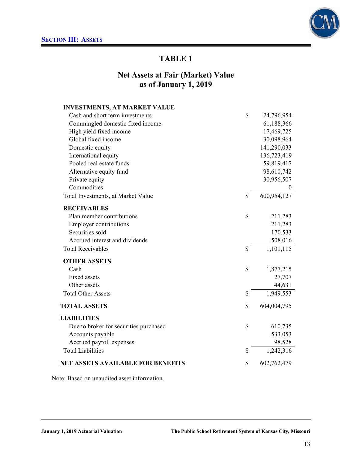

## **Net Assets at Fair (Market) Value as of January 1, 2019**

| <b>INVESTMENTS, AT MARKET VALUE</b>      |                   |
|------------------------------------------|-------------------|
| Cash and short term investments          | \$<br>24,796,954  |
| Commingled domestic fixed income         | 61,188,366        |
| High yield fixed income                  | 17,469,725        |
| Global fixed income                      | 30,098,964        |
| Domestic equity                          | 141,290,033       |
| International equity                     | 136,723,419       |
| Pooled real estate funds                 | 59,819,417        |
| Alternative equity fund                  | 98,610,742        |
| Private equity                           | 30,956,507        |
| Commodities                              | $\mathbf{0}$      |
| Total Investments, at Market Value       | \$<br>600,954,127 |
| <b>RECEIVABLES</b>                       |                   |
| Plan member contributions                | \$<br>211,283     |
| <b>Employer contributions</b>            | 211,283           |
| Securities sold                          | 170,533           |
| Accrued interest and dividends           | 508,016           |
| <b>Total Receivables</b>                 | \$<br>1,101,115   |
| <b>OTHER ASSETS</b>                      |                   |
| Cash                                     | \$<br>1,877,215   |
| <b>Fixed assets</b>                      | 27,707            |
| Other assets                             | 44,631            |
| <b>Total Other Assets</b>                | \$<br>1,949,553   |
| <b>TOTAL ASSETS</b>                      | \$<br>604,004,795 |
| LIABILITIES                              |                   |
| Due to broker for securities purchased   | \$<br>610,735     |
| Accounts payable                         | 533,053           |
| Accrued payroll expenses                 | 98,528            |
| <b>Total Liabilities</b>                 | \$<br>1,242,316   |
| <b>NET ASSETS AVAILABLE FOR BENEFITS</b> | \$<br>602,762,479 |

Note: Based on unaudited asset information.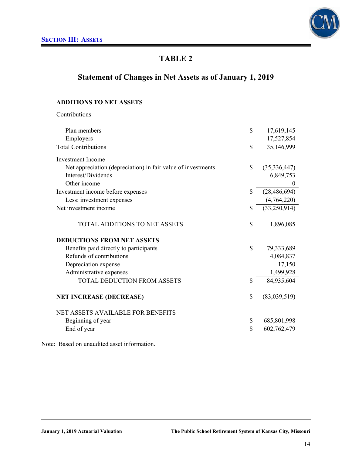

# **Statement of Changes in Net Assets as of January 1, 2019**

### **ADDITIONS TO NET ASSETS**

Contributions

| Plan members                                                 | \$<br>17,619,145     |
|--------------------------------------------------------------|----------------------|
| Employers                                                    | 17,527,854           |
| <b>Total Contributions</b>                                   | \$<br>35,146,999     |
| <b>Investment</b> Income                                     |                      |
| Net appreciation (depreciation) in fair value of investments | \$<br>(35, 336, 447) |
| Interest/Dividends                                           | 6,849,753            |
| Other income                                                 | $\boldsymbol{0}$     |
| Investment income before expenses                            | \$<br>(28, 486, 694) |
| Less: investment expenses                                    | (4,764,220)          |
| Net investment income                                        | \$<br>(33,250,914)   |
| TOTAL ADDITIONS TO NET ASSETS                                | \$<br>1,896,085      |
| <b>DEDUCTIONS FROM NET ASSETS</b>                            |                      |
| Benefits paid directly to participants                       | \$<br>79,333,689     |
| Refunds of contributions                                     | 4,084,837            |
| Depreciation expense                                         | 17,150               |
| Administrative expenses                                      | 1,499,928            |
| TOTAL DEDUCTION FROM ASSETS                                  | \$<br>84,935,604     |
| <b>NET INCREASE (DECREASE)</b>                               | \$<br>(83,039,519)   |
| <b>NET ASSETS AVAILABLE FOR BENEFITS</b>                     |                      |
| Beginning of year                                            | \$<br>685,801,998    |
| End of year                                                  | \$<br>602,762,479    |
|                                                              |                      |

Note: Based on unaudited asset information.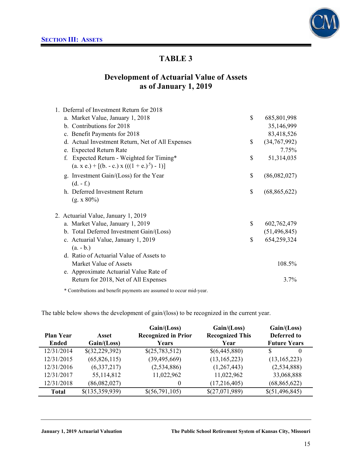

## **Development of Actuarial Value of Assets as of January 1, 2019**

| 1. Deferral of Investment Return for 2018        |                      |
|--------------------------------------------------|----------------------|
| a. Market Value, January 1, 2018                 | \$<br>685,801,998    |
| b. Contributions for 2018                        | 35,146,999           |
| c. Benefit Payments for 2018                     | 83,418,526           |
| d. Actual Investment Return, Net of All Expenses | \$<br>(34,767,992)   |
| e. Expected Return Rate                          | 7.75%                |
| Expected Return - Weighted for Timing*           | \$<br>51,314,035     |
| $(a, x, e) + [(b, -c, x)((1 + e, b^{5}) - 1)]$   |                      |
| g. Investment Gain/(Loss) for the Year           | \$<br>(86,082,027)   |
| $(d. - f.)$                                      |                      |
| h. Deferred Investment Return                    | \$<br>(68, 865, 622) |
| $(g. x 80\%)$                                    |                      |
| 2. Actuarial Value, January 1, 2019              |                      |
| a. Market Value, January 1, 2019                 | \$<br>602,762,479    |
| b. Total Deferred Investment Gain/(Loss)         | (51, 496, 845)       |
| c. Actuarial Value, January 1, 2019              | \$<br>654,259,324    |
| $(a. - b.)$                                      |                      |
| d. Ratio of Actuarial Value of Assets to         |                      |
| Market Value of Assets                           | 108.5%               |
| e. Approximate Actuarial Value Rate of           |                      |
| Return for 2018, Net of All Expenses             | 3.7%                 |
|                                                  |                      |

\* Contributions and benefit payments are assumed to occur mid-year.

The table below shows the development of gain/(loss) to be recognized in the current year.

| Asset | Gain / (Loss)<br><b>Recognized in Prior</b>                                                                     | Gain/(Loss)<br><b>Recognized This</b>                                                                | Gain/(Loss)<br><b>Deferred to</b>                                                                      |                                                                                                        |
|-------|-----------------------------------------------------------------------------------------------------------------|------------------------------------------------------------------------------------------------------|--------------------------------------------------------------------------------------------------------|--------------------------------------------------------------------------------------------------------|
|       |                                                                                                                 |                                                                                                      |                                                                                                        | $\theta$                                                                                               |
|       |                                                                                                                 |                                                                                                      |                                                                                                        |                                                                                                        |
|       |                                                                                                                 |                                                                                                      |                                                                                                        |                                                                                                        |
|       |                                                                                                                 |                                                                                                      |                                                                                                        |                                                                                                        |
|       |                                                                                                                 |                                                                                                      |                                                                                                        |                                                                                                        |
|       |                                                                                                                 |                                                                                                      |                                                                                                        |                                                                                                        |
|       | Gain/(Loss)<br>\$(32,229,392)<br>(65, 826, 115)<br>(6,337,217)<br>55,114,812<br>(86,082,027)<br>\$(135,359,939) | Years<br>\$(25,783,512)<br>(39, 495, 669)<br>(2,534,886)<br>11,022,962<br>$\theta$<br>\$(56,791,105) | Year<br>\$(6,445,880)<br>(13, 165, 223)<br>(1,267,443)<br>11,022,962<br>(17,216,405)<br>\$(27,071,989) | <b>Future Years</b><br>(13, 165, 223)<br>(2,534,888)<br>33,068,888<br>(68, 865, 622)<br>\$(51,496,845) |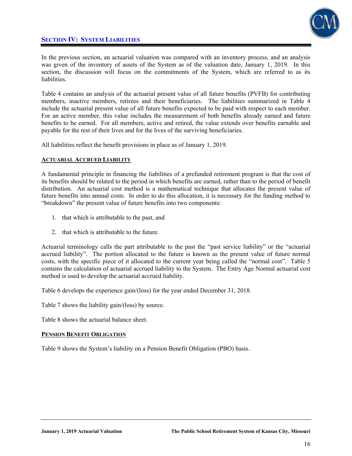## **SECTION IV: SYSTEM LIABILITIES**



In the previous section, an actuarial valuation was compared with an inventory process, and an analysis was given of the inventory of assets of the System as of the valuation date, January 1, 2019. In this section, the discussion will focus on the commitments of the System, which are referred to as its liabilities.

Table 4 contains an analysis of the actuarial present value of all future benefits (PVFB) for contributing members, inactive members, retirees and their beneficiaries. The liabilities summarized in Table 4 include the actuarial present value of all future benefits expected to be paid with respect to each member. For an active member, this value includes the measurement of both benefits already earned and future benefits to be earned. For all members, active and retired, the value extends over benefits earnable and payable for the rest of their lives and for the lives of the surviving beneficiaries.

All liabilities reflect the benefit provisions in place as of January 1, 2019.

### **ACTUARIAL ACCRUED LIABILITY**

A fundamental principle in financing the liabilities of a prefunded retirement program is that the cost of its benefits should be related to the period in which benefits are earned, rather than to the period of benefit distribution. An actuarial cost method is a mathematical technique that allocates the present value of future benefits into annual costs. In order to do this allocation, it is necessary for the funding method to "breakdown" the present value of future benefits into two components:

- 1. that which is attributable to the past, and
- 2. that which is attributable to the future.

Actuarial terminology calls the part attributable to the past the "past service liability" or the "actuarial accrued liability". The portion allocated to the future is known as the present value of future normal costs, with the specific piece of it allocated to the current year being called the "normal cost". Table 5 contains the calculation of actuarial accrued liability to the System. The Entry Age Normal actuarial cost method is used to develop the actuarial accrued liability.

Table 6 develops the experience gain/(loss) for the year ended December 31, 2018.

Table 7 shows the liability gain/(loss) by source.

Table 8 shows the actuarial balance sheet.

### **PENSION BENEFIT OBLIGATION**

Table 9 shows the System's liability on a Pension Benefit Obligation (PBO) basis.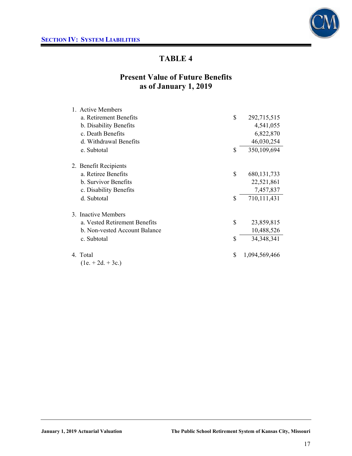

# **Present Value of Future Benefits as of January 1, 2019**

| 1. Active Members             |                     |
|-------------------------------|---------------------|
| a. Retirement Benefits        | \$<br>292,715,515   |
| b. Disability Benefits        | 4,541,055           |
| c. Death Benefits             | 6,822,870           |
| d. Withdrawal Benefits        | 46,030,254          |
| e. Subtotal                   | \$<br>350,109,694   |
| 2. Benefit Recipients         |                     |
| a. Retiree Benefits           | \$<br>680, 131, 733 |
| b. Survivor Benefits          | 22,521,861          |
| c. Disability Benefits        | 7,457,837           |
| d. Subtotal                   | \$<br>710,111,431   |
| 3. Inactive Members           |                     |
| a. Vested Retirement Benefits | \$<br>23,859,815    |
| b. Non-vested Account Balance | 10,488,526          |
| c. Subtotal                   | \$<br>34, 348, 341  |
| 4. Total                      | \$<br>1,094,569,466 |
| $(1e + 2d + 3c)$              |                     |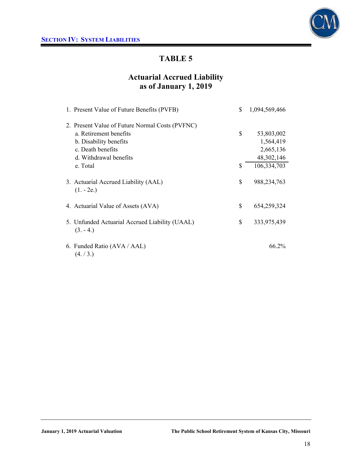

# **Actuarial Accrued Liability as of January 1, 2019**

| 1. Present Value of Future Benefits (PVFB)                   | \$. | 1,094,569,466 |
|--------------------------------------------------------------|-----|---------------|
| 2. Present Value of Future Normal Costs (PVFNC)              |     |               |
| a. Retirement benefits                                       | \$  | 53,803,002    |
| b. Disability benefits                                       |     | 1,564,419     |
| c. Death benefits                                            |     | 2,665,136     |
| d. Withdrawal benefits                                       |     | 48,302,146    |
| e. Total                                                     | \$. | 106,334,703   |
| 3. Actuarial Accrued Liability (AAL)<br>$(1. - 2e.)$         | \$  | 988, 234, 763 |
| 4. Actuarial Value of Assets (AVA)                           | \$  | 654,259,324   |
| 5. Unfunded Actuarial Accrued Liability (UAAL)<br>$(3. -4.)$ | \$  | 333,975,439   |
| 6. Funded Ratio (AVA / AAL)<br>(4. / 3.)                     |     | 66.2%         |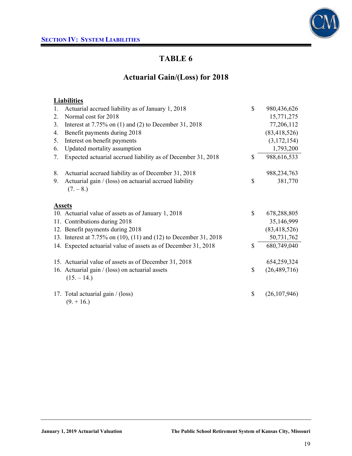

# **Actuarial Gain/(Loss) for 2018**

## **Liabilities**

| 1. | Actuarial accrued liability as of January 1, 2018                   | \$<br>980,436,626    |
|----|---------------------------------------------------------------------|----------------------|
| 2. | Normal cost for 2018                                                | 15,771,275           |
| 3. | Interest at $7.75\%$ on (1) and (2) to December 31, 2018            | 77,206,112           |
| 4. | Benefit payments during 2018                                        | (83, 418, 526)       |
| 5. | Interest on benefit payments                                        | (3,172,154)          |
| 6. | Updated mortality assumption                                        | 1,793,200            |
| 7. | Expected actuarial accrued liability as of December 31, 2018        | \$<br>988,616,533    |
| 8. | Actuarial accrued liability as of December 31, 2018                 | 988, 234, 763        |
| 9. | Actuarial gain / (loss) on actuarial accrued liability<br>$(7, -8)$ | \$<br>381,770        |
|    | <b>Assets</b>                                                       |                      |
|    | 10. Actuarial value of assets as of January 1, 2018                 | \$<br>678,288,805    |
|    | 11. Contributions during 2018                                       | 35,146,999           |
|    | 12. Benefit payments during 2018                                    | (83, 418, 526)       |
|    | 13. Interest at 7.75% on (10), (11) and (12) to December 31, 2018   | 50,731,762           |
|    | 14. Expected actuarial value of assets as of December 31, 2018      | \$<br>680,749,040    |
|    | 15. Actuarial value of assets as of December 31, 2018               | 654,259,324          |
|    | 16. Actuarial gain / (loss) on actuarial assets<br>$(15. - 14.)$    | \$<br>(26, 489, 716) |
|    | 17. Total actuarial gain / (loss)<br>$(9. + 16.)$                   | \$<br>(26, 107, 946) |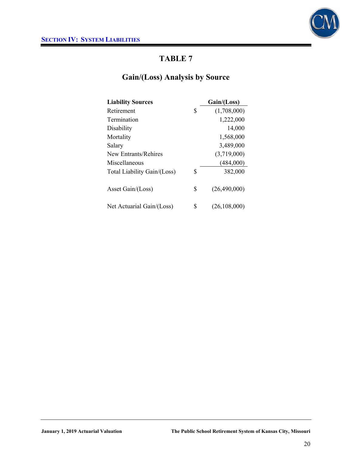

# **Gain/(Loss) Analysis by Source**

| <b>Liability Sources</b>    | Gain/(Loss)          |
|-----------------------------|----------------------|
| Retirement                  | \$<br>(1,708,000)    |
| <b>Termination</b>          | 1,222,000            |
| Disability                  | 14,000               |
| Mortality                   | 1,568,000            |
| Salary                      | 3,489,000            |
| New Entrants/Rehires        | (3,719,000)          |
| Miscellaneous               | (484,000)            |
| Total Liability Gain/(Loss) | \$<br>382,000        |
| Asset Gain/(Loss)           | \$<br>(26,490,000)   |
| Net Actuarial Gain/(Loss)   | \$<br>(26, 108, 000) |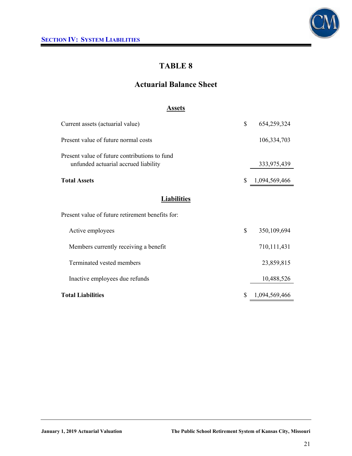

# **Actuarial Balance Sheet**

### **Assets**

| Current assets (actuarial value)                                                      | \$           | 654,259,324   |
|---------------------------------------------------------------------------------------|--------------|---------------|
| Present value of future normal costs                                                  |              | 106,334,703   |
| Present value of future contributions to fund<br>unfunded actuarial accrued liability |              | 333,975,439   |
| <b>Total Assets</b>                                                                   | \$           | 1,094,569,466 |
| <b>Liabilities</b>                                                                    |              |               |
| Present value of future retirement benefits for:                                      |              |               |
| Active employees                                                                      | $\mathbb{S}$ | 350,109,694   |
| Members currently receiving a benefit                                                 |              | 710,111,431   |
| Terminated vested members                                                             |              | 23,859,815    |
| Inactive employees due refunds                                                        |              | 10,488,526    |
| <b>Total Liabilities</b>                                                              | \$           | 1,094,569,466 |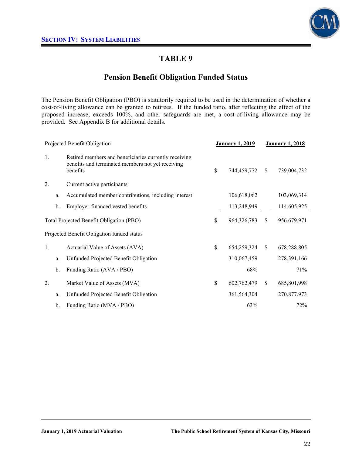

## **Pension Benefit Obligation Funded Status**

The Pension Benefit Obligation (PBO) is statutorily required to be used in the determination of whether a cost-of-living allowance can be granted to retirees. If the funded ratio, after reflecting the effect of the proposed increase, exceeds 100%, and other safeguards are met, a cost-of-living allowance may be provided. See Appendix B for additional details.

| Projected Benefit Obligation |    | <b>January 1, 2019</b>                                                                                                 |                   | <b>January 1, 2018</b> |               |
|------------------------------|----|------------------------------------------------------------------------------------------------------------------------|-------------------|------------------------|---------------|
| 1.                           |    | Retired members and beneficiaries currently receiving<br>benefits and terminated members not yet receiving<br>benefits | \$<br>744,459,772 | <sup>\$</sup>          | 739,004,732   |
| 2.                           |    | Current active participants                                                                                            |                   |                        |               |
|                              | a. | Accumulated member contributions, including interest                                                                   | 106,618,062       |                        | 103,069,314   |
|                              | b. | Employer-financed vested benefits                                                                                      | 113,248,949       |                        | 114,605,925   |
|                              |    | Total Projected Benefit Obligation (PBO)                                                                               | \$<br>964,326,783 | \$                     | 956,679,971   |
|                              |    | Projected Benefit Obligation funded status                                                                             |                   |                        |               |
| 1.                           |    | Actuarial Value of Assets (AVA)                                                                                        | \$<br>654,259,324 | \$                     | 678,288,805   |
|                              | a. | Unfunded Projected Benefit Obligation                                                                                  | 310,067,459       |                        | 278, 391, 166 |
|                              | b. | Funding Ratio (AVA / PBO)                                                                                              | 68%               |                        | 71%           |
| $\overline{2}$ .             |    | Market Value of Assets (MVA)                                                                                           | \$<br>602,762,479 | \$                     | 685,801,998   |
|                              | a. | Unfunded Projected Benefit Obligation                                                                                  | 361,564,304       |                        | 270,877,973   |
|                              | b. | Funding Ratio (MVA / PBO)                                                                                              | 63%               |                        | 72%           |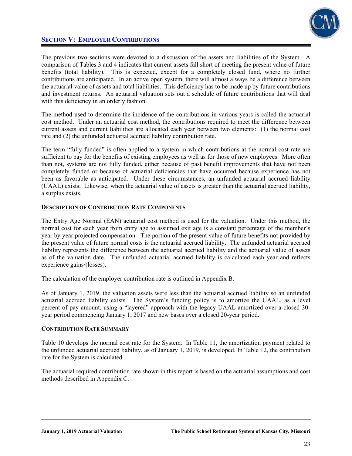

## **SECTION V: EMPLOYER CONTRIBUTIONS**

The previous two sections were devoted to a discussion of the assets and liabilities of the System. A comparison of Tables 3 and 4 indicates that current assets fall short of meeting the present value of future benefits (total liability). This is expected, except for a completely closed fund, where no further contributions are anticipated. In an active open system, there will almost always be a difference between the actuarial value of assets and total liabilities. This deficiency has to be made up by future contributions and investment returns. An actuarial valuation sets out a schedule of future contributions that will deal with this deficiency in an orderly fashion.

The method used to determine the incidence of the contributions in various years is called the actuarial cost method. Under an actuarial cost method, the contributions required to meet the difference between current assets and current liabilities are allocated each year between two elements: (1) the normal cost rate and (2) the unfunded actuarial accrued liability contribution rate.

The term "fully funded" is often applied to a system in which contributions at the normal cost rate are sufficient to pay for the benefits of existing employees as well as for those of new employees. More often than not, systems are not fully funded, either because of past benefit improvements that have not been completely funded or because of actuarial deficiencies that have occurred because experience has not been as favorable as anticipated. Under these circumstances, an unfunded actuarial accrued liability (UAAL) exists. Likewise, when the actuarial value of assets is greater than the actuarial accrued liability, a surplus exists.

### **DESCRIPTION OF CONTRIBUTION RATE COMPONENTS**

The Entry Age Normal (EAN) actuarial cost method is used for the valuation. Under this method, the normal cost for each year from entry age to assumed exit age is a constant percentage of the member's year by year projected compensation. The portion of the present value of future benefits not provided by the present value of future normal costs is the actuarial accrued liability. The unfunded actuarial accrued liability represents the difference between the actuarial accrued liability and the actuarial value of assets as of the valuation date. The unfunded actuarial accrued liability is calculated each year and reflects experience gains/(losses).

The calculation of the employer contribution rate is outlined in Appendix B.

As of January 1, 2019, the valuation assets were less than the actuarial accrued liability so an unfunded actuarial accrued liability exists. The System's funding policy is to amortize the UAAL, as a level percent of pay amount, using a "layered" approach with the legacy UAAL amortized over a closed 30 year period commencing January 1, 2017 and new bases over a closed 20-year period.

### **CONTRIBUTION RATE SUMMARY**

Table 10 develops the normal cost rate for the System. In Table 11, the amortization payment related to the unfunded actuarial accrued liability, as of January 1, 2019, is developed. In Table 12, the contribution rate for the System is calculated.

The actuarial required contribution rate shown in this report is based on the actuarial assumptions and cost methods described in Appendix C.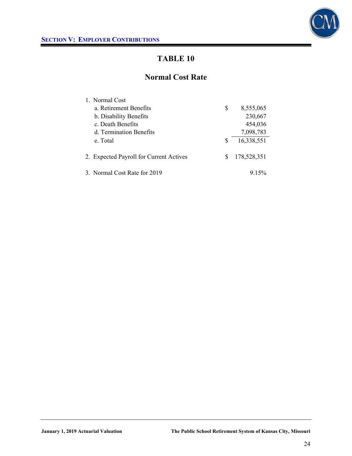

## **Normal Cost Rate**

| 1. Normal Cost                          |   |             |
|-----------------------------------------|---|-------------|
| a. Retirement Benefits                  | S | 8,555,065   |
| b. Disability Benefits                  |   | 230,667     |
| c. Death Benefits                       |   | 454,036     |
| d. Termination Benefits                 |   | 7,098,783   |
| e. Total                                | S | 16,338,551  |
| 2. Expected Payroll for Current Actives | S | 178,528,351 |
| 3. Normal Cost Rate for 2019            |   | 9 1 5 %     |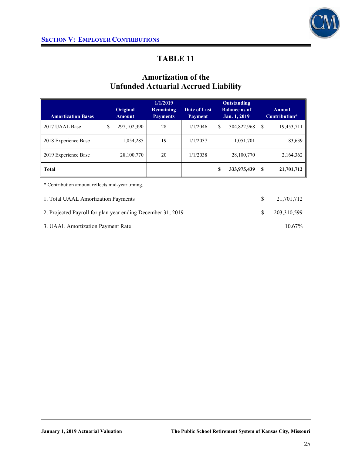

# **Amortization of the Unfunded Actuarial Accrued Liability**

| <b>Amortization Bases</b> | Original<br><b>Amount</b> | 1/1/2019<br>Remaining<br><b>Payments</b> | Date of Last<br><b>Payment</b> | <b>Outstanding</b><br><b>Balance as of</b><br>Jan. 1, 2019 |    | <b>Annual</b><br>Contribution* |
|---------------------------|---------------------------|------------------------------------------|--------------------------------|------------------------------------------------------------|----|--------------------------------|
| 2017 UAAL Base            | \$<br>297, 102, 390       | 28                                       | 1/1/2046                       | \$<br>304,822,968                                          | \$ | 19,453,711                     |
| 2018 Experience Base      | 1,054,285                 | 19                                       | 1/1/2037                       | 1,051,701                                                  |    | 83,639                         |
| 2019 Experience Base      | 28,100,770                | 20                                       | 1/1/2038                       | 28,100,770                                                 |    | 2,164,362                      |
| <b>Total</b>              |                           |                                          |                                | \$<br>333,975,439                                          | S  | 21,701,712                     |

\* Contribution amount reflects mid-year timing.

| 1. Total UAAL Amortization Payments                         | 21,701,712  |
|-------------------------------------------------------------|-------------|
| 2. Projected Payroll for plan year ending December 31, 2019 | 203.310.599 |
| 3. UAAL Amortization Payment Rate                           | $10.67\%$   |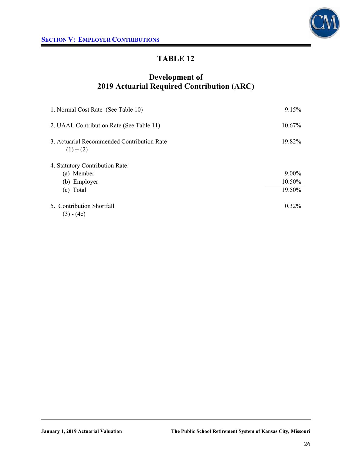

# **Development of 2019 Actuarial Required Contribution (ARC)**

| 1. Normal Cost Rate (See Table 10)                        | 9.15%     |
|-----------------------------------------------------------|-----------|
| 2. UAAL Contribution Rate (See Table 11)                  | $10.67\%$ |
| 3. Actuarial Recommended Contribution Rate<br>$(1) + (2)$ | 19.82%    |
| 4. Statutory Contribution Rate:                           |           |
| (a) Member                                                | $9.00\%$  |
| (b) Employer                                              | 10.50%    |
| (c) Total                                                 | 19.50%    |
| 5. Contribution Shortfall<br>$(3) - (4c)$                 | $0.32\%$  |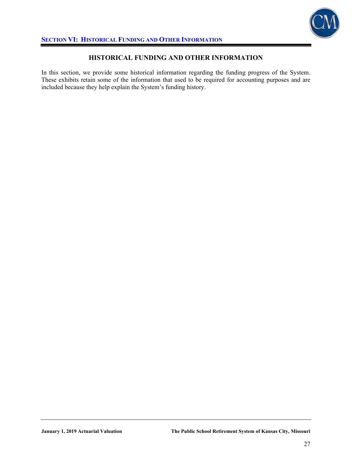

### **HISTORICAL FUNDING AND OTHER INFORMATION**

In this section, we provide some historical information regarding the funding progress of the System. These exhibits retain some of the information that used to be required for accounting purposes and are included because they help explain the System's funding history.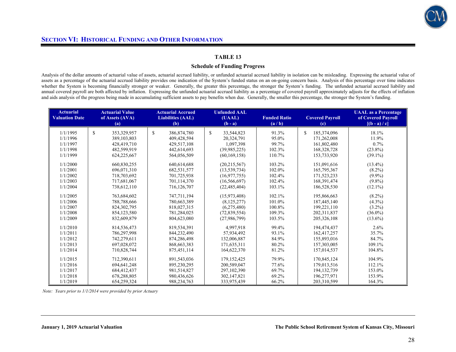

#### **Schedule of Funding Progress**

Analysis of the dollar amounts of actuarial value of assets, actuarial accrued liability, or unfunded actuarial accrued liability in isolation can be misleading. Expressing the actuarial value of assets as a percentage of the actuarial accrued liability provides one indication of the System's funded status on an on-going concern basis. Analysis of this percentage over time indicates whether the System is becoming financially stronger or weaker. Generally, the greater this percentage, the stronger the System's funding. The unfunded actuarial accrued liability and annual covered payroll are both affected by inflation. Expressing the unfunded actuarial accrued liability as a percentage of covered payroll approximately adjusts for the effects of inflation and aids analysis of the progress being made in accumulating sufficient assets to pay benefits when due. Generally, the smaller this percentage, the stronger the System's funding.

| <b>Actuarial</b><br><b>Valuation Date</b> | <b>Actuarial Value</b><br>of Assets (AVA)<br>(a) | <b>Actuarial Accrued</b><br><b>Liabilities (AAL)</b><br>(b) | <b>Unfunded AAL</b><br>(UAAL)<br>$(b - a)$ | <b>Funded Ratio</b><br>(a/b) | <b>Covered Payroll</b><br>$\left( \mathrm{c} \right)$ | <b>UAAL</b> as a Percentage<br>of Covered Payroll<br>$[(b - a)/c]$ |
|-------------------------------------------|--------------------------------------------------|-------------------------------------------------------------|--------------------------------------------|------------------------------|-------------------------------------------------------|--------------------------------------------------------------------|
| 1/1/1995                                  | \$.<br>353,329,957                               | \$.<br>386,874,780                                          | \$.<br>33,544,823                          | 91.3%                        | 185,374,096<br>\$.                                    | 18.1%                                                              |
| 1/1/1996                                  | 389, 103, 803                                    | 409,428,594                                                 | 20,324,791                                 | 95.0%                        | 171,262,008                                           | 11.9%                                                              |
| 1/1/1997                                  | 428,419,710                                      | 429,517,108                                                 | 1,097,398                                  | 99.7%                        | 161,802,480                                           | $0.7\%$                                                            |
| 1/1/1998                                  | 482,599,919                                      | 442,614,693                                                 | (39.985.225)                               | 102.3%                       | 168,328,728                                           | $(23.8\%)$                                                         |
| 1/1/1999                                  | 624,225,667                                      | 564,056,509                                                 | (60, 169, 158)                             | 110.7%                       | 153,733,920                                           | $(39.1\%)$                                                         |
| 1/1/2000                                  | 660,830,255                                      | 640,614,688                                                 | (20, 215, 567)                             | 103.2%                       | 151,091,616                                           | $(13.4\%)$                                                         |
| 1/1/2001                                  | 696,071,310                                      | 682,531,577                                                 | (13, 539, 734)                             | 102.0%                       | 165,795,367                                           | $(8.2\%)$                                                          |
| 1/1/2002                                  | 718,703,692                                      | 701,725,938                                                 | (16,977,755)                               | 102.4%                       | 171,523,233                                           | $(9.9\%)$                                                          |
| 1/1/2003                                  | 717,681,067                                      | 701,114,370                                                 | (16, 566, 697)                             | 102.4%                       | 168,391,474                                           | $(9.8\%)$                                                          |
| 1/1/2004                                  | 738,612,110                                      | 716,126,707                                                 | (22, 485, 404)                             | 103.1%                       | 186,528,530                                           | $(12.1\%)$                                                         |
| 1/1/2005                                  | 763,684,602                                      | 747,711,194                                                 | (15,973,408)                               | 102.1%                       | 195,866,663                                           | $(8.2\%)$                                                          |
| 1/1/2006                                  | 788,788,666                                      | 780,663,389                                                 | (8, 125, 277)                              | 101.0%                       | 187,445,140                                           | $(4.3\%)$                                                          |
| 1/1/2007                                  | 824.302.795                                      | 818,027,315                                                 | (6,275,480)                                | 100.8%                       | 199,221,110                                           | $(3.2\%)$                                                          |
| 1/1/2008                                  | 854,123,580                                      | 781,284,025                                                 | (72, 839, 554)                             | 109.3%                       | 202,311,837                                           | $(36.0\%)$                                                         |
| 1/1/2009                                  | 832,609,879                                      | 804,623,080                                                 | (27,986,799)                               | 103.5%                       | 205, 326, 108                                         | $(13.6\%)$                                                         |
| 1/1/2010                                  | 814,536,473                                      | 819,534,391                                                 | 4,997,918                                  | 99.4%                        | 194,474,437                                           | $2.6\%$                                                            |
| 1/1/2011                                  | 786,297,998                                      | 844,232,490                                                 | 57,934,492                                 | 93.1%                        | 162,417,257                                           | 35.7%                                                              |
| 1/1/2012                                  | 742,279,611                                      | 874,286,498                                                 | 132,006,887                                | 84.9%                        | 155,893,016                                           | 84.7%                                                              |
| 1/1/2013                                  | 697,028,072                                      | 868, 663, 383                                               | 171,635,311                                | 80.2%                        | 157,303,005                                           | 109.1%                                                             |
| 1/1/2014                                  | 710,828,744                                      | 875,451,114                                                 | 164,622,370                                | 81.2%                        | 157,014,537                                           | 104.8%                                                             |
| 1/1/2015                                  | 712.390.611                                      | 891,543,036                                                 | 179, 152, 425                              | 79.9%                        | 170,845,124                                           | 104.9%                                                             |
| 1/1/2016                                  | 694, 641, 248                                    | 895,230,295                                                 | 200,589,047                                | 77.6%                        | 179,013,516                                           | 112.1%                                                             |
| 1/1/2017                                  | 684,412,437                                      | 981,514,827                                                 | 297, 102, 390                              | 69.7%                        | 194, 132, 739                                         | 153.0%                                                             |
| 1/1/2018                                  | 678,288,805                                      | 980,436,626                                                 | 302,147,821                                | 69.2%                        | 196,277,971                                           | 153.9%                                                             |
| 1/1/2019                                  | 654,259,324                                      | 988,234,763                                                 | 333,975,439                                | 66.2%                        | 203,310,599                                           | 164.3%                                                             |

 *Note: Years prior to 1/1/2014 were provided by prior Actuary*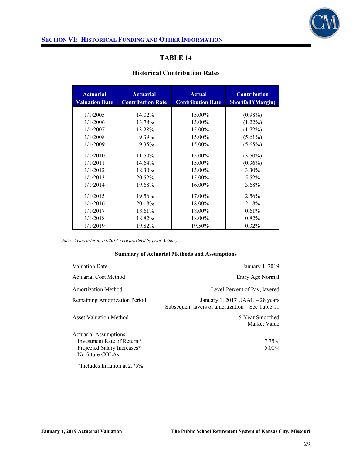

### **Historical Contribution Rates**

| <b>Actuarial</b><br><b>Valuation Date</b> | <b>Actuarial</b><br><b>Contribution Rate</b> | <b>Actual</b><br><b>Contribution Rate</b> | <b>Contribution</b><br>Shortfall/(Margin) |
|-------------------------------------------|----------------------------------------------|-------------------------------------------|-------------------------------------------|
| 1/1/2005                                  | 14.02%                                       | 15.00%                                    | $(0.98\%)$                                |
| 1/1/2006                                  | 13.78%                                       | 15.00%                                    | $(1.22\%)$                                |
| 1/1/2007                                  | 13.28%                                       | 15.00%                                    | $(1.72\%)$                                |
| 1/1/2008                                  | 9.39%                                        | 15.00%                                    | $(5.61\%)$                                |
|                                           |                                              |                                           |                                           |
| 1/1/2009                                  | 9.35%                                        | 15.00%                                    | $(5.65\%)$                                |
| 1/1/2010                                  | 11.50%                                       | 15.00%                                    | $(3.50\%)$                                |
| 1/1/2011                                  | 14.64%                                       | 15.00%                                    | $(0.36\%)$                                |
| 1/1/2012                                  | 18.30%                                       | 15.00%                                    | 3.30%                                     |
| 1/1/2013                                  | 20.52%                                       | 15.00%                                    | 5.52%                                     |
| 1/1/2014                                  | 19.68%                                       | 16.00%                                    | 3.68%                                     |
| 1/1/2015                                  | 19.56%                                       | 17.00%                                    | 2.56%                                     |
| 1/1/2016                                  | 20.18%                                       | 18.00%                                    | 2.18%                                     |
| 1/1/2017                                  |                                              |                                           |                                           |
|                                           | 18.61%                                       | 18.00%                                    | 0.61%                                     |
| 1/1/2018                                  | 18.82%                                       | 18.00%                                    | $0.82\%$                                  |
| 1/1/2019                                  | 19.82%                                       | 19.50%                                    | $0.32\%$                                  |

*Note: Years prior to 1/1/2014 were provided by prior Actuary.* 

#### **Summary of Actuarial Methods and Assumptions**

| <b>Valuation Date</b>                                                                                  | January 1, 2019                                                                       |
|--------------------------------------------------------------------------------------------------------|---------------------------------------------------------------------------------------|
| Actuarial Cost Method                                                                                  | Entry Age Normal                                                                      |
| Amortization Method                                                                                    | Level-Percent of Pay, layered                                                         |
| Remaining Amortization Period                                                                          | January 1, 2017 UAAL $-$ 28 years<br>Subsequent layers of amortization – See Table 11 |
| Asset Valuation Method                                                                                 | 5-Year Smoothed<br>Market Value                                                       |
| Actuarial Assumptions:<br>Investment Rate of Return*<br>Projected Salary Increases*<br>No future COLAs | 7.75%<br>$5.00\%$                                                                     |

\*Includes Inflation at 2.75%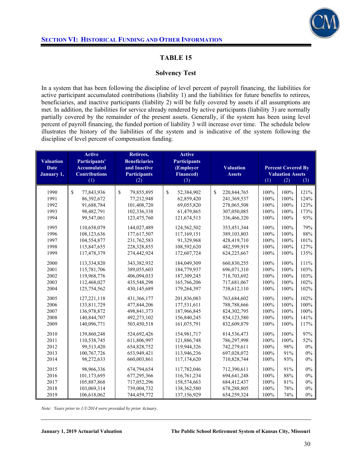

### **Solvency Test**

In a system that has been following the discipline of level percent of payroll financing, the liabilities for active participant accumulated contributions (liability 1) and the liabilities for future benefits to retirees, beneficiaries, and inactive participants (liability 2) will be fully covered by assets if all assumptions are met. In addition, the liabilities for service already rendered by active participants (liability 3) are normally partially covered by the remainder of the present assets. Generally, if the system has been using level percent of payroll financing, the funded portion of liability 3 will increase over time. The schedule below illustrates the history of the liabilities of the system and is indicative of the system following the discipline of level percent of compensation funding.

| <b>Valuation</b><br><b>Date</b><br>January 1, | <b>Active</b><br>Participants'<br><b>Accumulated</b><br><b>Contributions</b> | Retirees,<br><b>Beneficiaries</b><br>and Inactive<br><b>Participants</b> | <b>Active</b><br><b>Participants</b><br>(Employer<br><b>Financed</b> ) | <b>Percent Covered By</b><br><b>Valuation</b><br><b>Valuation Assets</b><br><b>Assets</b> |              |              |              |
|-----------------------------------------------|------------------------------------------------------------------------------|--------------------------------------------------------------------------|------------------------------------------------------------------------|-------------------------------------------------------------------------------------------|--------------|--------------|--------------|
|                                               | (1)                                                                          | (2)                                                                      | (3)                                                                    |                                                                                           | (1)          | (2)          | (3)          |
| 1990<br>1991                                  | \$<br>77,843,936<br>86,392,672                                               | \$<br>79,855,895<br>77,212,948                                           | \$<br>52,384,902<br>62,859,420                                         | \$<br>220, 844, 765<br>241,369,537                                                        | 100%<br>100% | 100%<br>100% | 121%<br>124% |
| 1992                                          | 91,688,784                                                                   | 101,408,720                                                              | 69,055,820                                                             | 278,065,508                                                                               | 100%         | 100%         | 123%         |
| 1993                                          | 98,482,791                                                                   | 102,336,338                                                              | 61,479,865                                                             | 307,050,085                                                                               | 100%         | 100%         | 173%         |
| 1994                                          | 99,547,061                                                                   | 123,475,760                                                              | 121,674,513                                                            | 336,466,320                                                                               | 100%         | 100%         | 93%          |
| 1995                                          | 110,658,079                                                                  | 144,027,489                                                              | 124,562,502                                                            | 353,451,344                                                                               | 100%         | 100%         | 79%          |
| 1996                                          | 108,123,636                                                                  | 177,617,507                                                              | 117,169,151                                                            | 389,103,803                                                                               | 100%         | 100%         | 88%          |
| 1997                                          | 104,554,877                                                                  | 231,762,583                                                              | 91,329,968                                                             | 428,419,710                                                                               | 100%         | 100%         | 101%         |
| 1998                                          | 115,847,655                                                                  | 228,328,855                                                              | 108,592,620                                                            | 482,599,919                                                                               | 100%         | 100%         | 127%         |
| 1999                                          | 117,478,379                                                                  | 274,442,924                                                              | 172,607,724                                                            | 624,225,667                                                                               | 100%         | 100%         | 135%         |
| 2000                                          | 113,334,820                                                                  | 343,382,932                                                              | 184,049,309                                                            | 660,830,255                                                                               | 100%         | 100%         | 111%         |
| 2001                                          | 115,781,706                                                                  | 389,055,603                                                              | 184,779,937                                                            | 696,071,310                                                                               | 100%         | 100%         | 103%         |
| 2002                                          | 119,968,776                                                                  | 406,094,033                                                              | 187,309,245                                                            | 718,703,692                                                                               | 100%         | 100%         | 103%         |
| 2003                                          | 112,468,027                                                                  | 435,548,298                                                              | 165,766,206                                                            | 717,681,067                                                                               | 100%         | 100%         | 102%         |
| 2004                                          | 125,754,562                                                                  | 430,145,689                                                              | 179,264,397                                                            | 738,612,110                                                                               | 100%         | 100%         | 102%         |
| 2005                                          | 127, 221, 118                                                                | 431,366,177                                                              | 201,836,083                                                            | 763,684,602                                                                               | 100%         | 100%         | 102%         |
| 2006                                          | 133,811,729                                                                  | 477,844,206                                                              | 177,531,611                                                            | 788,788,666                                                                               | 100%         | 100%         | 100%         |
| 2007                                          | 136,978,872                                                                  | 498, 841, 373                                                            | 187,966,845                                                            | 824, 302, 795                                                                             | 100%         | 100%         | 100%         |
| 2008                                          | 140,844,707                                                                  | 492,273,102                                                              | 156,840,245                                                            | 854,123,580                                                                               | 100%         | 100%         | 141%         |
| 2009                                          | 140,096,771                                                                  | 503,450,518                                                              | 161,075,791                                                            | 832,609,879                                                                               | 100%         | 100%         | 117%         |
| 2010                                          | 139,860,248                                                                  | 524,692,426                                                              | 154.981.717                                                            | 814,536,473                                                                               | 100%         | 100%         | 97%          |
| 2011                                          | 110,538,745                                                                  | 611,806,997                                                              | 121,886,748                                                            | 786,297,998                                                                               | 100%         | 100%         | 52%          |
| 2012                                          | 99,513,420                                                                   | 654,828,752                                                              | 119,944,326                                                            | 742,279,611                                                                               | 100%         | 98%          | $0\%$        |
| 2013                                          | 100,767,726                                                                  | 653,949,421                                                              | 113,946,236                                                            | 697,028,072                                                                               | 100%         | 91%          | 0%           |
| 2014                                          | 98,272,633                                                                   | 660,003,861                                                              | 117,174,620                                                            | 710,828,744                                                                               | 100%         | 93%          | $0\%$        |
| 2015                                          | 98,966,336                                                                   | 674,794,654                                                              | 117,782,046                                                            | 712,390,611                                                                               | 100%         | 91%          | $0\%$        |
| 2016                                          | 101,173,695                                                                  | 677,295,366                                                              | 116,761,234                                                            | 694,641,248                                                                               | 100%         | 88%          | 0%           |
| 2017                                          | 105,887,868                                                                  | 717,052,296                                                              | 158,574,663                                                            | 684,412,437                                                                               | 100%         | 81%          | $0\%$        |
| 2018                                          | 103,069,314                                                                  | 739,004,732                                                              | 138,362,580                                                            | 678,288,805                                                                               | 100%         | 78%          | 0%           |
| 2019                                          | 106,618,062                                                                  | 744,459,772                                                              | 137,156,929                                                            | 654,259,324                                                                               | 100%         | 74%          | $0\%$        |

*Note: Years prior to 1/1/2014 were provided by prior Actuary*.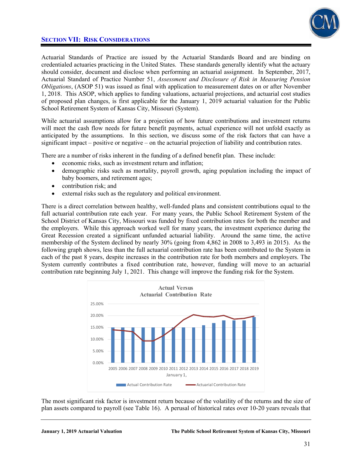



Actuarial Standards of Practice are issued by the Actuarial Standards Board and are binding on credentialed actuaries practicing in the United States. These standards generally identify what the actuary should consider, document and disclose when performing an actuarial assignment. In September, 2017, Actuarial Standard of Practice Number 51, *Assessment and Disclosure of Risk in Measuring Pension Obligations*, (ASOP 51) was issued as final with application to measurement dates on or after November 1, 2018. This ASOP, which applies to funding valuations, actuarial projections, and actuarial cost studies of proposed plan changes, is first applicable for the January 1, 2019 actuarial valuation for the Public School Retirement System of Kansas City, Missouri (System).

While actuarial assumptions allow for a projection of how future contributions and investment returns will meet the cash flow needs for future benefit payments, actual experience will not unfold exactly as anticipated by the assumptions. In this section, we discuss some of the risk factors that can have a significant impact – positive or negative – on the actuarial projection of liability and contribution rates.

There are a number of risks inherent in the funding of a defined benefit plan. These include:

- economic risks, such as investment return and inflation;
- demographic risks such as mortality, payroll growth, aging population including the impact of baby boomers, and retirement ages;
- contribution risk: and
- external risks such as the regulatory and political environment.

There is a direct correlation between healthy, well-funded plans and consistent contributions equal to the full actuarial contribution rate each year. For many years, the Public School Retirement System of the School District of Kansas City, Missouri was funded by fixed contribution rates for both the member and the employers. While this approach worked well for many years, the investment experience during the Great Recession created a significant unfunded actuarial liability. Around the same time, the active membership of the System declined by nearly 30% (going from 4,862 in 2008 to 3,493 in 2015). As the following graph shows, less than the full actuarial contribution rate has been contributed to the System in each of the past 8 years, despite increases in the contribution rate for both members and employers. The System currently contributes a fixed contribution rate, however, funding will move to an actuarial contribution rate beginning July 1, 2021. This change will improve the funding risk for the System.



The most significant risk factor is investment return because of the volatility of the returns and the size of plan assets compared to payroll (see Table 16). A perusal of historical rates over 10-20 years reveals that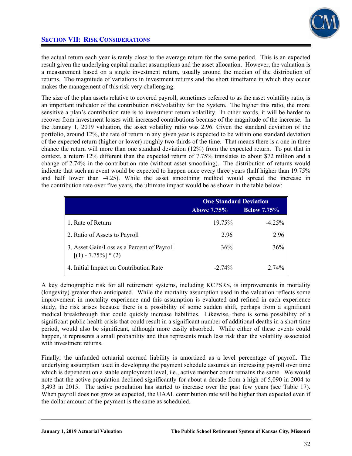

## **SECTION VII: RISK CONSIDERATIONS**

the actual return each year is rarely close to the average return for the same period. This is an expected result given the underlying capital market assumptions and the asset allocation. However, the valuation is a measurement based on a single investment return, usually around the median of the distribution of returns. The magnitude of variations in investment returns and the short timeframe in which they occur makes the management of this risk very challenging.

The size of the plan assets relative to covered payroll, sometimes referred to as the asset volatility ratio, is an important indicator of the contribution risk/volatility for the System. The higher this ratio, the more sensitive a plan's contribution rate is to investment return volatility. In other words, it will be harder to recover from investment losses with increased contributions because of the magnitude of the increase. In the January 1, 2019 valuation, the asset volatility ratio was 2.96. Given the standard deviation of the portfolio, around 12%, the rate of return in any given year is expected to be within one standard deviation of the expected return (higher or lower) roughly two-thirds of the time. That means there is a one in three chance the return will more than one standard deviation (12%) from the expected return. To put that in context, a return 12% different than the expected return of 7.75% translates to about \$72 million and a change of 2.74% in the contribution rate (without asset smoothing). The distribution of returns would indicate that such an event would be expected to happen once every three years (half higher than 19.75% and half lower than -4.25). While the asset smoothing method would spread the increase in the contribution rate over five years, the ultimate impact would be as shown in the table below:

|                                                                      | <b>One Standard Deviation</b> |                    |  |
|----------------------------------------------------------------------|-------------------------------|--------------------|--|
|                                                                      | <b>Above 7.75%</b>            | <b>Below 7.75%</b> |  |
| 1. Rate of Return                                                    | 19.75%                        | $-4.25%$           |  |
| 2. Ratio of Assets to Payroll                                        | 2.96                          | 2.96               |  |
| 3. Asset Gain/Loss as a Percent of Payroll<br>$[(1) - 7.75\%] * (2)$ | 36%                           | 36%                |  |
| 4. Initial Impact on Contribution Rate                               | $-2.74%$                      | 2.74%              |  |

A key demographic risk for all retirement systems, including KCPSRS, is improvements in mortality (longevity) greater than anticipated. While the mortality assumption used in the valuation reflects some improvement in mortality experience and this assumption is evaluated and refined in each experience study, the risk arises because there is a possibility of some sudden shift, perhaps from a significant medical breakthrough that could quickly increase liabilities. Likewise, there is some possibility of a significant public health crisis that could result in a significant number of additional deaths in a short time period, would also be significant, although more easily absorbed. While either of these events could happen, it represents a small probability and thus represents much less risk than the volatility associated with investment returns.

Finally, the unfunded actuarial accrued liability is amortized as a level percentage of payroll. The underlying assumption used in developing the payment schedule assumes an increasing payroll over time which is dependent on a stable employment level, i.e., active member count remains the same. We would note that the active population declined significantly for about a decade from a high of 5,090 in 2004 to 3,493 in 2015. The active population has started to increase over the past few years (see Table 17). When payroll does not grow as expected, the UAAL contribution rate will be higher than expected even if the dollar amount of the payment is the same as scheduled.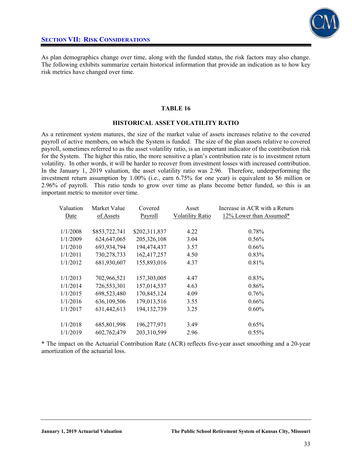

As plan demographics change over time, along with the funded status, the risk factors may also change. The following exhibits summarize certain historical information that provide an indication as to how key risk metrics have changed over time.

#### **TABLE 16**

#### **HISTORICAL ASSET VOLATILITY RATIO**

As a retirement system matures, the size of the market value of assets increases relative to the covered payroll of active members, on which the System is funded. The size of the plan assets relative to covered payroll, sometimes referred to as the asset volatility ratio, is an important indicator of the contribution risk for the System. The higher this ratio, the more sensitive a plan's contribution rate is to investment return volatility. In other words, it will be harder to recover from investment losses with increased contribution. In the January 1, 2019 valuation, the asset volatility ratio was 2.96. Therefore, underperforming the investment return assumption by 1.00% (i.e., earn 6.75% for one year) is equivalent to \$6 million or 2.96% of payroll. This ratio tends to grow over time as plans become better funded, so this is an important metric to monitor over time.

| Valuation | Market Value  | Covered       | Asset                   | Increase in ACR with a Return |
|-----------|---------------|---------------|-------------------------|-------------------------------|
| Date      | of Assets     | Payroll       | <b>Volatility Ratio</b> | 12% Lower than Assumed*       |
|           |               |               |                         |                               |
| 1/1/2008  | \$853,722,741 | \$202,311,837 | 4.22                    | 0.78%                         |
| 1/1/2009  | 624, 647, 065 | 205,326,108   | 3.04                    | $0.56\%$                      |
| 1/1/2010  | 693,934,794   | 194,474,437   | 3.57                    | 0.66%                         |
| 1/1/2011  | 730,278,733   | 162,417,257   | 4.50                    | $0.83\%$                      |
| 1/1/2012  | 681,930,607   | 155,893,016   | 4.37                    | 0.81%                         |
|           |               |               |                         |                               |
| 1/1/2013  | 702,966,521   | 157,303,005   | 4.47                    | $0.83\%$                      |
| 1/1/2014  | 726,553,301   | 157,014,537   | 4.63                    | $0.86\%$                      |
| 1/1/2015  | 698,523,480   | 170,845,124   | 4.09                    | $0.76\%$                      |
| 1/1/2016  | 636,109,506   | 179,013,516   | 3.55                    | $0.66\%$                      |
| 1/1/2017  | 631,442,613   | 194, 132, 739 | 3.25                    | $0.60\%$                      |
|           |               |               |                         |                               |
| 1/1/2018  | 685,801,998   | 196,277,971   | 3.49                    | 0.65%                         |
| 1/1/2019  | 602,762,479   | 203,310,599   | 2.96                    | $0.55\%$                      |

\* The impact on the Actuarial Contribution Rate (ACR) reflects five-year asset smoothing and a 20-year amortization of the actuarial loss.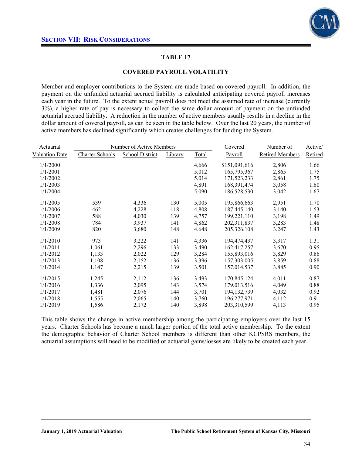

#### **COVERED PAYROLL VOLATILITY**

Member and employer contributions to the System are made based on covered payroll. In addition, the payment on the unfunded actuarial accrued liability is calculated anticipating covered payroll increases each year in the future. To the extent actual payroll does not meet the assumed rate of increase (currently 3%), a higher rate of pay is necessary to collect the same dollar amount of payment on the unfunded actuarial accrued liability. A reduction in the number of active members usually results in a decline in the dollar amount of covered payroll, as can be seen in the table below. Over the last 20 years, the number of active members has declined significantly which creates challenges for funding the System.

| Number of Active Members<br>Actuarial |                        |                        |         | Covered      | Number of     | Active/                |         |
|---------------------------------------|------------------------|------------------------|---------|--------------|---------------|------------------------|---------|
| <b>Valuation Date</b>                 | <b>Charter Schools</b> | <b>School District</b> | Library | <b>Total</b> | Payroll       | <b>Retired Members</b> | Retired |
| 1/1/2000                              |                        |                        |         | 4,666        | \$151,091,616 | 2,806                  | 1.66    |
| 1/1/2001                              |                        |                        |         | 5,012        | 165,795,367   | 2,865                  | 1.75    |
| 1/1/2002                              |                        |                        |         | 5,014        | 171,523,233   | 2,861                  | 1.75    |
| 1/1/2003                              |                        |                        |         | 4,891        | 168,391,474   | 3,058                  | 1.60    |
| 1/1/2004                              |                        |                        |         | 5,090        | 186,528,530   | 3,042                  | 1.67    |
| 1/1/2005                              | 539                    | 4,336                  | 130     | 5,005        | 195,866,663   | 2,951                  | 1.70    |
| 1/1/2006                              | 462                    | 4,228                  | 118     | 4,808        | 187,445,140   | 3,140                  | 1.53    |
| 1/1/2007                              | 588                    | 4,030                  | 139     | 4,757        | 199,221,110   | 3,198                  | 1.49    |
| 1/1/2008                              | 784                    | 3,937                  | 141     | 4,862        | 202,311,837   | 3,283                  | 1.48    |
| 1/1/2009                              | 820                    | 3,680                  | 148     | 4,648        | 205,326,108   | 3,247                  | 1.43    |
| 1/1/2010                              | 973                    | 3,222                  | 141     | 4,336        | 194,474,437   | 3,317                  | 1.31    |
| 1/1/2011                              | 1,061                  | 2,296                  | 133     | 3,490        | 162,417,257   | 3,670                  | 0.95    |
| 1/1/2012                              | 1,133                  | 2,022                  | 129     | 3,284        | 155,893,016   | 3,829                  | 0.86    |
| 1/1/2013                              | 1,108                  | 2,152                  | 136     | 3,396        | 157,303,005   | 3,859                  | 0.88    |
| 1/1/2014                              | 1,147                  | 2,215                  | 139     | 3,501        | 157,014,537   | 3,885                  | 0.90    |
| 1/1/2015                              | 1,245                  | 2,112                  | 136     | 3,493        | 170,845,124   | 4,011                  | 0.87    |
| 1/1/2016                              | 1,336                  | 2,095                  | 143     | 3,574        | 179,013,516   | 4,049                  | 0.88    |
| 1/1/2017                              | 1,481                  | 2,076                  | 144     | 3,701        | 194, 132, 739 | 4,032                  | 0.92    |
| 1/1/2018                              | 1,555                  | 2,065                  | 140     | 3,760        | 196,277,971   | 4,112                  | 0.91    |
| 1/1/2019                              | 1,586                  | 2,172                  | 140     | 3,898        | 203,310,599   | 4,113                  | 0.95    |

This table shows the change in active membership among the participating employers over the last 15 years. Charter Schools has become a much larger portion of the total active membership. To the extent the demographic behavior of Charter School members is different than other KCPSRS members, the actuarial assumptions will need to be modified or actuarial gains/losses are likely to be created each year.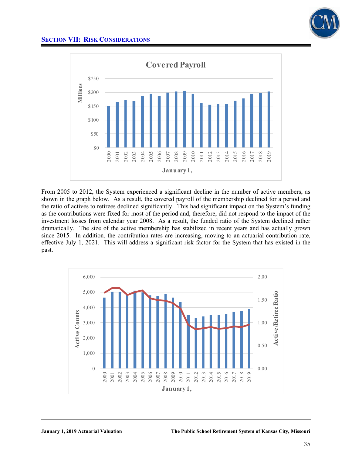

# **SECTION VII: RISK CONSIDERATIONS**



From 2005 to 2012, the System experienced a significant decline in the number of active members, as shown in the graph below. As a result, the covered payroll of the membership declined for a period and the ratio of actives to retirees declined significantly. This had significant impact on the System's funding as the contributions were fixed for most of the period and, therefore, did not respond to the impact of the investment losses from calendar year 2008. As a result, the funded ratio of the System declined rather dramatically. The size of the active membership has stabilized in recent years and has actually grown since 2015. In addition, the contribution rates are increasing, moving to an actuarial contribution rate, effective July 1, 2021. This will address a significant risk factor for the System that has existed in the past.

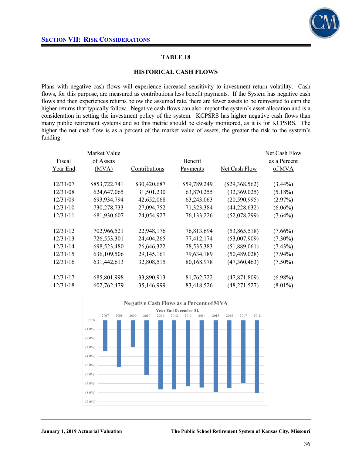

#### **HISTORICAL CASH FLOWS**

Plans with negative cash flows will experience increased sensitivity to investment return volatility. Cash flows, for this purpose, are measured as contributions less benefit payments. If the System has negative cash flows and then experiences returns below the assumed rate, there are fewer assets to be reinvested to earn the higher returns that typically follow. Negative cash flows can also impact the system's asset allocation and is a consideration in setting the investment policy of the system. KCPSRS has higher negative cash flows than many public retirement systems and so this metric should be closely monitored, as it is for KCPSRS. The higher the net cash flow is as a percent of the market value of assets, the greater the risk to the system's funding.

| Fiscal   | Market Value<br>of Assets |               | <b>Benefit</b> |                  | Net Cash Flow<br>as a Percent |
|----------|---------------------------|---------------|----------------|------------------|-------------------------------|
| Year End | (MVA)                     | Contributions | Payments       | Net Cash Flow    | of MVA                        |
| 12/31/07 | \$853,722,741             | \$30,420,687  | \$59,789,249   | $(\$29,368,562)$ | $(3.44\%)$                    |
| 12/31/08 | 624, 647, 065             | 31,501,230    | 63,870,255     | (32,369,025)     | $(5.18\%)$                    |
| 12/31/09 | 693,934,794               | 42,652,068    | 63,243,063     | (20, 590, 995)   | (2.97%)                       |
| 12/31/10 | 730,278,733               | 27,094,752    | 71,323,384     | (44, 228, 632)   | $(6.06\%)$                    |
| 12/31/11 | 681,930,607               | 24,054,927    | 76, 133, 226   | (52,078,299)     | $(7.64\%)$                    |
| 12/31/12 | 702,966,521               | 22,948,176    | 76,813,694     | (53,865,518)     | $(7.66\%)$                    |
| 12/31/13 | 726,553,301               | 24,404,265    | 77,412,174     | (53,007,909)     | $(7.30\%)$                    |
| 12/31/14 | 698,523,480               | 26,646,322    | 78,535,383     | (51,889,061)     | $(7.43\%)$                    |
| 12/31/15 | 636,109,506               | 29,145,161    | 79,634,189     | (50, 489, 028)   | $(7.94\%)$                    |
| 12/31/16 | 631,442,613               | 32,808,515    | 80,168,978     | (47,360,463)     | $(7.50\%)$                    |
| 12/31/17 | 685,801,998               | 33,890,913    | 81,762,722     | (47, 871, 809)   | $(6.98\%)$                    |
| 12/31/18 | 602,762,479               | 35,146,999    | 83,418,526     | (48, 271, 527)   | $(8.01\%)$                    |

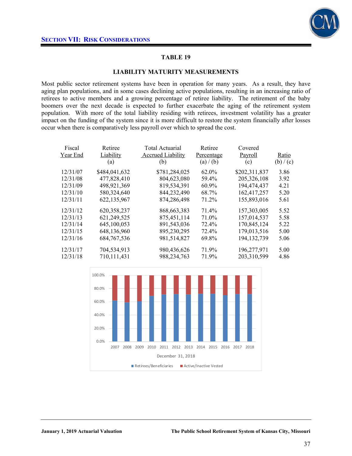

#### **LIABILITY MATURITY MEASUREMENTS**

Most public sector retirement systems have been in operation for many years. As a result, they have aging plan populations, and in some cases declining active populations, resulting in an increasing ratio of retirees to active members and a growing percentage of retiree liability. The retirement of the baby boomers over the next decade is expected to further exacerbate the aging of the retirement system population. With more of the total liability residing with retirees, investment volatility has a greater impact on the funding of the system since it is more difficult to restore the system financially after losses occur when there is comparatively less payroll over which to spread the cost.

| Fiscal<br>Year End | Retiree<br>Liability<br>(a) | <b>Total Actuarial</b><br><b>Accrued Liability</b><br>(b) | Retiree<br>Percentage<br>(a) / (b) | Covered<br>Payroll<br>(c) | Ratio<br>(b) / (c) |
|--------------------|-----------------------------|-----------------------------------------------------------|------------------------------------|---------------------------|--------------------|
| 12/31/07           | \$484,041,632               | \$781,284,025                                             | 62.0%                              | \$202,311,837             | 3.86               |
| 12/31/08           | 477,828,410                 | 804,623,080                                               | 59.4%                              | 205,326,108               | 3.92               |
| 12/31/09           | 498,921,369                 | 819,534,391                                               | 60.9%                              | 194,474,437               | 4.21               |
| 12/31/10           | 580, 324, 640               | 844,232,490                                               | 68.7%                              | 162,417,257               | 5.20               |
| 12/31/11           | 622,135,967                 | 874,286,498                                               | 71.2%                              | 155,893,016               | 5.61               |
| 12/31/12           | 620,358,237                 | 868, 663, 383                                             | 71.4%                              | 157,303,005               | 5.52               |
| 12/31/13           | 621,249,525                 | 875,451,114                                               | 71.0%                              | 157,014,537               | 5.58               |
| 12/31/14           | 645,100,053                 | 891,543,036                                               | 72.4%                              | 170,845,124               | 5.22               |
| 12/31/15           | 648,136,960                 | 895,230,295                                               | 72.4%                              | 179,013,516               | 5.00               |
| 12/31/16           | 684, 767, 536               | 981,514,827                                               | 69.8%                              | 194, 132, 739             | 5.06               |
| 12/31/17           | 704,534,913                 | 980,436,626                                               | 71.9%                              | 196,277,971               | 5.00               |
| 12/31/18           | 710,111,431                 | 988, 234, 763                                             | 71.9%                              | 203,310,599               | 4.86               |

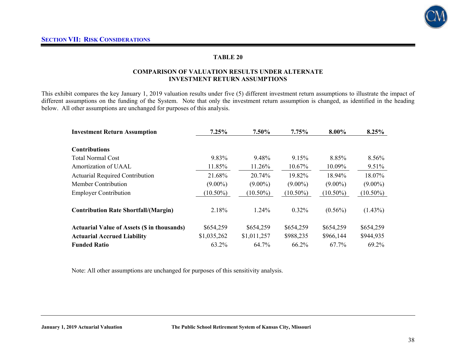

#### **COMPARISON OF VALUATION RESULTS UNDER ALTERNATE INVESTMENT RETURN ASSUMPTIONS**

This exhibit compares the key January 1, 2019 valuation results under five (5) different investment return assumptions to illustrate the impact of different assumptions on the funding of the System. Note that only the investment return assumption is changed, as identified in the heading below. All other assumptions are unchanged for purposes of this analysis.

| <b>Investment Return Assumption</b>                | 7.25%       | 7.50%       | 7.75%       | 8.00%       | 8.25%       |
|----------------------------------------------------|-------------|-------------|-------------|-------------|-------------|
|                                                    |             |             |             |             |             |
| <b>Contributions</b>                               |             |             |             |             |             |
| <b>Total Normal Cost</b>                           | 9.83%       | 9.48%       | 9.15%       | 8.85%       | 8.56%       |
| Amortization of UAAL                               | 11.85%      | 11.26%      | 10.67%      | 10.09%      | 9.51%       |
| <b>Actuarial Required Contribution</b>             | 21.68%      | 20.74%      | 19.82%      | 18.94%      | 18.07%      |
| <b>Member Contribution</b>                         | $(9.00\%)$  | $(9.00\%)$  | $(9.00\%)$  | $(9.00\%)$  | $(9.00\%)$  |
| <b>Employer Contribution</b>                       | $(10.50\%)$ | $(10.50\%)$ | $(10.50\%)$ | $(10.50\%)$ | $(10.50\%)$ |
|                                                    |             |             |             |             |             |
| <b>Contribution Rate Shortfall/(Margin)</b>        | 2.18%       | 1.24%       | 0.32%       | $(0.56\%)$  | $(1.43\%)$  |
|                                                    |             |             |             |             |             |
| <b>Actuarial Value of Assets (\$ in thousands)</b> | \$654,259   | \$654,259   | \$654,259   | \$654,259   | \$654,259   |
| <b>Actuarial Accrued Liability</b>                 | \$1,035,262 | \$1,011,257 | \$988,235   | \$966,144   | \$944,935   |
| <b>Funded Ratio</b>                                | 63.2%       | 64.7%       | 66.2%       | 67.7%       | 69.2%       |

Note: All other assumptions are unchanged for purposes of this sensitivity analysis.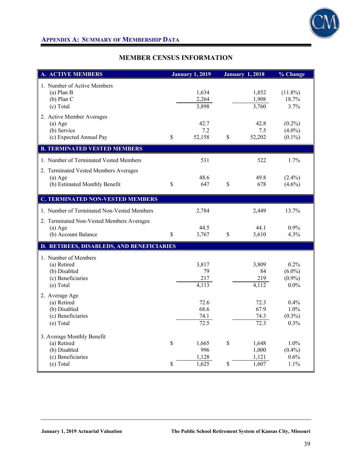

# **APPENDIX A: SUMMARY OF MEMBERSHIP DATA**

# **MEMBER CENSUS INFORMATION**

| <b>A. ACTIVE MEMBERS</b>                                                                    |                            | <b>January 1, 2019</b>         |                    | <b>January 1, 2018</b>           | % Change                                  |
|---------------------------------------------------------------------------------------------|----------------------------|--------------------------------|--------------------|----------------------------------|-------------------------------------------|
| 1. Number of Active Members<br>$(a)$ Plan B<br>$(b)$ Plan C<br>(c) Total                    |                            | 1,634<br>2,264<br>3,898        |                    | 1,852<br>1,908<br>3,760          | $(11.8\%)$<br>18.7%<br>3.7%               |
| 2. Active Member Averages<br>$(a)$ Age<br>(b) Service<br>(c) Expected Annual Pay            | \$                         | 42.7<br>7.2<br>52,158          | \$                 | 42.8<br>7.5<br>52,202            | $(0.2\%)$<br>$(4.0\%)$<br>$(0.1\%)$       |
| <b>B. TERMINATED VESTED MEMBERS</b>                                                         |                            |                                |                    |                                  |                                           |
| 1. Number of Terminated Vested Members                                                      |                            | 531                            |                    | 522                              | 1.7%                                      |
| 2. Terminated Vested Members Averages<br>$(a)$ Age<br>(b) Estimated Monthly Benefit         | \$                         | 48.6<br>647                    | \$                 | 49.8<br>678                      | $(2.4\%)$<br>$(4.6\%)$                    |
| <b>C. TERMINATED NON-VESTED MEMBERS</b>                                                     |                            |                                |                    |                                  |                                           |
| 1. Number of Terminated Non-Vested Members                                                  |                            | 2,784                          |                    | 2,449                            | 13.7%                                     |
| 2. Terminated Non-Vested Members Averages<br>$(a)$ Age<br>(b) Account Balance               | \$                         | 44.5<br>3,767                  | $\mathbf{\hat{S}}$ | 44.1<br>3,610                    | $0.9\%$<br>4.3%                           |
| D. RETIREES, DISABLEDS, AND BENEFICIARIES                                                   |                            |                                |                    |                                  |                                           |
| 1. Number of Members<br>(a) Retired<br>(b) Disabled<br>(c) Beneficiaries<br>(e) Total       |                            | 3,817<br>79<br>217<br>4,113    |                    | 3,809<br>84<br>219<br>4,112      | 0.2%<br>$(6.0\%)$<br>$(0.9\%)$<br>$0.0\%$ |
| 2. Average Age<br>(a) Retired<br>(b) Disabled<br>(c) Beneficiaries<br>(e) Total             |                            | 72.6<br>68.6<br>74.1<br>72.5   |                    | 72.3<br>67.9<br>74.3<br>72.3     | 0.4%<br>1.0%<br>$(0.3\%)$<br>0.3%         |
| 3. Average Monthly Benefit<br>(a) Retired<br>(b) Disabled<br>(c) Beneficiaries<br>(e) Total | $\mathbb S$<br>$\mathbb S$ | 1,665<br>996<br>1,128<br>1,625 | \$<br>\$           | 1,648<br>1,000<br>1,121<br>1,607 | 1.0%<br>$(0.4\%)$<br>0.6%<br>1.1%         |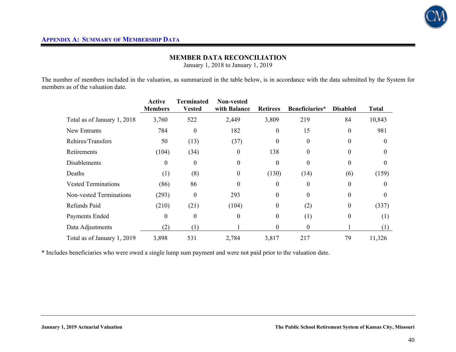

## **MEMBER DATA RECONCILIATION**

January 1, 2018 to January 1, 2019

The number of members included in the valuation, as summarized in the table below, is in accordance with the data submitted by the System for members as of the valuation date.

|                             | <b>Active</b><br><b>Members</b> | Terminated<br><b>Vested</b> | Non-vested<br>with Balance | <b>Retirees</b>  | Beneficiaries* | <b>Disabled</b> | <b>Total</b> |
|-----------------------------|---------------------------------|-----------------------------|----------------------------|------------------|----------------|-----------------|--------------|
| Total as of January 1, 2018 | 3,760                           | 522                         | 2,449                      | 3,809            | 219            | 84              | 10,843       |
| New Entrants                | 784                             | $\theta$                    | 182                        | $\boldsymbol{0}$ | 15             | $\theta$        | 981          |
| Rehires/Transfers           | 50                              | (13)                        | (37)                       | $\boldsymbol{0}$ | $\theta$       | $\theta$        | $\Omega$     |
| Retirements                 | (104)                           | (34)                        | $\boldsymbol{0}$           | 138              | $\theta$       | $\theta$        | $\theta$     |
| <b>Disablements</b>         | 0                               | $\theta$                    | $\theta$                   | $\boldsymbol{0}$ | 0              | $\theta$        |              |
| Deaths                      | (1)                             | (8)                         | $\theta$                   | (130)            | (14)           | (6)             | (159)        |
| <b>Vested Terminations</b>  | (86)                            | 86                          | $\Omega$                   | $\theta$         | $\Omega$       | $\Omega$        |              |
| Non-vested Terminations     | (293)                           | $\theta$                    | 293                        | $\boldsymbol{0}$ | $\theta$       | $\theta$        | 0            |
| Refunds Paid                | (210)                           | (21)                        | (104)                      | $\boldsymbol{0}$ | (2)            | $\mathbf{0}$    | (337)        |
| Payments Ended              | $\theta$                        | $\mathbf{0}$                | $\theta$                   | $\boldsymbol{0}$ | (1)            | $\theta$        | (1)          |
| Data Adjustments            | (2)                             | (1)                         |                            | $\boldsymbol{0}$ | $\theta$       |                 | (1)          |
| Total as of January 1, 2019 | 3,898                           | 531                         | 2,784                      | 3,817            | 217            | 79              | 11,326       |

\* Includes beneficiaries who were owed a single lump sum payment and were not paid prior to the valuation date.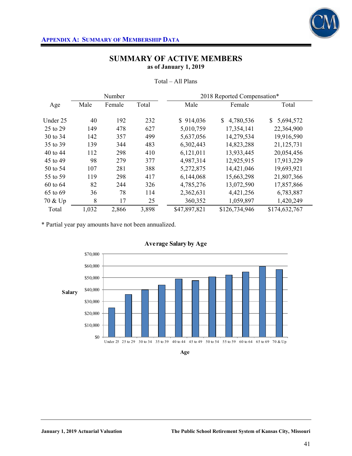

|          | 2018 Reported Compensation*<br>Number |        |       |              |                 |                           |
|----------|---------------------------------------|--------|-------|--------------|-----------------|---------------------------|
| Age      | Male                                  | Female | Total | Male         | Female          | Total                     |
|          |                                       |        |       |              |                 |                           |
| Under 25 | 40                                    | 192    | 232   | \$914,036    | 4,780,536<br>\$ | 5,694,572<br><sup>S</sup> |
| 25 to 29 | 149                                   | 478    | 627   | 5,010,759    | 17,354,141      | 22,364,900                |
| 30 to 34 | 142                                   | 357    | 499   | 5,637,056    | 14,279,534      | 19,916,590                |
| 35 to 39 | 139                                   | 344    | 483   | 6,302,443    | 14,823,288      | 21,125,731                |
| 40 to 44 | 112                                   | 298    | 410   | 6,121,011    | 13,933,445      | 20,054,456                |
| 45 to 49 | 98                                    | 279    | 377   | 4,987,314    | 12,925,915      | 17,913,229                |
| 50 to 54 | 107                                   | 281    | 388   | 5,272,875    | 14,421,046      | 19,693,921                |
| 55 to 59 | 119                                   | 298    | 417   | 6,144,068    | 15,663,298      | 21,807,366                |
| 60 to 64 | 82                                    | 244    | 326   | 4,785,276    | 13,072,590      | 17,857,866                |
| 65 to 69 | 36                                    | 78     | 114   | 2,362,631    | 4,421,256       | 6,783,887                 |
| 70 & Up  | 8                                     | 17     | 25    | 360,352      | 1,059,897       | 1,420,249                 |
| Total    | 1,032                                 | 2,866  | 3,898 | \$47,897,821 | \$126,734,946   | \$174,632,767             |

Total – All Plans

\* Partial year pay amounts have not been annualized.



**Age**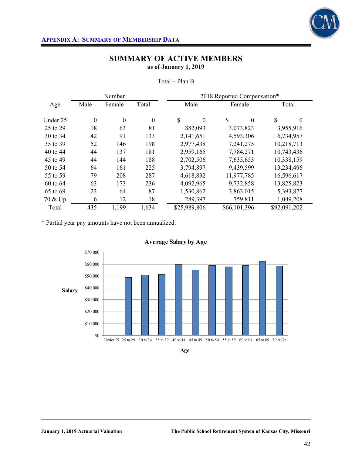

|          |                  | Number           |                  |                  | 2018 Reported Compensation* |                |
|----------|------------------|------------------|------------------|------------------|-----------------------------|----------------|
| Age      | Male             | Female           | Total            | Male             | Female                      | Total          |
|          |                  |                  |                  | \$               |                             |                |
| Under 25 | $\boldsymbol{0}$ | $\boldsymbol{0}$ | $\boldsymbol{0}$ | $\boldsymbol{0}$ | \$<br>$\theta$              | \$<br>$\theta$ |
| 25 to 29 | 18               | 63               | 81               | 882,093          | 3,073,823                   | 3,955,916      |
| 30 to 34 | 42               | 91               | 133              | 2,141,651        | 4,593,306                   | 6,734,957      |
| 35 to 39 | 52               | 146              | 198              | 2,977,438        | 7,241,275                   | 10,218,713     |
| 40 to 44 | 44               | 137              | 181              | 2,959,165        | 7,784,271                   | 10,743,436     |
| 45 to 49 | 44               | 144              | 188              | 2,702,506        | 7,635,653                   | 10,338,159     |
| 50 to 54 | 64               | 161              | 225              | 3,794,897        | 9,439,599                   | 13,234,496     |
| 55 to 59 | 79               | 208              | 287              | 4,618,832        | 11,977,785                  | 16,596,617     |
| 60 to 64 | 63               | 173              | 236              | 4,092,965        | 9,732,858                   | 13,825,823     |
| 65 to 69 | 23               | 64               | 87               | 1,530,862        | 3,863,015                   | 5,393,877      |
| 70 & Up  | 6                | 12               | 18               | 289,397          | 759,811                     | 1,049,208      |
| Total    | 435              | 1,199            | 1,634            | \$25,989,806     | \$66,101,396                | \$92,091,202   |

Total – Plan B

\* Partial year pay amounts have not been annualized.



**Age**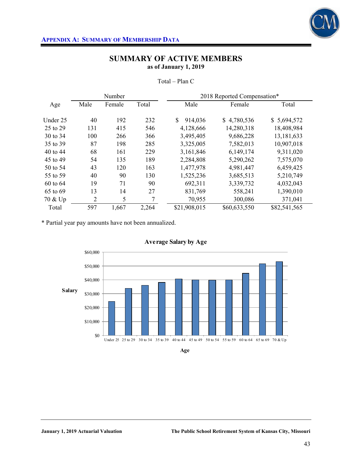

|          | 2018 Reported Compensation*<br>Number |        |       |               |              |              |
|----------|---------------------------------------|--------|-------|---------------|--------------|--------------|
| Age      | Male                                  | Female | Total | Male          | Female       | Total        |
|          |                                       |        |       |               |              |              |
| Under 25 | 40                                    | 192    | 232   | \$<br>914,036 | \$4,780,536  | \$5,694,572  |
| 25 to 29 | 131                                   | 415    | 546   | 4,128,666     | 14,280,318   | 18,408,984   |
| 30 to 34 | 100                                   | 266    | 366   | 3,495,405     | 9,686,228    | 13, 181, 633 |
| 35 to 39 | 87                                    | 198    | 285   | 3,325,005     | 7,582,013    | 10,907,018   |
| 40 to 44 | 68                                    | 161    | 229   | 3,161,846     | 6,149,174    | 9,311,020    |
| 45 to 49 | 54                                    | 135    | 189   | 2,284,808     | 5,290,262    | 7,575,070    |
| 50 to 54 | 43                                    | 120    | 163   | 1,477,978     | 4,981,447    | 6,459,425    |
| 55 to 59 | 40                                    | 90     | 130   | 1,525,236     | 3,685,513    | 5,210,749    |
| 60 to 64 | 19                                    | 71     | 90    | 692,311       | 3,339,732    | 4,032,043    |
| 65 to 69 | 13                                    | 14     | 27    | 831,769       | 558,241      | 1,390,010    |
| 70 & Up  | $\overline{2}$                        | 5      | 7     | 70,955        | 300,086      | 371,041      |
| Total    | 597                                   | 1,667  | 2,264 | \$21,908,015  | \$60,633,550 | \$82,541,565 |

Total – Plan C

\* Partial year pay amounts have not been annualized.





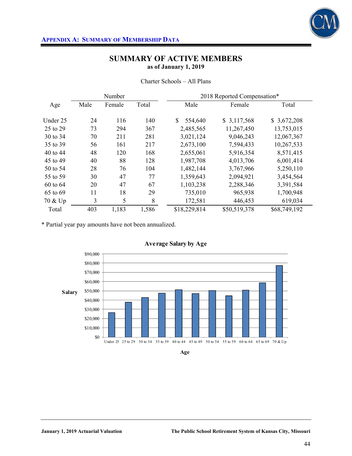

| Charter Schools – All Plans |
|-----------------------------|
|-----------------------------|

|          |      | Number |       |              | 2018 Reported Compensation* |              |
|----------|------|--------|-------|--------------|-----------------------------|--------------|
| Age      | Male | Female | Total | Male         | Female                      | Total        |
| Under 25 | 24   | 116    | 140   | 554,640      | \$3,117,568                 | \$3,672,208  |
| 25 to 29 | 73   | 294    | 367   | 2,485,565    | 11,267,450                  | 13,753,015   |
| 30 to 34 | 70   | 211    | 281   | 3,021,124    | 9,046,243                   | 12,067,367   |
| 35 to 39 | 56   | 161    | 217   | 2,673,100    | 7,594,433                   | 10,267,533   |
| 40 to 44 | 48   | 120    | 168   | 2,655,061    | 5,916,354                   | 8,571,415    |
| 45 to 49 | 40   | 88     | 128   | 1,987,708    | 4,013,706                   | 6,001,414    |
| 50 to 54 | 28   | 76     | 104   | 1,482,144    | 3,767,966                   | 5,250,110    |
| 55 to 59 | 30   | 47     | 77    | 1,359,643    | 2,094,921                   | 3,454,564    |
| 60 to 64 | 20   | 47     | 67    | 1,103,238    | 2,288,346                   | 3,391,584    |
| 65 to 69 | 11   | 18     | 29    | 735,010      | 965,938                     | 1,700,948    |
| 70 & Up  | 3    | 5      | 8     | 172,581      | 446,453                     | 619,034      |
| Total    | 403  | 1,183  | 1,586 | \$18,229,814 | \$50,519,378                | \$68,749,192 |

\* Partial year pay amounts have not been annualized.



**Age**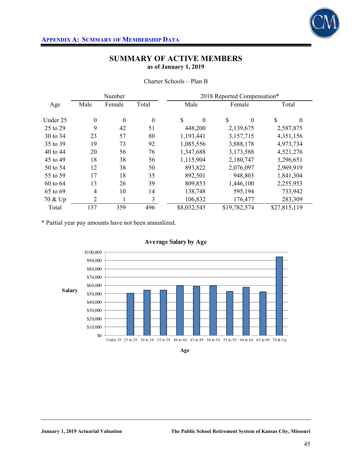

|          |                  | Number           |                  | 2018 Reported Compensation* |                |                |  |  |  |  |
|----------|------------------|------------------|------------------|-----------------------------|----------------|----------------|--|--|--|--|
| Age      | Male             | Female           | Total<br>Male    |                             | Female         | Total          |  |  |  |  |
| Under 25 | $\boldsymbol{0}$ | $\boldsymbol{0}$ | $\boldsymbol{0}$ | \$<br>$\boldsymbol{0}$      | \$<br>$\theta$ | \$<br>$\theta$ |  |  |  |  |
| 25 to 29 | 9                | 42               | 51               | 448,200                     | 2,139,675      | 2,587,875      |  |  |  |  |
| 30 to 34 | 23               | 57               | 80               | 1,193,441                   | 3,157,715      | 4,351,156      |  |  |  |  |
| 35 to 39 | 19               | 73               | 92               | 1,085,556                   | 3,888,178      | 4,973,734      |  |  |  |  |
| 40 to 44 | 20               | 56               | 76               | 1,347,688                   | 3,173,588      | 4,521,276      |  |  |  |  |
| 45 to 49 | 18               | 38               | 56               | 1,115,904                   | 2,180,747      | 3,296,651      |  |  |  |  |
| 50 to 54 | 12               | 38               | 50               | 893,822                     | 2,076,097      | 2,969,919      |  |  |  |  |
| 55 to 59 | 17               | 18               | 35               | 892,501                     | 948,803        | 1,841,304      |  |  |  |  |
| 60 to 64 | 13               | 26               | 39               | 809,853                     | 1,446,100      | 2,255,953      |  |  |  |  |
| 65 to 69 | $\overline{4}$   | 10               | 14               | 138,748                     | 595,194        | 733,942        |  |  |  |  |
| 70 & Up  | $\overline{2}$   |                  | 3                | 106,832                     | 176,477        | 283,309        |  |  |  |  |
| Total    | 137              | 359              | 496              | \$8,032,545                 | \$19,782,574   | \$27,815,119   |  |  |  |  |

Charter Schools – Plan B

\* Partial year pay amounts have not been annualized.



**Age**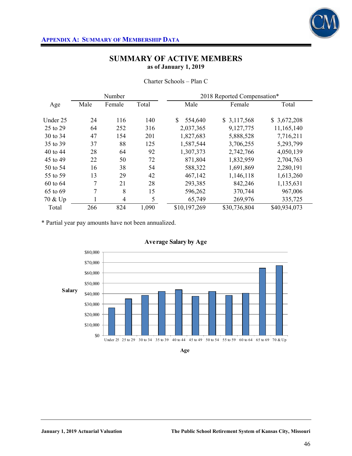

|          |      | Number         |       | 2018 Reported Compensation* |              |              |
|----------|------|----------------|-------|-----------------------------|--------------|--------------|
| Age      | Male | Female         | Total | Male                        | Female       | Total        |
| Under 25 | 24   | 116            | 140   | \$<br>554,640               | \$3,117,568  | \$3,672,208  |
| 25 to 29 | 64   | 252            | 316   | 2,037,365                   | 9,127,775    | 11,165,140   |
| 30 to 34 | 47   | 154            | 201   | 1,827,683                   | 5,888,528    | 7,716,211    |
| 35 to 39 | 37   | 88             | 125   | 1,587,544                   | 3,706,255    | 5,293,799    |
| 40 to 44 | 28   | 64             | 92    | 1,307,373                   | 2,742,766    | 4,050,139    |
| 45 to 49 | 22   | 50             | 72    | 871,804                     | 1,832,959    | 2,704,763    |
| 50 to 54 | 16   | 38             | 54    | 588,322                     | 1,691,869    | 2,280,191    |
| 55 to 59 | 13   | 29             | 42    | 467,142                     | 1,146,118    | 1,613,260    |
| 60 to 64 | 7    | 21             | 28    | 293,385                     | 842,246      | 1,135,631    |
| 65 to 69 | 7    | 8              | 15    | 596,262                     | 370,744      | 967,006      |
| 70 & Up  | 1    | $\overline{4}$ | 5     | 65,749                      | 269,976      | 335,725      |
| Total    | 266  | 824            | 1,090 | \$10,197,269                | \$30,736,804 | \$40,934,073 |

Charter Schools – Plan C

\* Partial year pay amounts have not been annualized.



**Age**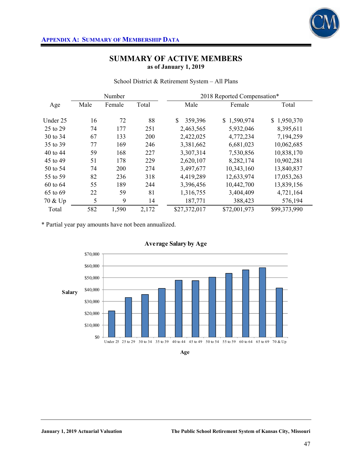

School District & Retirement System – All Plans

|          |      | Number |       |               | 2018 Reported Compensation* |              |
|----------|------|--------|-------|---------------|-----------------------------|--------------|
| Age      | Male | Female | Total | Male          | Female                      | Total        |
| Under 25 | 16   | 72     | 88    | \$<br>359,396 | \$1,590,974                 | \$1,950,370  |
| 25 to 29 | 74   | 177    | 251   | 2,463,565     | 5,932,046                   | 8,395,611    |
| 30 to 34 | 67   | 133    | 200   | 2,422,025     | 4,772,234                   | 7,194,259    |
| 35 to 39 | 77   | 169    | 246   | 3,381,662     | 6,681,023                   | 10,062,685   |
| 40 to 44 | 59   | 168    | 227   | 3,307,314     | 7,530,856                   | 10,838,170   |
| 45 to 49 | 51   | 178    | 229   | 2,620,107     | 8,282,174                   | 10,902,281   |
| 50 to 54 | 74   | 200    | 274   | 3,497,677     | 10,343,160                  | 13,840,837   |
| 55 to 59 | 82   | 236    | 318   | 4,419,289     | 12,633,974                  | 17,053,263   |
| 60 to 64 | 55   | 189    | 244   | 3,396,456     | 10,442,700                  | 13,839,156   |
| 65 to 69 | 22   | 59     | 81    | 1,316,755     | 3,404,409                   | 4,721,164    |
| 70 & Up  | 5    | 9      | 14    | 187,771       | 388,423                     | 576,194      |
| Total    | 582  | 1,590  | 2,172 | \$27,372,017  | \$72,001,973                | \$99,373,990 |

\* Partial year pay amounts have not been annualized.



**Age**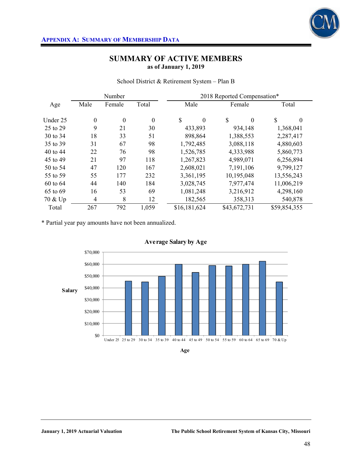

School District & Retirement System – Plan B

|              |                  | Number           |                  | 2018 Reported Compensation* |                    |                |  |  |  |
|--------------|------------------|------------------|------------------|-----------------------------|--------------------|----------------|--|--|--|
| Age          | Male             | Female           | Total            | Male                        | Female             | Total          |  |  |  |
| Under 25     | $\boldsymbol{0}$ | $\boldsymbol{0}$ | $\boldsymbol{0}$ | \$<br>$\boldsymbol{0}$      | \$<br>$\mathbf{0}$ | \$<br>$\theta$ |  |  |  |
| 25 to 29     | 9                | 21               | 30               | 433,893                     | 934,148            | 1,368,041      |  |  |  |
| 30 to 34     | 18               | 33               | 51               | 898,864                     | 1,388,553          | 2,287,417      |  |  |  |
| 35 to 39     | 31               | 67               | 98               | 1,792,485                   | 3,088,118          | 4,880,603      |  |  |  |
| 40 to 44     | 22               | 76               | 98               | 1,526,785                   | 4,333,988          | 5,860,773      |  |  |  |
| 45 to 49     | 21               | 97               | 118              | 1,267,823                   | 4,989,071          | 6,256,894      |  |  |  |
| 50 to 54     | 47               | 120              | 167              | 2,608,021                   | 7,191,106          | 9,799,127      |  |  |  |
| 55 to 59     | 55               | 177              | 232              | 3,361,195                   | 10,195,048         | 13,556,243     |  |  |  |
| $60$ to $64$ | 44               | 140              | 184              | 3,028,745                   | 7,977,474          | 11,006,219     |  |  |  |
| 65 to 69     | 16               | 53               | 69               | 1,081,248                   | 3,216,912          | 4,298,160      |  |  |  |
| 70 & Up      | $\overline{4}$   | 8                | 12               | 182,565                     | 358,313            | 540,878        |  |  |  |
| Total        | 267              | 792              | 1,059            | \$16,181,624                | \$43,672,731       | \$59,854,355   |  |  |  |

\* Partial year pay amounts have not been annualized.



**Age**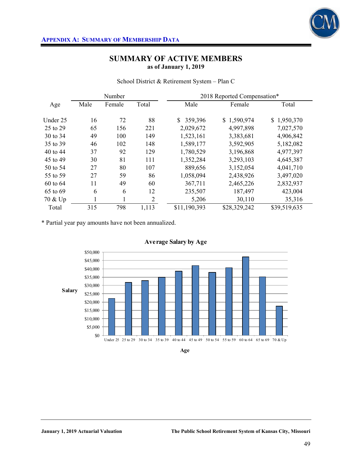

School District & Retirement System – Plan C

|          |      | Number |                | 2018 Reported Compensation* |              |              |  |  |  |
|----------|------|--------|----------------|-----------------------------|--------------|--------------|--|--|--|
| Age      | Male | Female | Total          | Male                        | Female       | Total        |  |  |  |
| Under 25 | 16   | 72     | 88             | $\mathbb{S}$<br>359,396     | \$1,590,974  | \$1,950,370  |  |  |  |
| 25 to 29 | 65   | 156    | 221            | 2,029,672                   | 4,997,898    | 7,027,570    |  |  |  |
| 30 to 34 | 49   | 100    | 149            | 1,523,161                   | 3,383,681    | 4,906,842    |  |  |  |
| 35 to 39 | 46   | 102    | 148            | 1,589,177                   | 3,592,905    | 5,182,082    |  |  |  |
| 40 to 44 | 37   | 92     | 129            | 1,780,529                   | 3,196,868    | 4,977,397    |  |  |  |
| 45 to 49 | 30   | 81     | 111            | 1,352,284                   | 3,293,103    | 4,645,387    |  |  |  |
| 50 to 54 | 27   | 80     | 107            | 889,656                     | 3,152,054    | 4,041,710    |  |  |  |
| 55 to 59 | 27   | 59     | 86             | 1,058,094                   | 2,438,926    | 3,497,020    |  |  |  |
| 60 to 64 | 11   | 49     | 60             | 367,711                     | 2,465,226    | 2,832,937    |  |  |  |
| 65 to 69 | 6    | 6      | 12             | 235,507                     | 187,497      | 423,004      |  |  |  |
| 70 & Up  |      |        | $\overline{2}$ | 5,206                       | 30,110       | 35,316       |  |  |  |
| Total    | 315  | 798    | 1,113          | \$11,190,393                | \$28,329,242 | \$39,519,635 |  |  |  |

\* Partial year pay amounts have not been annualized.



**Age**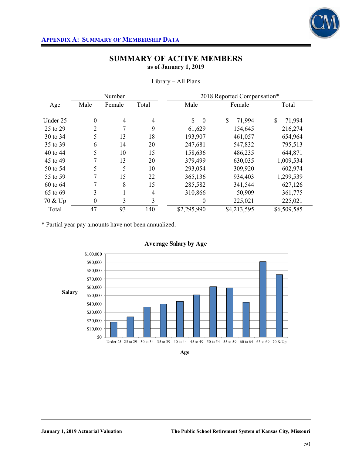

|          |                  | Number |       | 2018 Reported Compensation*   |              |              |  |  |  |
|----------|------------------|--------|-------|-------------------------------|--------------|--------------|--|--|--|
| Age      | Male             | Female | Total | Male                          | Female       | Total        |  |  |  |
| Under 25 | $\boldsymbol{0}$ | 4      | 4     | $\mathbf S$<br>$\overline{0}$ | \$<br>71,994 | \$<br>71,994 |  |  |  |
| 25 to 29 | 2                | 7      | 9     | 61,629                        | 154,645      | 216,274      |  |  |  |
| 30 to 34 | 5                | 13     | 18    | 193,907                       | 461,057      | 654,964      |  |  |  |
| 35 to 39 | 6                | 14     | 20    | 247,681                       | 547,832      | 795,513      |  |  |  |
| 40 to 44 | 5                | 10     | 15    | 158,636                       | 486,235      | 644,871      |  |  |  |
| 45 to 49 | 7                | 13     | 20    | 379,499                       | 630,035      | 1,009,534    |  |  |  |
| 50 to 54 | 5                | 5      | 10    | 293,054                       | 309,920      | 602,974      |  |  |  |
| 55 to 59 | 7                | 15     | 22    | 365,136                       | 934,403      | 1,299,539    |  |  |  |
| 60 to 64 | 7                | 8      | 15    | 285,582                       | 341,544      | 627,126      |  |  |  |
| 65 to 69 | 3                | л.     | 4     | 310,866                       | 50,909       | 361,775      |  |  |  |
| 70 & Up  | $\boldsymbol{0}$ | 3      | 3     | $\boldsymbol{0}$              | 225,021      | 225,021      |  |  |  |
| Total    | 47               | 93     | 140   | \$2,295,990                   | \$4,213,595  | \$6,509,585  |  |  |  |

### Library – All Plans

\* Partial year pay amounts have not been annualized.



**Age**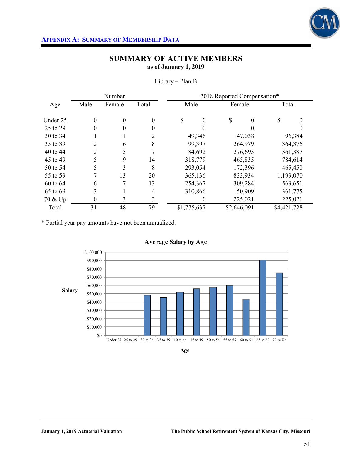

|              |                  | Number           |                  | 2018 Reported Compensation* |                   |             |          |             |           |  |
|--------------|------------------|------------------|------------------|-----------------------------|-------------------|-------------|----------|-------------|-----------|--|
| Age          | Male             | Female           | Total            |                             | Male              |             | Female   | Total       |           |  |
| Under 25     | $\boldsymbol{0}$ | $\boldsymbol{0}$ | $\boldsymbol{0}$ | \$                          | $\boldsymbol{0}$  | \$          | $\theta$ | S           | 0         |  |
| 25 to 29     | $\theta$         | $\theta$         | $\theta$         |                             | $\Omega$          |             |          |             |           |  |
| 30 to 34     |                  |                  | 2                |                             | 49,346            |             | 47,038   |             | 96,384    |  |
| 35 to 39     | 2                | 6                | 8                |                             | 99,397            |             | 264,979  | 364,376     |           |  |
| 40 to 44     | 2                | 5                | 7                |                             | 84,692            |             | 276,695  |             | 361,387   |  |
| 45 to 49     | 5                | 9                | 14               |                             | 318,779           |             | 465,835  |             | 784,614   |  |
| 50 to 54     | 5                | 3                | 8                |                             | 293,054           | 172,396     |          |             | 465,450   |  |
| 55 to 59     | 7                | 13               | 20               |                             | 365,136           |             | 833,934  |             | 1,199,070 |  |
| $60$ to $64$ | 6                | 7                | 13               |                             | 254,367           |             | 309,284  |             | 563,651   |  |
| 65 to 69     | 3                |                  | 4                |                             | 310,866<br>50,909 |             |          |             | 361,775   |  |
| 70 & Up      | $\boldsymbol{0}$ | 3                | 3                |                             | 0                 |             | 225,021  |             | 225,021   |  |
| Total        | 31               | 48               | 79               | \$1,775,637                 |                   | \$2,646,091 |          | \$4,421,728 |           |  |

Library – Plan B

\* Partial year pay amounts have not been annualized.



**Age**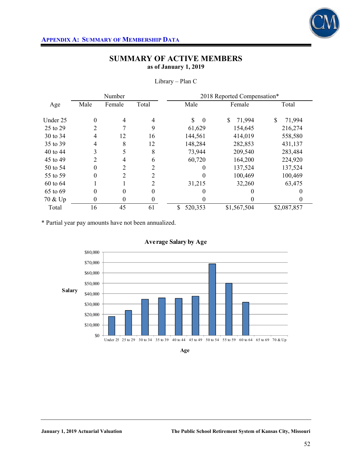

|              |                | Number   |                | 2018 Reported Compensation* |              |              |  |  |  |
|--------------|----------------|----------|----------------|-----------------------------|--------------|--------------|--|--|--|
| Age          | Male           | Female   | Total          | Male                        | Female       | Total        |  |  |  |
| Under 25     | $\theta$       | 4        | $\overline{4}$ | \$<br>$\theta$              | \$<br>71,994 | \$<br>71,994 |  |  |  |
| 25 to 29     | 2              | 7        | 9              | 61,629                      | 154,645      | 216,274      |  |  |  |
| 30 to 34     | 4              | 12       | 16             | 144,561                     | 414,019      | 558,580      |  |  |  |
| 35 to 39     | $\overline{4}$ | 8        | 12             | 148,284                     | 282,853      | 431,137      |  |  |  |
| 40 to 44     | 3              | 5        | 8              | 73,944                      | 209,540      | 283,484      |  |  |  |
| 45 to 49     | 2              | 4        | 6              | 60,720                      | 164,200      | 224,920      |  |  |  |
| 50 to 54     | $\theta$       | 2        | 2              | $\theta$                    | 137,524      | 137,524      |  |  |  |
| 55 to 59     | $\theta$       | 2        | 2              | $\theta$                    | 100,469      | 100,469      |  |  |  |
| $60$ to $64$ |                |          | 2              | 31,215                      | 32,260       | 63,475       |  |  |  |
| 65 to 69     | 0              | 0        | $_{0}$         |                             |              |              |  |  |  |
| 70 & Up      | 0              | $\theta$ | 0              | $\theta$                    |              |              |  |  |  |
| Total        | 16             | 45       | 61             | \$<br>520,353               | \$1,567,504  | \$2,087,857  |  |  |  |

Library – Plan C

\* Partial year pay amounts have not been annualized.



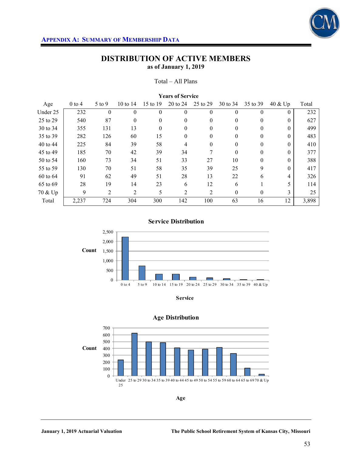

#### Total – All Plans

|          | <b>Years of Service</b> |                |            |          |                |              |          |          |          |       |
|----------|-------------------------|----------------|------------|----------|----------------|--------------|----------|----------|----------|-------|
| Age      | $0$ to 4                | $5$ to 9       | 10 to $14$ | 15 to 19 | 20 to 24       | 25 to 29     | 30 to 34 | 35 to 39 | 40 & Up  | Total |
| Under 25 | 232                     | $\Omega$       | $\Omega$   | $\theta$ | $\Omega$       | $\theta$     | $\Omega$ | $\Omega$ | $\theta$ | 232   |
| 25 to 29 | 540                     | 87             | $\theta$   | $\theta$ | $\theta$       | 0            | $\theta$ | $\theta$ | $\theta$ | 627   |
| 30 to 34 | 355                     | 131            | 13         | $\theta$ | $\Omega$       | 0            | $\Omega$ | $\Omega$ | $\Omega$ | 499   |
| 35 to 39 | 282                     | 126            | 60         | 15       | $\Omega$       | $\mathbf{0}$ | $\Omega$ | $\Omega$ | $\Omega$ | 483   |
| 40 to 44 | 225                     | 84             | 39         | 58       | 4              | 0            | $\theta$ | $\theta$ | $\theta$ | 410   |
| 45 to 49 | 185                     | 70             | 42         | 39       | 34             | 7            | $\Omega$ | $\Omega$ | $\Omega$ | 377   |
| 50 to 54 | 160                     | 73             | 34         | 51       | 33             | 27           | 10       | $\Omega$ | $\Omega$ | 388   |
| 55 to 59 | 130                     | 70             | 51         | 58       | 35             | 39           | 25       | 9        | $\Omega$ | 417   |
| 60 to 64 | 91                      | 62             | 49         | 51       | 28             | 13           | 22       | 6        | 4        | 326   |
| 65 to 69 | 28                      | 19             | 14         | 23       | 6              | 12           | 6        |          | 5        | 114   |
| 70 & Up  | 9                       | $\overline{c}$ | 2          | 5        | $\overline{2}$ | 2            | $\theta$ | $\theta$ | 3        | 25    |
| Total    | 2,237                   | 724            | 304        | 300      | 142            | 100          | 63       | 16       | 12       | 3,898 |

**Service Distribution**



**Service**



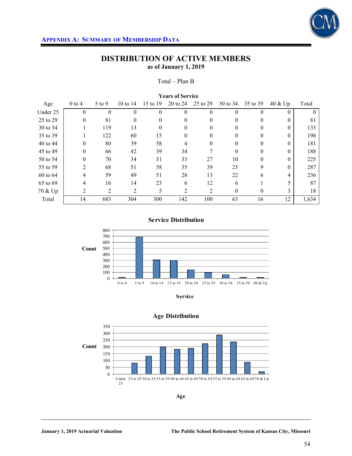

#### Total – Plan B

|          | <b>Years of Service</b> |            |            |          |          |          |          |          |            |        |  |
|----------|-------------------------|------------|------------|----------|----------|----------|----------|----------|------------|--------|--|
| Age      | $0$ to 4                | $5$ to $9$ | 10 to $14$ | 15 to 19 | 20 to 24 | 25 to 29 | 30 to 34 | 35 to 39 | $40 \& Up$ | Total  |  |
| Under 25 | $\theta$                | $\theta$   | $\Omega$   | $\Omega$ | $\Omega$ | $\theta$ | $\Omega$ | $\Omega$ | $\theta$   | $_{0}$ |  |
| 25 to 29 | $\theta$                | 81         | $\theta$   | $\theta$ | $\theta$ | 0        | $\theta$ | $\theta$ | $\Omega$   | 81     |  |
| 30 to 34 |                         | 119        | 13         | $\Omega$ | 0        | 0        | 0        | 0        | $\Omega$   | 133    |  |
| 35 to 39 |                         | 122        | 60         | 15       | $\Omega$ | 0        | $\Omega$ | $\Omega$ | $\Omega$   | 198    |  |
| 40 to 44 | 0                       | 80         | 39         | 58       | 4        | 0        | 0        | $\theta$ | $\Omega$   | 181    |  |
| 45 to 49 | $\theta$                | 66         | 42         | 39       | 34       |          | 0        | 0        | $\Omega$   | 188    |  |
| 50 to 54 | $\theta$                | 70         | 34         | 51       | 33       | 27       | 10       | $\Omega$ | $\Omega$   | 225    |  |
| 55 to 59 | 2                       | 68         | 51         | 58       | 35       | 39       | 25       | 9        | $\Omega$   | 287    |  |
| 60 to 64 | 4                       | 59         | 49         | 51       | 28       | 13       | 22       | 6        | 4          | 236    |  |
| 65 to 69 | 4                       | 16         | 14         | 23       | 6        | 12       | 6        |          |            | 87     |  |
| 70 & Up  | 2                       | 2          | 2          | 5        | 2        | 2        | $\theta$ | $\theta$ | 3          | 18     |  |
| Total    | 14                      | 683        | 304        | 300      | 142      | 100      | 63       | 16       | 12         | 1,634  |  |

### **Service Distribution**



**Service**



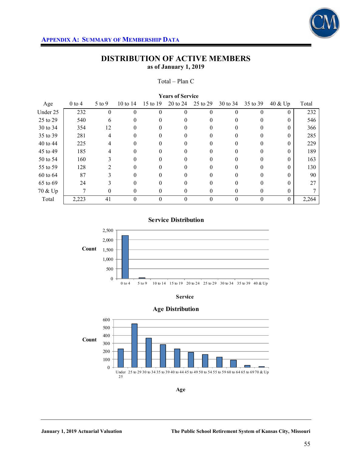

#### Total – Plan C

| <b>Years of Service</b> |            |            |          |          |          |          |          |          |            |       |
|-------------------------|------------|------------|----------|----------|----------|----------|----------|----------|------------|-------|
| Age                     | $0$ to $4$ | $5$ to $9$ | 10 to 14 | 15 to 19 | 20 to 24 | 25 to 29 | 30 to 34 | 35 to 39 | $40 \& Up$ | Total |
| Under 25                | 232        | $\theta$   | $\theta$ | $\Omega$ | $\Omega$ | $\theta$ |          | 0        | $\theta$   | 232   |
| 25 to 29                | 540        | 6          | 0        | 0        | 0        | $^{(1)}$ |          | 0        | $\Omega$   | 546   |
| 30 to 34                | 354        | 12         |          |          |          |          |          |          | $\Omega$   | 366   |
| 35 to 39                | 281        | 4          | 0        | 0        | 0        | 0        |          | 0        | $\Omega$   | 285   |
| 40 to 44                | 225        | 4          | 0        | 0        | $_{0}$   | 0        |          |          | $\Omega$   | 229   |
| 45 to 49                | 185        |            |          |          |          |          |          |          | $\Omega$   | 189   |
| 50 to 54                | 160        | 3          | 0        | 0        | 0        | 0        |          | 0        | $\Omega$   | 163   |
| 55 to 59                | 128        |            | 0        | 0        | 0        |          |          |          | 0          | 130   |
| 60 to 64                | 87         |            |          |          | 0        |          |          |          | 0          | 90    |
| 65 to 69                | 24         |            | 0        | $\Omega$ | 0        | 0        |          | 0        | 0          | 27    |
| 70 & Up                 |            | $\theta$   | 0        | $\theta$ | 0        | 0        |          | $\theta$ | $\Omega$   |       |
| Total                   | 2,223      | 41         |          | $\theta$ | $\theta$ | 0        |          | 0        | $\Omega$   | 2,264 |

**Service Distribution**







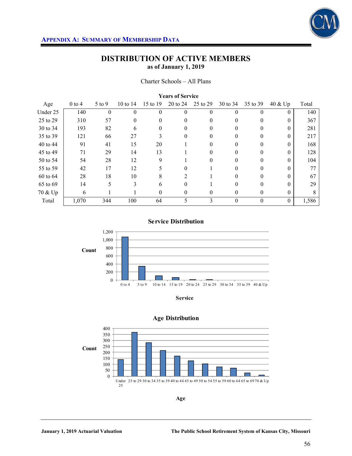

#### Charter Schools – All Plans

| <b>Years of Service</b> |          |          |          |          |                |                  |          |          |          |       |
|-------------------------|----------|----------|----------|----------|----------------|------------------|----------|----------|----------|-------|
| Age                     | $0$ to 4 | 5 to 9   | 10 to 14 | 15 to 19 | 20 to 24       | 25 to 29         | 30 to 34 | 35 to 39 | 40 & Up  | Total |
| Under 25                | 140      | $\Omega$ | $\theta$ | $\theta$ | $\Omega$       | $\boldsymbol{0}$ | $\Omega$ | $\Omega$ | $\theta$ | 140   |
| 25 to 29                | 310      | 57       | $\theta$ | $\Omega$ | $\Omega$       | 0                | $\Omega$ | $\Omega$ | $\Omega$ | 367   |
| 30 to 34                | 193      | 82       | 6        | $\theta$ | $\theta$       | 0                | $\theta$ | $\theta$ | $\theta$ | 281   |
| 35 to 39                | 121      | 66       | 27       |          | $\Omega$       | 0                |          |          | 0        | 217   |
| 40 to 44                | 91       | 41       | 15       | 20       |                | 0                | 0        | $\Omega$ | $\Omega$ | 168   |
| 45 to 49                | 71       | 29       | 14       | 13       |                | 0                | 0        | 0        | $\theta$ | 128   |
| 50 to 54                | 54       | 28       | 12       | 9        |                | 0                |          | $\Omega$ | 0        | 104   |
| 55 to 59                | 42       | 17       | 12       | 5        | 0              |                  | $\Omega$ | $\Omega$ | $\Omega$ | 77    |
| 60 to 64                | 28       | 18       | 10       | 8        | $\overline{c}$ |                  |          |          | 0        | 67    |
| 65 to 69                | 14       | 5        | 3        | 6        | $\Omega$       |                  | $\Omega$ | $\Omega$ | $\Omega$ | 29    |
| 70 & Up                 | 6        |          |          | $\theta$ | $\theta$       | 0                | $\theta$ | $\theta$ | $\theta$ | 8     |
| Total                   | 1,070    | 344      | 100      | 64       | 5              | 3                | $\theta$ | $\theta$ | $\theta$ | 1,586 |

### **Service Distribution**



**Service**



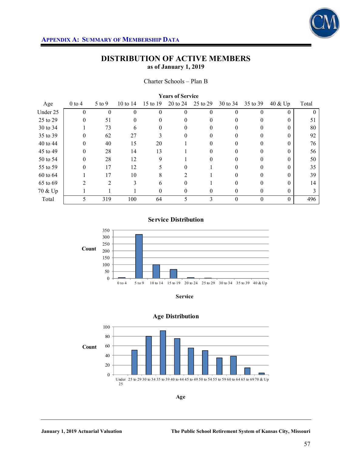

| <b>Years of Service</b> |          |                |            |          |          |          |          |          |          |       |  |
|-------------------------|----------|----------------|------------|----------|----------|----------|----------|----------|----------|-------|--|
| Age                     | $0$ to 4 | $5$ to $9$     | 10 to $14$ | 15 to 19 | 20 to 24 | 25 to 29 | 30 to 34 | 35 to 39 | 40 & Up  | Total |  |
| Under 25                | $\theta$ | 0              | 0          | $\Omega$ | $\Omega$ | 0        |          | 0        | $\Omega$ |       |  |
| 25 to 29                | 0        | 51             | 0          | $\theta$ | $\Omega$ |          |          | $\theta$ | 0        | 51    |  |
| 30 to 34                |          | 73             | 6          | $\theta$ | 0        |          |          | $\theta$ |          | 80    |  |
| 35 to 39                | $\Omega$ | 62             | 27         |          | $\Omega$ |          |          |          |          | 92    |  |
| 40 to 44                | $\theta$ | 40             | 15         | 20       |          | $^{(1)}$ |          | 0        | 0        | 76    |  |
| 45 to 49                | 0        | 28             | 14         | 13       |          |          |          |          |          | 56    |  |
| 50 to 54                | $\Omega$ | 28             | 12         | 9        |          |          |          | 0        |          | 50    |  |
| 55 to 59                | $\Omega$ | 17             | 12         | 5        | $\Omega$ |          |          | 0        |          | 35    |  |
| 60 to 64                |          | 17             | 10         |          |          |          |          |          |          | 39    |  |
| 65 to 69                |          | $\mathfrak{D}$ | 3          | 6        | 0        |          |          |          |          | 14    |  |
| 70 & Up                 |          |                |            | 0        | $\Omega$ | 0        | $\theta$ | 0        | 0        |       |  |
| Total                   | 5        | 319            | 100        | 64       |          |          |          | $\theta$ | $\theta$ | 496   |  |

#### **Service Distribution**



**Service**



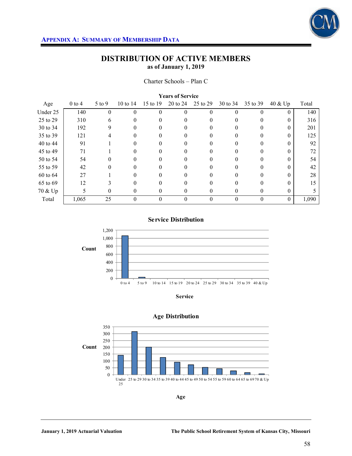

Charter Schools – Plan C

| <b>Years of Service</b> |          |          |            |              |          |          |          |          |            |       |
|-------------------------|----------|----------|------------|--------------|----------|----------|----------|----------|------------|-------|
| Age                     | $0$ to 4 | $5$ to 9 | 10 to $14$ | 15 to 19     | 20 to 24 | 25 to 29 | 30 to 34 | 35 to 39 | $40 \& Up$ | Total |
| Under 25                | 140      | $\theta$ | 0          | $\theta$     |          | 0        |          | 0        | $\theta$   | 140   |
| 25 to 29                | 310      | 6        |            |              | 0        |          |          | 0        | 0          | 316   |
| 30 to 34                | 192      | 9        | 0          | $\theta$     | $\theta$ | 0        | 0        | 0        | 0          | 201   |
| 35 to 39                | 121      |          |            |              |          |          |          |          | $\theta$   | 125   |
| 40 to 44                | 91       |          | 0          |              | 0        |          | 0        | 0        | 0          | 92    |
| 45 to 49                | 71       |          | 0          |              | 0        |          |          | 0        |            | 72    |
| 50 to 54                | 54       |          |            |              | 0        |          |          |          |            | 54    |
| 55 to 59                | 42       | 0        | 0          | $\mathbf{0}$ | 0        | 0        | 0        | 0        | $\theta$   | 42    |
| 60 to 64                | 27       |          |            |              |          |          |          |          |            | 28    |
| 65 to 69                | 12       |          |            |              | 0        |          |          |          |            | 15    |
| 70 & Up                 | 5        | 0        | 0          | 0            | $\Omega$ | 0        | $\theta$ | 0        | 0          |       |
| Total                   | 1,065    | 25       | 0          | $\theta$     | 0        | 0        | $\Omega$ | $\theta$ | $\theta$   | 1,090 |

#### **Service Distribution**



**Service**



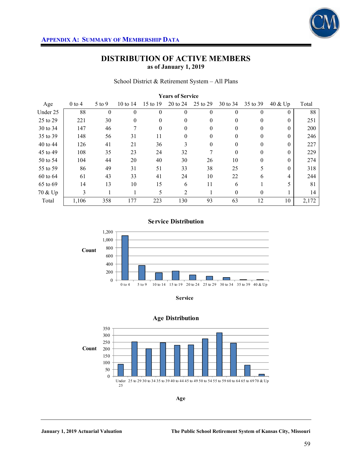

School District & Retirement System – All Plans

| <b>Years of Service</b> |            |            |            |          |          |          |          |          |          |       |
|-------------------------|------------|------------|------------|----------|----------|----------|----------|----------|----------|-------|
| Age                     | $0$ to $4$ | $5$ to $9$ | 10 to $14$ | 15 to 19 | 20 to 24 | 25 to 29 | 30 to 34 | 35 to 39 | 40 & Up  | Total |
| Under 25                | 88         | $\theta$   | $\Omega$   | $\theta$ | $\Omega$ | $\theta$ | $\Omega$ | $\Omega$ | $\Omega$ | 88    |
| 25 to 29                | 221        | 30         | 0          | $\theta$ | $\theta$ | 0        | $\theta$ | $\theta$ | $\theta$ | 251   |
| 30 to 34                | 147        | 46         |            | $\theta$ | $\Omega$ | 0        |          | $\Omega$ | 0        | 200   |
| 35 to 39                | 148        | 56         | 31         | 11       | $\theta$ | $\theta$ | $\Omega$ | $\Omega$ | $\Omega$ | 246   |
| 40 to 44                | 126        | 41         | 21         | 36       | 3        | 0        | $\theta$ | $\theta$ | $\theta$ | 227   |
| 45 to 49                | 108        | 35         | 23         | 24       | 32       | 7        | $\Omega$ | $\Omega$ | 0        | 229   |
| 50 to 54                | 104        | 44         | 20         | 40       | 30       | 26       | 10       | $\Omega$ | $\Omega$ | 274   |
| 55 to 59                | 86         | 49         | 31         | 51       | 33       | 38       | 25       | 5        | $\theta$ | 318   |
| 60 to 64                | 61         | 43         | 33         | 41       | 24       | 10       | 22       | 6        | 4        | 244   |
| 65 to 69                | 14         | 13         | 10         | 15       | 6        | 11       | 6        |          | 5        | 81    |
| 70 & Up                 | 3          |            |            | 5        | 2        |          | $\theta$ | $\theta$ |          | 14    |
| Total                   | 1,106      | 358        | 177        | 223      | 130      | 93       | 63       | 12       | 10       | 2,172 |

#### **Service Distribution**



**Service**



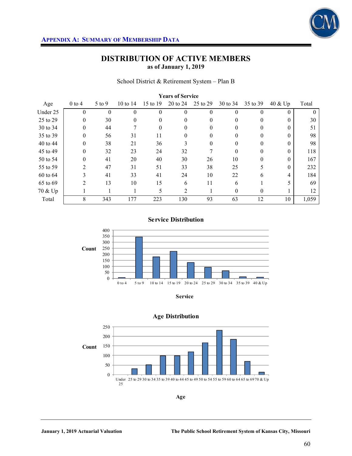

#### School District & Retirement System – Plan B

| <b>Years of Service</b> |                |          |            |          |                |              |          |          |            |       |
|-------------------------|----------------|----------|------------|----------|----------------|--------------|----------|----------|------------|-------|
| Age                     | $0$ to 4       | 5 to 9   | 10 to $14$ | 15 to 19 | 20 to 24       | 25 to 29     | 30 to 34 | 35 to 39 | $40 \& Up$ | Total |
| Under 25                | $\theta$       | $\theta$ | $\theta$   | $\theta$ | $\theta$       | $\mathbf{0}$ | $\theta$ | $\theta$ | $\theta$   |       |
| 25 to 29                | $\theta$       | 30       | 0          | $\Omega$ | $\Omega$       | $\Omega$     |          | $\Omega$ | $\Omega$   | 30    |
| 30 to 34                | $\theta$       | 44       |            | $\theta$ | $\theta$       | 0            | $\Omega$ | $\theta$ | $\Omega$   | 51    |
| 35 to 39                | $\theta$       | 56       | 31         | 11       | $\theta$       | 0            |          | $\Omega$ | $\theta$   | 98    |
| 40 to 44                | $\theta$       | 38       | 21         | 36       | 3              | $\theta$     | $\Omega$ | $\Omega$ | $\Omega$   | 98    |
| 45 to 49                | $\theta$       | 32       | 23         | 24       | 32             |              | $\Omega$ | $\theta$ | $\theta$   | 118   |
| 50 to 54                | $\theta$       | 41       | 20         | 40       | 30             | 26           | 10       | $\theta$ | $\Omega$   | 167   |
| 55 to 59                | $\overline{2}$ | 47       | 31         | 51       | 33             | 38           | 25       | 5        | $\Omega$   | 232   |
| 60 to 64                | 3              | 41       | 33         | 41       | 24             | 10           | 22       | 6        | 4          | 184   |
| 65 to 69                | $\overline{2}$ | 13       | 10         | 15       | 6              | 11           | 6        |          |            | 69    |
| 70 & Up                 |                |          |            | 5        | $\overline{2}$ |              | $\Omega$ | $\theta$ |            | 12    |
| Total                   | 8              | 343      | 177        | 223      | 130            | 93           | 63       | 12       | 10         | 1,059 |

### **Service Distribution**



**Service**



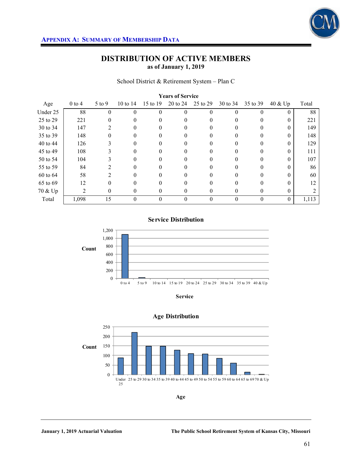

School District & Retirement System – Plan C

| <b>Years of Service</b> |          |            |            |          |          |          |          |          |          |       |
|-------------------------|----------|------------|------------|----------|----------|----------|----------|----------|----------|-------|
| Age                     | $0$ to 4 | $5$ to $9$ | 10 to $14$ | 15 to 19 | 20 to 24 | 25 to 29 | 30 to 34 | 35 to 39 | 40 & Up  | Total |
| Under 25                | 88       | $\theta$   | $\theta$   | $\theta$ | $\Omega$ | 0        | $\Omega$ | $\Omega$ | $\theta$ | 88    |
| 25 to 29                | 221      | 0          |            |          | 0        | 0        |          | 0        | 0        | 221   |
| 30 to 34                | 147      | 2          | 0          | 0        | 0        | 0        | $\theta$ | 0        | 0        | 149   |
| 35 to 39                | 148      | 0          |            |          | 0        |          |          | 0        | 0        | 148   |
| 40 to 44                | 126      |            |            |          | 0        |          |          | 0        |          | 129   |
| 45 to 49                | 108      |            | 0          | 0        | 0        | 0        | $\theta$ | 0        | 0        | 111   |
| 50 to 54                | 104      |            |            |          | 0        |          |          | 0        |          | 107   |
| 55 to 59                | 84       | 2          | 0          | 0        | 0        | 0        | 0        | $\Omega$ | 0        | 86    |
| 60 to 64                | 58       | 2          | 0          |          |          |          |          |          | 0        | 60    |
| 65 to 69                | 12       | 0          |            |          | 0        |          |          | 0        |          | 12    |
| 70 & Up                 | 2        | $\theta$   | 0          | 0        | $\Omega$ | 0        | 0        | 0        | $\Omega$ |       |
| Total                   | 1,098    | 15         | 0          | $\theta$ | 0        | 0        | $\Omega$ | $\theta$ | $\theta$ | 1,113 |

**Service Distribution**



**Service**



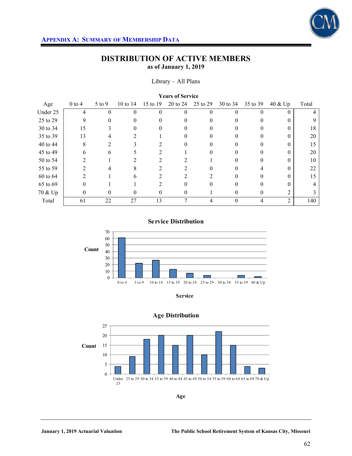

#### Library – All Plans

| <b>Years of Service</b> |            |                |          |          |          |          |          |          |                |       |
|-------------------------|------------|----------------|----------|----------|----------|----------|----------|----------|----------------|-------|
| Age                     | $0$ to $4$ | $5$ to $9$     | 10 to 14 | 15 to 19 | 20 to 24 | 25 to 29 | 30 to 34 | 35 to 39 | 40 & Up        | Total |
| Under 25                | 4          | 0              | 0        | $\theta$ | $\theta$ | $\theta$ |          | 0        | $\theta$       |       |
| 25 to 29                | 9          | 0              |          |          | $\Omega$ |          |          | 0        | 0              |       |
| 30 to 34                | 15         | $\rightarrow$  |          | $\theta$ | $\theta$ |          |          | $\theta$ | 0              | 18    |
| 35 to 39                | 13         |                |          |          | 0        |          |          |          |                | 20    |
| 40 to 44                | 8          | $\overline{2}$ | 3        |          | $\Omega$ | 0        |          | 0        | 0              | 15    |
| 45 to 49                | 6          | h.             |          |          |          |          |          |          |                | 20    |
| 50 to 54                | っ          |                |          |          |          |          |          | 0        |                | 10    |
| 55 to 59                |            | 4              | 8        |          |          | 0        |          | 4        | 0              | 22    |
| 60 to 64                |            |                | n        |          |          |          |          |          |                | 15    |
| 65 to 69                | $\Omega$   |                |          | 2        | $\Omega$ | 0        |          | 0        | 0              |       |
| 70 & Up                 | 0          | 0              | 0        | $\theta$ | $\theta$ |          | $\theta$ | 0        | 2              |       |
| Total                   | 61         | 22             | 27       | 13       | 7        | 4        | $\theta$ | 4        | $\overline{2}$ | 140   |

### **Service Distribution**





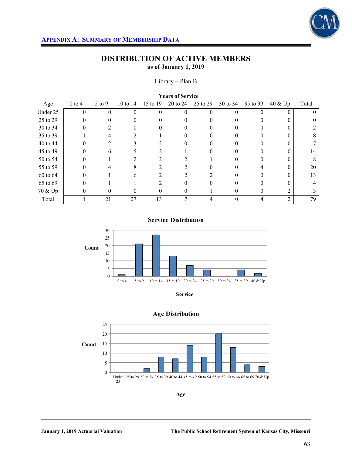

### Library – Plan B

| <b>Years of Service</b> |              |              |          |               |              |          |          |          |                |       |
|-------------------------|--------------|--------------|----------|---------------|--------------|----------|----------|----------|----------------|-------|
| Age                     | $0$ to 4     | $5$ to $9$   | 10 to 14 | 15 to 19      | 20 to 24     | 25 to 29 | 30 to 34 | 35 to 39 | 40 & Up        | Total |
| Under 25                | $\theta$     | $\theta$     | 0        | $\theta$      | 0            | $\theta$ |          | 0        | $\theta$       |       |
| 25 to 29                |              |              |          |               | 0            |          |          |          |                |       |
| 30 to 34                | $\mathbf{0}$ | 2            | 0        | 0             | $\mathbf{0}$ | 0        |          | $\theta$ | $\theta$       |       |
| 35 to 39                |              |              |          |               |              |          |          |          | $\Omega$       | 8     |
| 40 to 44                |              |              |          |               | 0            |          |          | $\Omega$ | 0              |       |
| 45 to 49                |              | <sub>b</sub> |          |               |              |          |          |          |                | 14    |
| 50 to 54                | 0            |              |          |               |              |          |          |          |                | 8     |
| 55 to 59                | 0            |              | 8        |               |              |          |          |          | 0              | 20    |
| 60 to 64                |              |              | 6        |               |              |          |          |          |                | 13    |
| 65 to 69                |              |              |          | $\mathcal{D}$ | 0            |          |          |          | 0              |       |
| 70 & Up                 | 0            | 0            | 0        | $\theta$      | 0            |          |          | $\theta$ |                | 3     |
| Total                   |              | 21           | 27       | 13            | $\mathbf{r}$ | 4        |          |          | $\overline{2}$ | 79    |

**Service Distribution**



**Service**

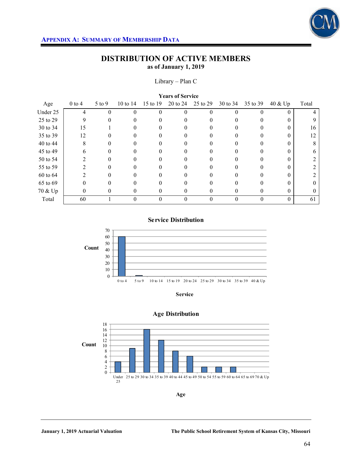

### Library – Plan C

| <b>Years of Service</b> |            |          |          |          |          |              |          |          |              |          |
|-------------------------|------------|----------|----------|----------|----------|--------------|----------|----------|--------------|----------|
| Age                     | $0$ to $4$ | $5$ to 9 | 10 to 14 | 15 to 19 | 20 to 24 | 25 to 29     | 30 to 34 | 35 to 39 | 40 & Up      | Total    |
| Under 25                | 4          |          | 0        | $\theta$ | $\Omega$ | $\mathbf{0}$ | 0        | 0        |              | 4        |
| 25 to 29                | 9          |          |          |          | 0        |              |          |          | 0            | 9        |
| 30 to 34                | 15         |          |          | $\theta$ | $\Omega$ | $_{0}$       | 0        | 0        | $\mathbf{0}$ | 16       |
| 35 to 39                | 12         |          |          |          |          |              |          |          |              | 12       |
| 40 to 44                | 8          |          |          |          | 0        |              |          |          | $\Omega$     | 8        |
| 45 to 49                | 6          | 0        |          |          | $^{(1)}$ | 0            |          |          | 0            | 6        |
| 50 to 54                | າ          |          |          |          |          |              |          |          |              |          |
| 55 to 59                |            | 0        |          |          | 0        | $\mathbf{0}$ |          |          | $\Omega$     | 2        |
| 60 to 64                |            |          |          |          |          | $_{0}$       |          |          | 0            | 2        |
| 65 to 69                |            |          |          |          |          |              |          |          | 0            | $\theta$ |
| 70 & Up                 | 0          | $\Omega$ | 0        | $\theta$ | 0        | 0            | $^{(1)}$ | $\theta$ | $\theta$     | $\Omega$ |
| Total                   | 60         |          | 0        | $\theta$ | $\Omega$ | $\theta$     |          | $\Omega$ | $\Omega$     | 61       |

### **Service Distribution**



**Service**



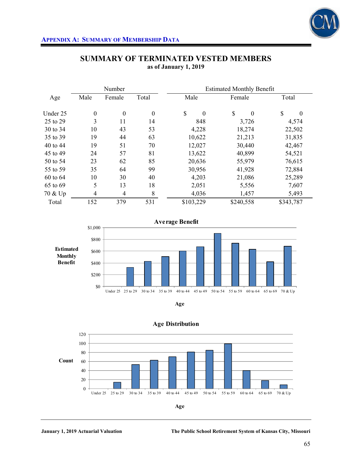

|          |                  | Number           |                  | <b>Estimated Monthly Benefit</b> |                      |                          |  |  |  |  |
|----------|------------------|------------------|------------------|----------------------------------|----------------------|--------------------------|--|--|--|--|
| Age      | Male             | Female           | Total            | Male                             | Female               | Total                    |  |  |  |  |
| Under 25 | $\boldsymbol{0}$ | $\boldsymbol{0}$ | $\boldsymbol{0}$ | \$<br>$\theta$                   | \$<br>$\overline{0}$ | $\mathbb{S}$<br>$\theta$ |  |  |  |  |
| 25 to 29 | 3                | 11               | 14               | 848                              | 3,726                | 4,574                    |  |  |  |  |
| 30 to 34 | 10               | 43               | 53               | 4,228                            | 18,274               | 22,502                   |  |  |  |  |
| 35 to 39 | 19               | 44               | 63               | 10,622                           | 21,213               | 31,835                   |  |  |  |  |
| 40 to 44 | 19               | 51               | 70               | 12,027                           | 30,440               | 42,467                   |  |  |  |  |
| 45 to 49 | 24               | 57               | 81               | 13,622                           | 40,899               | 54,521                   |  |  |  |  |
| 50 to 54 | 23               | 62               | 85               | 20,636                           | 55,979               | 76,615                   |  |  |  |  |
| 55 to 59 | 35               | 64               | 99               | 30,956                           | 41,928               | 72,884                   |  |  |  |  |
| 60 to 64 | 10               | 30               | 40               | 4,203                            | 21,086               | 25,289                   |  |  |  |  |
| 65 to 69 | 5                | 13               | 18               | 2,051                            | 5,556                | 7,607                    |  |  |  |  |
| 70 & Up  | $\overline{4}$   | $\overline{4}$   | 8                | 4,036                            | 1,457                | 5,493                    |  |  |  |  |
| Total    | 152              | 379              | 531              | \$103,229                        | \$240,558            | \$343,787                |  |  |  |  |

## **SUMMARY OF TERMINATED VESTED MEMBERS as of January 1, 2019**







**Age Distribution**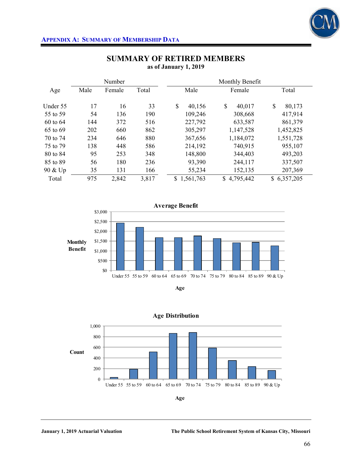

|          |      | Number |       | Monthly Benefit |              |                 |  |  |  |  |
|----------|------|--------|-------|-----------------|--------------|-----------------|--|--|--|--|
| Age      | Male | Female | Total | Male            | Female       | Total           |  |  |  |  |
| Under 55 | 17   | 16     | 33    | \$<br>40,156    | \$<br>40,017 | \$<br>80,173    |  |  |  |  |
| 55 to 59 | 54   | 136    | 190   | 109,246         | 308,668      | 417,914         |  |  |  |  |
| 60 to 64 | 144  | 372    | 516   | 227,792         | 633,587      | 861,379         |  |  |  |  |
| 65 to 69 | 202  | 660    | 862   | 305,297         | 1,147,528    | 1,452,825       |  |  |  |  |
| 70 to 74 | 234  | 646    | 880   | 367,656         | 1,184,072    | 1,551,728       |  |  |  |  |
| 75 to 79 | 138  | 448    | 586   | 214,192         | 740,915      | 955,107         |  |  |  |  |
| 80 to 84 | 95   | 253    | 348   | 148,800         | 344,403      | 493,203         |  |  |  |  |
| 85 to 89 | 56   | 180    | 236   | 93,390          | 244,117      | 337,507         |  |  |  |  |
| 90 & Up  | 35   | 131    | 166   | 55,234          | 152,135      | 207,369         |  |  |  |  |
| Total    | 975  | 2,842  | 3,817 | 1,561,763<br>S  | \$4,795,442  | 6,357,205<br>\$ |  |  |  |  |







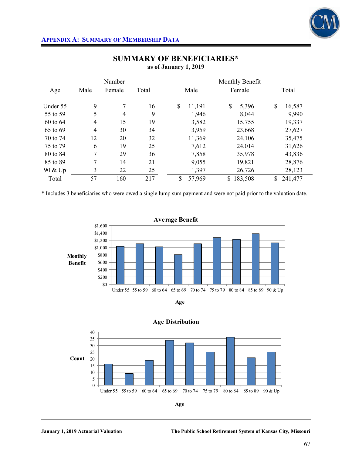

|          |                | Number         |       |              | Monthly Benefit |               |
|----------|----------------|----------------|-------|--------------|-----------------|---------------|
| Age      | Male           | Female         | Total | Male         | Female          | Total         |
| Under 55 | 9              | 7              | 16    | \$<br>11,191 | \$<br>5,396     | \$<br>16,587  |
| 55 to 59 | 5              | $\overline{4}$ | 9     | 1,946        | 8,044           | 9,990         |
| 60 to 64 | $\overline{4}$ | 15             | 19    | 3,582        | 15,755          | 19,337        |
| 65 to 69 | $\overline{4}$ | 30             | 34    | 3,959        | 23,668          | 27,627        |
| 70 to 74 | 12             | 20             | 32    | 11,369       | 24,106          | 35,475        |
| 75 to 79 | 6              | 19             | 25    | 7,612        | 24,014          | 31,626        |
| 80 to 84 | 7              | 29             | 36    | 7,858        | 35,978          | 43,836        |
| 85 to 89 | 7              | 14             | 21    | 9,055        | 19,821          | 28,876        |
| 90 & Up  | 3              | 22             | 25    | 1,397        | 26,726          | 28,123        |
| Total    | 57             | 160            | 217   | \$<br>57,969 | \$<br>183,508   | 241,477<br>\$ |

# **SUMMARY OF BENEFICIARIES\* as of January 1, 2019**

\* Includes 3 beneficiaries who were owed a single lump sum payment and were not paid prior to the valuation date.







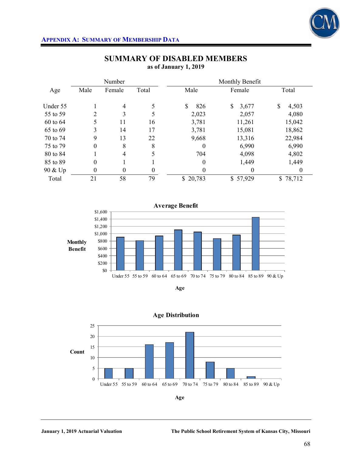

## **APPENDIX A: SUMMARY OF MEMBERSHIP DATA**

|          |          | Number           |       | Monthly Benefit  |             |             |
|----------|----------|------------------|-------|------------------|-------------|-------------|
| Age      | Male     | Female           | Total | Male             | Female      | Total       |
| Under 55 |          | $\overline{4}$   | 5     | \$<br>826        | \$<br>3,677 | \$<br>4,503 |
| 55 to 59 | 2        | 3                | 5     | 2,023            | 2,057       | 4,080       |
| 60 to 64 | 5        | 11               | 16    | 3,781            | 11,261      | 15,042      |
| 65 to 69 | 3        | 14               | 17    | 3,781            | 15,081      | 18,862      |
| 70 to 74 | 9        | 13               | 22    | 9,668            | 13,316      | 22,984      |
| 75 to 79 | $\theta$ | 8                | 8     | $\theta$         | 6,990       | 6,990       |
| 80 to 84 |          | $\overline{4}$   | 5     | 704              | 4,098       | 4,802       |
| 85 to 89 | $\theta$ |                  |       | $\boldsymbol{0}$ | 1,449       | 1,449       |
| 90 & Up  | 0        | $\boldsymbol{0}$ | 0     | 0                | $\Omega$    | $\theta$    |
| Total    | 21       | 58               | 79    | \$20,783         | \$57,929    | \$78,712    |

## **SUMMARY OF DISABLED MEMBERS as of January 1, 2019**







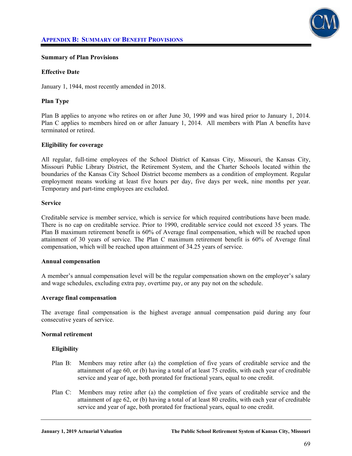

#### **Summary of Plan Provisions**

#### **Effective Date**

January 1, 1944, most recently amended in 2018.

### **Plan Type**

Plan B applies to anyone who retires on or after June 30, 1999 and was hired prior to January 1, 2014. Plan C applies to members hired on or after January 1, 2014. All members with Plan A benefits have terminated or retired.

#### **Eligibility for coverage**

All regular, full-time employees of the School District of Kansas City, Missouri, the Kansas City, Missouri Public Library District, the Retirement System, and the Charter Schools located within the boundaries of the Kansas City School District become members as a condition of employment. Regular employment means working at least five hours per day, five days per week, nine months per year. Temporary and part-time employees are excluded.

#### **Service**

Creditable service is member service, which is service for which required contributions have been made. There is no cap on creditable service. Prior to 1990, creditable service could not exceed 35 years. The Plan B maximum retirement benefit is 60% of Average final compensation, which will be reached upon attainment of 30 years of service. The Plan C maximum retirement benefit is 60% of Average final compensation, which will be reached upon attainment of 34.25 years of service.

#### **Annual compensation**

A member's annual compensation level will be the regular compensation shown on the employer's salary and wage schedules, excluding extra pay, overtime pay, or any pay not on the schedule.

#### **Average final compensation**

The average final compensation is the highest average annual compensation paid during any four consecutive years of service.

#### **Normal retirement**

#### **Eligibility**

- Plan B: Members may retire after (a) the completion of five years of creditable service and the attainment of age 60, or (b) having a total of at least 75 credits, with each year of creditable service and year of age, both prorated for fractional years, equal to one credit.
- Plan C: Members may retire after (a) the completion of five years of creditable service and the attainment of age 62, or (b) having a total of at least 80 credits, with each year of creditable service and year of age, both prorated for fractional years, equal to one credit.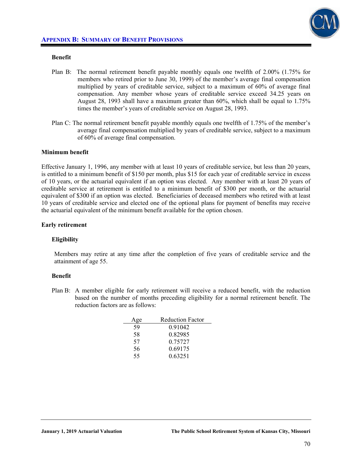

## **Benefit**

- Plan B: The normal retirement benefit payable monthly equals one twelfth of 2.00% (1.75% for members who retired prior to June 30, 1999) of the member's average final compensation multiplied by years of creditable service, subject to a maximum of 60% of average final compensation. Any member whose years of creditable service exceed 34.25 years on August 28, 1993 shall have a maximum greater than 60%, which shall be equal to 1.75% times the member's years of creditable service on August 28, 1993.
- Plan C: The normal retirement benefit payable monthly equals one twelfth of 1.75% of the member's average final compensation multiplied by years of creditable service, subject to a maximum of 60% of average final compensation.

## **Minimum benefit**

Effective January 1, 1996, any member with at least 10 years of creditable service, but less than 20 years, is entitled to a minimum benefit of \$150 per month, plus \$15 for each year of creditable service in excess of 10 years, or the actuarial equivalent if an option was elected. Any member with at least 20 years of creditable service at retirement is entitled to a minimum benefit of \$300 per month, or the actuarial equivalent of \$300 if an option was elected. Beneficiaries of deceased members who retired with at least 10 years of creditable service and elected one of the optional plans for payment of benefits may receive the actuarial equivalent of the minimum benefit available for the option chosen.

### **Early retirement**

#### **Eligibility**

Members may retire at any time after the completion of five years of creditable service and the attainment of age 55.

#### **Benefit**

Plan B: A member eligible for early retirement will receive a reduced benefit, with the reduction based on the number of months preceding eligibility for a normal retirement benefit. The reduction factors are as follows:

| Age | <b>Reduction Factor</b> |
|-----|-------------------------|
| 59  | 0.91042                 |
| 58  | 0.82985                 |
| 57  | 0.75727                 |
| 56  | 0.69175                 |
| 55  | 0.63251                 |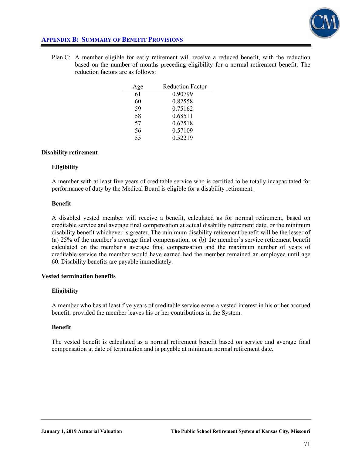

## **APPENDIX B: SUMMARY OF BENEFIT PROVISIONS**

Plan C: A member eligible for early retirement will receive a reduced benefit, with the reduction based on the number of months preceding eligibility for a normal retirement benefit. The reduction factors are as follows:

| ge | <b>Reduction Factor</b> |
|----|-------------------------|
| 61 | 0 90799                 |
| 60 | 0.82558                 |
| 59 | 0.75162                 |
| 58 | 0.68511                 |
| 57 | 0.62518                 |
| 56 | 0.57109                 |
| 55 | 0.52219                 |

#### **Disability retirement**

#### **Eligibility**

A member with at least five years of creditable service who is certified to be totally incapacitated for performance of duty by the Medical Board is eligible for a disability retirement.

#### **Benefit**

A disabled vested member will receive a benefit, calculated as for normal retirement, based on creditable service and average final compensation at actual disability retirement date, or the minimum disability benefit whichever is greater. The minimum disability retirement benefit will be the lesser of (a) 25% of the member's average final compensation, or (b) the member's service retirement benefit calculated on the member's average final compensation and the maximum number of years of creditable service the member would have earned had the member remained an employee until age 60. Disability benefits are payable immediately.

#### **Vested termination benefits**

#### **Eligibility**

A member who has at least five years of creditable service earns a vested interest in his or her accrued benefit, provided the member leaves his or her contributions in the System.

#### **Benefit**

The vested benefit is calculated as a normal retirement benefit based on service and average final compensation at date of termination and is payable at minimum normal retirement date.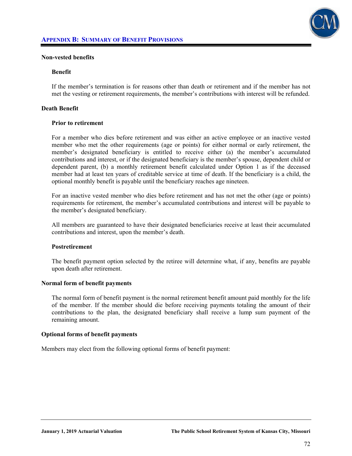

#### **Non-vested benefits**

#### **Benefit**

If the member's termination is for reasons other than death or retirement and if the member has not met the vesting or retirement requirements, the member's contributions with interest will be refunded.

#### **Death Benefit**

#### **Prior to retirement**

For a member who dies before retirement and was either an active employee or an inactive vested member who met the other requirements (age or points) for either normal or early retirement, the member's designated beneficiary is entitled to receive either (a) the member's accumulated contributions and interest, or if the designated beneficiary is the member's spouse, dependent child or dependent parent, (b) a monthly retirement benefit calculated under Option 1 as if the deceased member had at least ten years of creditable service at time of death. If the beneficiary is a child, the optional monthly benefit is payable until the beneficiary reaches age nineteen.

 For an inactive vested member who dies before retirement and has not met the other (age or points) requirements for retirement, the member's accumulated contributions and interest will be payable to the member's designated beneficiary.

 All members are guaranteed to have their designated beneficiaries receive at least their accumulated contributions and interest, upon the member's death.

#### **Postretirement**

The benefit payment option selected by the retiree will determine what, if any, benefits are payable upon death after retirement.

#### **Normal form of benefit payments**

The normal form of benefit payment is the normal retirement benefit amount paid monthly for the life of the member. If the member should die before receiving payments totaling the amount of their contributions to the plan, the designated beneficiary shall receive a lump sum payment of the remaining amount.

#### **Optional forms of benefit payments**

Members may elect from the following optional forms of benefit payment: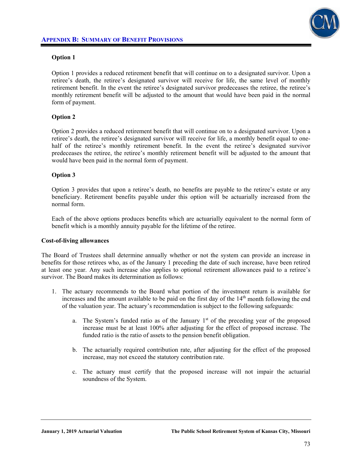

## **Option 1**

Option 1 provides a reduced retirement benefit that will continue on to a designated survivor. Upon a retiree's death, the retiree's designated survivor will receive for life, the same level of monthly retirement benefit. In the event the retiree's designated survivor predeceases the retiree, the retiree's monthly retirement benefit will be adjusted to the amount that would have been paid in the normal form of payment.

## **Option 2**

Option 2 provides a reduced retirement benefit that will continue on to a designated survivor. Upon a retiree's death, the retiree's designated survivor will receive for life, a monthly benefit equal to onehalf of the retiree's monthly retirement benefit. In the event the retiree's designated survivor predeceases the retiree, the retiree's monthly retirement benefit will be adjusted to the amount that would have been paid in the normal form of payment.

## **Option 3**

Option 3 provides that upon a retiree's death, no benefits are payable to the retiree's estate or any beneficiary. Retirement benefits payable under this option will be actuarially increased from the normal form.

 Each of the above options produces benefits which are actuarially equivalent to the normal form of benefit which is a monthly annuity payable for the lifetime of the retiree.

#### **Cost-of-living allowances**

The Board of Trustees shall determine annually whether or not the system can provide an increase in benefits for those retirees who, as of the January 1 preceding the date of such increase, have been retired at least one year. Any such increase also applies to optional retirement allowances paid to a retiree's survivor. The Board makes its determination as follows:

- 1. The actuary recommends to the Board what portion of the investment return is available for increases and the amount available to be paid on the first day of the  $14<sup>th</sup>$  month following the end of the valuation year. The actuary's recommendation is subject to the following safeguards:
	- a. The System's funded ratio as of the January  $1<sup>st</sup>$  of the preceding year of the proposed increase must be at least 100% after adjusting for the effect of proposed increase. The funded ratio is the ratio of assets to the pension benefit obligation.
	- b. The actuarially required contribution rate, after adjusting for the effect of the proposed increase, may not exceed the statutory contribution rate.
	- c. The actuary must certify that the proposed increase will not impair the actuarial soundness of the System.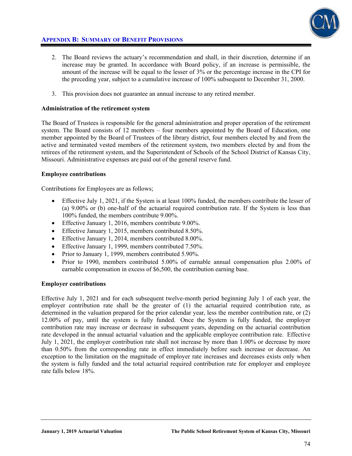

# **APPENDIX B: SUMMARY OF BENEFIT PROVISIONS**

- 2. The Board reviews the actuary's recommendation and shall, in their discretion, determine if an increase may be granted. In accordance with Board policy, if an increase is permissible, the amount of the increase will be equal to the lesser of 3% or the percentage increase in the CPI for the preceding year, subject to a cumulative increase of 100% subsequent to December 31, 2000.
- 3. This provision does not guarantee an annual increase to any retired member.

## **Administration of the retirement system**

The Board of Trustees is responsible for the general administration and proper operation of the retirement system. The Board consists of 12 members – four members appointed by the Board of Education, one member appointed by the Board of Trustees of the library district, four members elected by and from the active and terminated vested members of the retirement system, two members elected by and from the retirees of the retirement system, and the Superintendent of Schools of the School District of Kansas City, Missouri. Administrative expenses are paid out of the general reserve fund.

## **Employee contributions**

Contributions for Employees are as follows;

- Effective July 1, 2021, if the System is at least 100% funded, the members contribute the lesser of (a) 9.00% or (b) one-half of the actuarial required contribution rate. If the System is less than 100% funded, the members contribute 9.00%.
- Effective January 1, 2016, members contribute 9.00%.
- Effective January 1, 2015, members contributed 8.50%.
- Effective January 1, 2014, members contributed 8.00%.
- Effective January 1, 1999, members contributed 7.50%.
- Prior to January 1, 1999, members contributed 5.90%.
- Prior to 1990, members contributed 5.00% of earnable annual compensation plus 2.00% of earnable compensation in excess of \$6,500, the contribution earning base.

#### **Employer contributions**

Effective July 1, 2021 and for each subsequent twelve-month period beginning July 1 of each year, the employer contribution rate shall be the greater of (1) the actuarial required contribution rate, as determined in the valuation prepared for the prior calendar year, less the member contribution rate, or (2) 12.00% of pay, until the system is fully funded. Once the System is fully funded, the employer contribution rate may increase or decrease in subsequent years, depending on the actuarial contribution rate developed in the annual actuarial valuation and the applicable employee contribution rate. Effective July 1, 2021, the employer contribution rate shall not increase by more than 1.00% or decrease by more than 0.50% from the corresponding rate in effect immediately before such increase or decrease. An exception to the limitation on the magnitude of employer rate increases and decreases exists only when the system is fully funded and the total actuarial required contribution rate for employer and employee rate falls below 18%.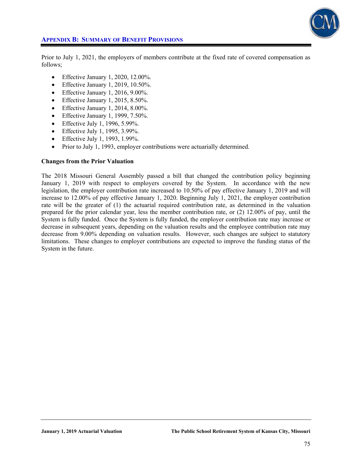

## **APPENDIX B: SUMMARY OF BENEFIT PROVISIONS**

Prior to July 1, 2021, the employers of members contribute at the fixed rate of covered compensation as follows;

- $\bullet$  Effective January 1, 2020, 12.00%.
- $\bullet$  Effective January 1, 2019, 10.50%.
- $\bullet$  Effective January 1, 2016, 9.00%.
- $\bullet$  Effective January 1, 2015, 8.50%.
- $\bullet$  Effective January 1, 2014, 8.00%.
- $\bullet$  Effective January 1, 1999, 7.50%.
- Effective July 1, 1996, 5.99%.
- **•** Effective July 1, 1995, 3.99%.
- **•** Effective July 1, 1993, 1.99%.
- Prior to July 1, 1993, employer contributions were actuarially determined.

#### **Changes from the Prior Valuation**

The 2018 Missouri General Assembly passed a bill that changed the contribution policy beginning January 1, 2019 with respect to employers covered by the System. In accordance with the new legislation, the employer contribution rate increased to 10.50% of pay effective January 1, 2019 and will increase to 12.00% of pay effective January 1, 2020. Beginning July 1, 2021, the employer contribution rate will be the greater of (1) the actuarial required contribution rate, as determined in the valuation prepared for the prior calendar year, less the member contribution rate, or (2) 12.00% of pay, until the System is fully funded. Once the System is fully funded, the employer contribution rate may increase or decrease in subsequent years, depending on the valuation results and the employee contribution rate may decrease from 9.00% depending on valuation results. However, such changes are subject to statutory limitations. These changes to employer contributions are expected to improve the funding status of the System in the future.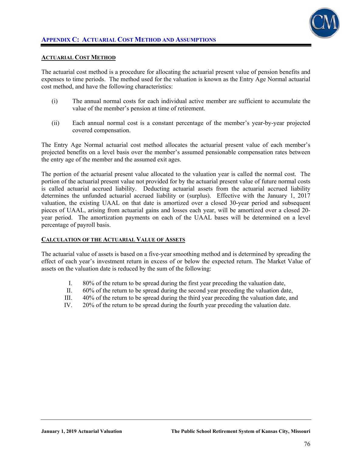

#### **ACTUARIAL COST METHOD**

The actuarial cost method is a procedure for allocating the actuarial present value of pension benefits and expenses to time periods. The method used for the valuation is known as the Entry Age Normal actuarial cost method, and have the following characteristics:

- (i) The annual normal costs for each individual active member are sufficient to accumulate the value of the member's pension at time of retirement.
- (ii) Each annual normal cost is a constant percentage of the member's year-by-year projected covered compensation.

The Entry Age Normal actuarial cost method allocates the actuarial present value of each member's projected benefits on a level basis over the member's assumed pensionable compensation rates between the entry age of the member and the assumed exit ages.

The portion of the actuarial present value allocated to the valuation year is called the normal cost. The portion of the actuarial present value not provided for by the actuarial present value of future normal costs is called actuarial accrued liability. Deducting actuarial assets from the actuarial accrued liability determines the unfunded actuarial accrued liability or (surplus). Effective with the January 1, 2017 valuation, the existing UAAL on that date is amortized over a closed 30-year period and subsequent pieces of UAAL, arising from actuarial gains and losses each year, will be amortized over a closed 20 year period. The amortization payments on each of the UAAL bases will be determined on a level percentage of payroll basis.

#### **CALCULATION OF THE ACTUARIAL VALUE OF ASSETS**

The actuarial value of assets is based on a five-year smoothing method and is determined by spreading the effect of each year's investment return in excess of or below the expected return. The Market Value of assets on the valuation date is reduced by the sum of the following:

- I. 80% of the return to be spread during the first year preceding the valuation date,
- II. 60% of the return to be spread during the second year preceding the valuation date,
- III. 40% of the return to be spread during the third year preceding the valuation date, and
- IV. 20% of the return to be spread during the fourth year preceding the valuation date.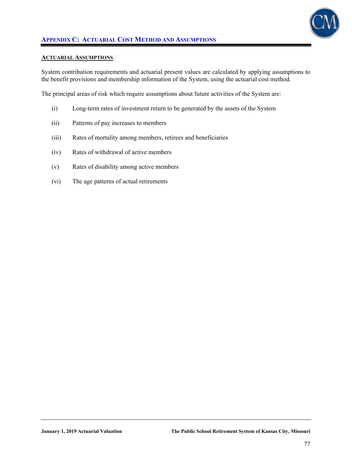

## **APPENDIX C: ACTUARIAL COST METHOD AND ASSUMPTIONS**

#### **ACTUARIAL ASSUMPTIONS**

System contribution requirements and actuarial present values are calculated by applying assumptions to the benefit provisions and membership information of the System, using the actuarial cost method.

The principal areas of risk which require assumptions about future activities of the System are:

- (i) Long-term rates of investment return to be generated by the assets of the System
- (ii) Patterns of pay increases to members
- (iii) Rates of mortality among members, retirees and beneficiaries
- (iv) Rates of withdrawal of active members
- (v) Rates of disability among active members
- (vi) The age patterns of actual retirements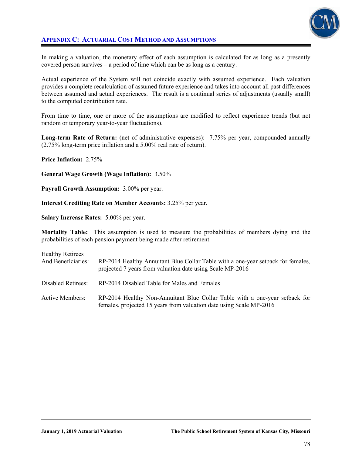

## **APPENDIX C: ACTUARIAL COST METHOD AND ASSUMPTIONS**

In making a valuation, the monetary effect of each assumption is calculated for as long as a presently covered person survives – a period of time which can be as long as a century.

Actual experience of the System will not coincide exactly with assumed experience. Each valuation provides a complete recalculation of assumed future experience and takes into account all past differences between assumed and actual experiences. The result is a continual series of adjustments (usually small) to the computed contribution rate.

From time to time, one or more of the assumptions are modified to reflect experience trends (but not random or temporary year-to-year fluctuations).

**Long-term Rate of Return:** (net of administrative expenses): 7.75% per year, compounded annually (2.75% long-term price inflation and a 5.00% real rate of return).

**Price Inflation:** 2.75%

**General Wage Growth (Wage Inflation):** 3.50%

**Payroll Growth Assumption:** 3.00% per year.

**Interest Crediting Rate on Member Accounts:** 3.25% per year.

**Salary Increase Rates:** 5.00% per year.

**Mortality Table:** This assumption is used to measure the probabilities of members dying and the probabilities of each pension payment being made after retirement.

| <b>Healthy Retirees</b><br>And Beneficiaries: | RP-2014 Healthy Annuitant Blue Collar Table with a one-year setback for females,<br>projected 7 years from valuation date using Scale MP-2016      |
|-----------------------------------------------|----------------------------------------------------------------------------------------------------------------------------------------------------|
| Disabled Retirees:                            | RP-2014 Disabled Table for Males and Females                                                                                                       |
| Active Members:                               | RP-2014 Healthy Non-Annuitant Blue Collar Table with a one-year setback for<br>females, projected 15 years from valuation date using Scale MP-2016 |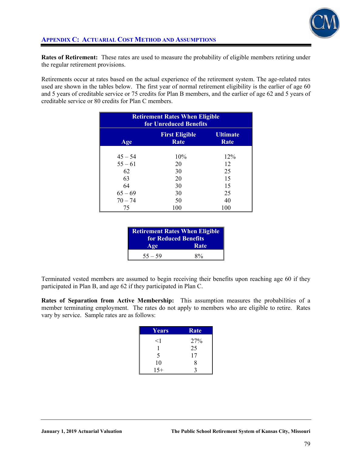

**Rates of Retirement:** These rates are used to measure the probability of eligible members retiring under the regular retirement provisions.

Retirements occur at rates based on the actual experience of the retirement system. The age-related rates used are shown in the tables below. The first year of normal retirement eligibility is the earlier of age 60 and 5 years of creditable service or 75 credits for Plan B members, and the earlier of age 62 and 5 years of creditable service or 80 credits for Plan C members.

| <b>Retirement Rates When Eligible</b><br>for Unreduced Benefits |                               |                  |
|-----------------------------------------------------------------|-------------------------------|------------------|
| Age                                                             | <b>First Eligible</b><br>Rate | Ultimate<br>Rate |
| $45 - 54$                                                       | 10%                           | 12%              |
| $55 - 61$                                                       | 20                            | 12               |
| 62                                                              | 30                            | 25               |
| 63                                                              | 20                            | 15               |
| 64                                                              | 30                            | 15               |
| $65 - 69$                                                       | 30                            | 25               |
| $70 - 74$                                                       | 50                            | 40               |
| 75                                                              | 100                           | 100              |

| <b>Retirement Rates When Eligible</b><br>for Reduced Benefits |       |
|---------------------------------------------------------------|-------|
| Age                                                           | Rate  |
| $55 - 59$                                                     | $8\%$ |

Terminated vested members are assumed to begin receiving their benefits upon reaching age 60 if they participated in Plan B, and age 62 if they participated in Plan C.

**Rates of Separation from Active Membership:** This assumption measures the probabilities of a member terminating employment. The rates do not apply to members who are eligible to retire. Rates vary by service. Sample rates are as follows:

| <b>Years</b> | Rate |
|--------------|------|
| $<$ 1        | 27%  |
|              | 25   |
| 5            | 17   |
| 10           | 8    |
| $1.5+$       |      |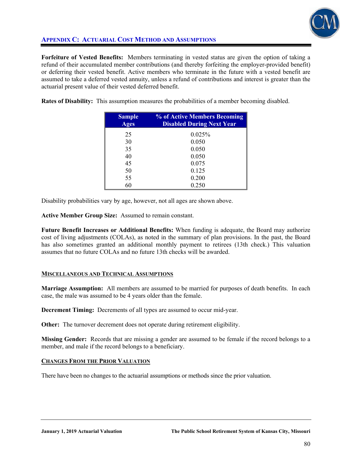

# **APPENDIX C: ACTUARIAL COST METHOD AND ASSUMPTIONS**

**Forfeiture of Vested Benefits:** Members terminating in vested status are given the option of taking a refund of their accumulated member contributions (and thereby forfeiting the employer-provided benefit) or deferring their vested benefit. Active members who terminate in the future with a vested benefit are assumed to take a deferred vested annuity, unless a refund of contributions and interest is greater than the actuarial present value of their vested deferred benefit.

**Rates of Disability:** This assumption measures the probabilities of a member becoming disabled.

| <b>Sample</b><br><b>Ages</b> | % of Active Members Becoming<br><b>Disabled During Next Year</b> |
|------------------------------|------------------------------------------------------------------|
| 25                           | 0.025%                                                           |
| 30                           | 0.050                                                            |
| 35                           | 0.050                                                            |
| 40                           | 0.050                                                            |
| 45                           | 0.075                                                            |
| 50                           | 0.125                                                            |
| 55                           | 0.200                                                            |
| 60                           | 0.250                                                            |

Disability probabilities vary by age, however, not all ages are shown above.

**Active Member Group Size:** Assumed to remain constant.

**Future Benefit Increases or Additional Benefits:** When funding is adequate, the Board may authorize cost of living adjustments (COLAs), as noted in the summary of plan provisions. In the past, the Board has also sometimes granted an additional monthly payment to retirees (13th check.) This valuation assumes that no future COLAs and no future 13th checks will be awarded.

## **MISCELLANEOUS AND TECHNICAL ASSUMPTIONS**

**Marriage Assumption:** All members are assumed to be married for purposes of death benefits. In each case, the male was assumed to be 4 years older than the female.

**Decrement Timing:** Decrements of all types are assumed to occur mid-year.

**Other:** The turnover decrement does not operate during retirement eligibility.

**Missing Gender:** Records that are missing a gender are assumed to be female if the record belongs to a member, and male if the record belongs to a beneficiary.

## **CHANGES FROM THE PRIOR VALUATION**

There have been no changes to the actuarial assumptions or methods since the prior valuation.